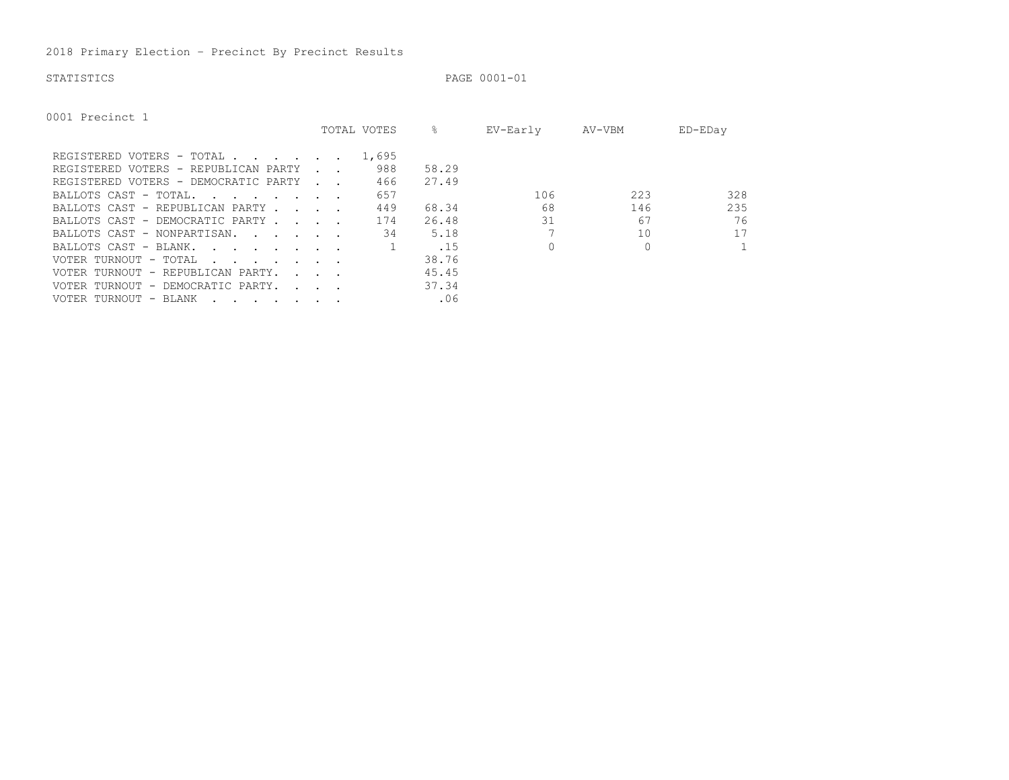2018 Primary Election – Precinct By Precinct Results

```
STATISTICS PAGE 0001-01
```
0001 Precinct 1

|                                                                                                                                          |                                            | TOTAL VOTES | ⊱     | EV-Early | AV-VBM | ED-EDay      |
|------------------------------------------------------------------------------------------------------------------------------------------|--------------------------------------------|-------------|-------|----------|--------|--------------|
| REGISTERED VOTERS - TOTAL                                                                                                                |                                            | 1,695       |       |          |        |              |
| REGISTERED VOTERS - REPUBLICAN PARTY                                                                                                     | <b>Contract Contract Street</b>            | 988         | 58.29 |          |        |              |
| REGISTERED VOTERS - DEMOCRATIC PARTY                                                                                                     | and a string                               | 466         | 27.49 |          |        |              |
| BALLOTS CAST - TOTAL.<br><u>in the second contract of the second second</u>                                                              |                                            | 657         |       | 106      | 223    | 328          |
| BALLOTS CAST - REPUBLICAN PARTY.                                                                                                         | $\sim$ $\sim$ $\sim$ $\sim$                | 449         | 68.34 | 68       | 146    | 235          |
| BALLOTS CAST - DEMOCRATIC PARTY.                                                                                                         | and the state of the state of the          | 174         | 26.48 | 31       | 67     | 76           |
| BALLOTS CAST - NONPARTISAN.                                                                                                              |                                            | 34          | 5.18  |          | 10     | 17           |
| BALLOTS CAST - BLANK.<br><u>in the second contract of the second second</u>                                                              |                                            |             | .15   |          |        | $\mathbf{1}$ |
| VOTER TURNOUT - TOTAL<br>the contract of the contract of the contract of the contract of the contract of the contract of the contract of |                                            |             | 38.76 |          |        |              |
| VOTER TURNOUT - REPUBLICAN PARTY.                                                                                                        | $\mathbf{r}$ , $\mathbf{r}$ , $\mathbf{r}$ |             | 45.45 |          |        |              |
| VOTER TURNOUT - DEMOCRATIC PARTY.                                                                                                        | and the contract of the con-               |             | 37.34 |          |        |              |
| VOTER TURNOUT - BLANK<br>$\mathbf{r}$ , and $\mathbf{r}$ , and $\mathbf{r}$ , and $\mathbf{r}$                                           |                                            |             | .06   |          |        |              |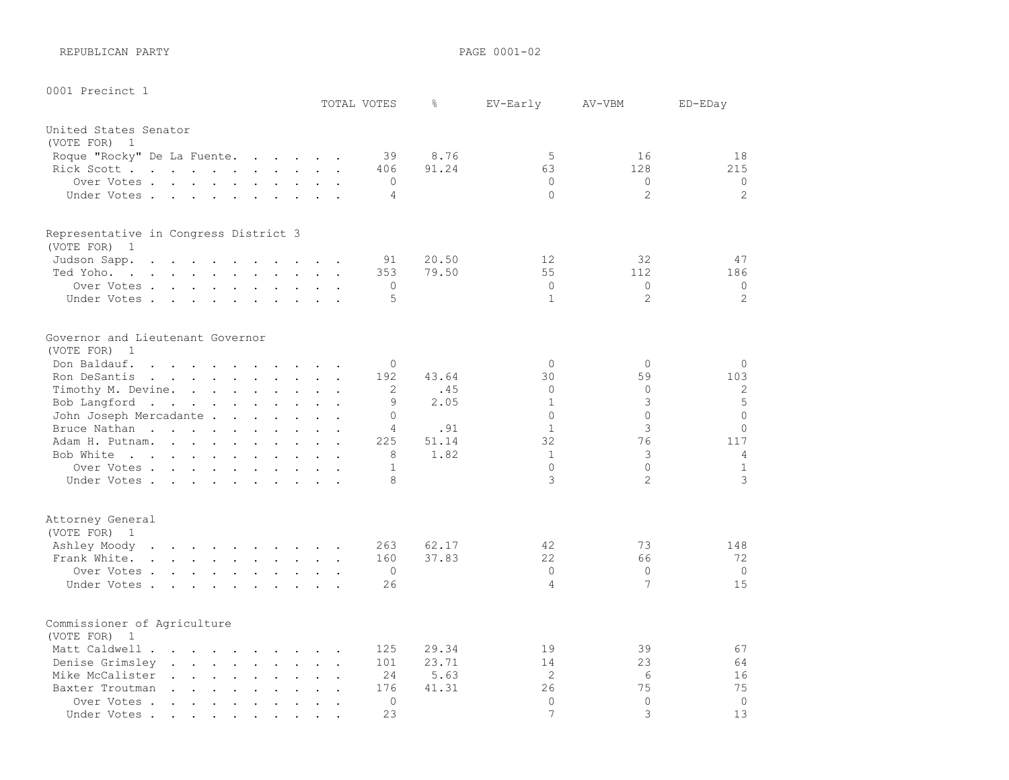REPUBLICAN PARTY **PAGE 0001-02** 

| 0001 Precinct 1                                                                                                              |                                                                                                                    |                                              |                                   |                      | TOTAL VOTES    | g.    | EV-Early       | AV-VBM         | ED-EDay        |
|------------------------------------------------------------------------------------------------------------------------------|--------------------------------------------------------------------------------------------------------------------|----------------------------------------------|-----------------------------------|----------------------|----------------|-------|----------------|----------------|----------------|
|                                                                                                                              |                                                                                                                    |                                              |                                   |                      |                |       |                |                |                |
| United States Senator<br>(VOTE FOR)<br>$\overline{1}$                                                                        |                                                                                                                    |                                              |                                   |                      |                |       |                |                |                |
| Roque "Rocky" De La Fuente.                                                                                                  | $\mathcal{L}^{\text{max}}$ , and $\mathcal{L}^{\text{max}}$ , and $\mathcal{L}^{\text{max}}$                       |                                              |                                   |                      | 39             | 8.76  | 5              | 16             | 18             |
| Rick Scott                                                                                                                   |                                                                                                                    |                                              | $\ddot{\phantom{a}}$              |                      | 406            | 91.24 | 63             | 128            | 215            |
| Over Votes .<br>$\cdot$ $\cdot$ $\cdot$ $\cdot$ $\cdot$ $\cdot$                                                              |                                                                                                                    |                                              | $\ddot{\phantom{a}}$              |                      | $\mathbf 0$    |       | $\circ$        | $\circ$        | $\circ$        |
| Under Votes                                                                                                                  | $\ddot{\phantom{a}}$<br>$\bullet$                                                                                  | $\sim$                                       | $\ddot{\phantom{1}}$              |                      | 4              |       | $\circ$        | $\overline{2}$ | 2              |
|                                                                                                                              |                                                                                                                    |                                              |                                   |                      |                |       |                |                |                |
| Representative in Congress District 3                                                                                        |                                                                                                                    |                                              |                                   |                      |                |       |                |                |                |
| (VOTE FOR) 1                                                                                                                 |                                                                                                                    |                                              |                                   |                      |                |       |                |                |                |
| Judson Sapp.<br>$\ddot{\phantom{a}}$<br>$\Box$<br>$\overline{a}$<br>$\sim$                                                   | $\sim$                                                                                                             | $\sim$                                       | $\sim$                            |                      | 91             | 20.50 | 12<br>55       | 32<br>112      | 47             |
| Ted Yoho.<br>the contract of the contract of the contract of the contract of the contract of the contract of the contract of |                                                                                                                    |                                              | $\sim$ $\sim$                     |                      | 353            | 79.50 |                |                | 186            |
| Over Votes                                                                                                                   |                                                                                                                    |                                              |                                   |                      | $\circ$        |       | $\mathbf{0}$   | $\circ$        | $\circ$        |
| Under Votes                                                                                                                  |                                                                                                                    |                                              |                                   | $\ddot{\phantom{a}}$ | 5              |       | $\mathbf{1}$   | $\overline{2}$ | 2              |
| Governor and Lieutenant Governor                                                                                             |                                                                                                                    |                                              |                                   |                      |                |       |                |                |                |
| (VOTE FOR)<br>1                                                                                                              |                                                                                                                    |                                              |                                   |                      |                |       |                |                |                |
| Don Baldauf.<br>$\sim$ $\sim$<br>$\mathbf{r}$ . The set of $\mathbf{r}$                                                      | $\mathbf{r} = \mathbf{r} + \mathbf{r}$                                                                             |                                              |                                   |                      | $\Omega$       |       | $\Omega$       | $\Omega$       | $\Omega$       |
| Ron DeSantis<br>$\mathbf{r}$ , $\mathbf{r}$ , $\mathbf{r}$ , $\mathbf{r}$ , $\mathbf{r}$ , $\mathbf{r}$                      |                                                                                                                    | $\mathbb{Z}^2$                               | $\ddot{\phantom{a}}$              | $\ddot{\phantom{a}}$ | 192            | 43.64 | 30             | 59             | 103            |
| Timothy M. Devine.                                                                                                           | <b>Contract Contract Contract Contract Contract</b>                                                                |                                              |                                   |                      | 2              | .45   | $\circ$        | $\mathbf{0}$   | $\mathbf{2}$   |
| Bob Langford<br>$\sim$ 100 $\sim$                                                                                            | $\ddot{\phantom{0}}$<br>$\sim$ $\sim$ $\sim$                                                                       |                                              |                                   |                      | 9              | 2.05  | $\mathbf{1}$   | 3              | 5              |
| John Joseph Mercadante                                                                                                       |                                                                                                                    |                                              |                                   |                      | $\Omega$       |       | $\Omega$       | $\Omega$       | $\circ$        |
| Bruce Nathan<br>$\sim$<br>$\ddot{\phantom{a}}$                                                                               | $\ddot{\phantom{a}}$<br>$\sim$                                                                                     |                                              |                                   |                      | $\overline{4}$ | .91   | $\mathbf{1}$   | 3              | $\circ$        |
| Adam H. Putnam.                                                                                                              |                                                                                                                    | $\ddot{\phantom{a}}$                         | $\ddot{\phantom{a}}$              | $\sim$               | 225            | 51.14 | 32             | 76             | 117            |
| Bob White                                                                                                                    |                                                                                                                    | $\ddot{\phantom{a}}$                         | $\ddot{\phantom{a}}$              |                      | 8              | 1.82  | $\mathbf{1}$   | 3              | $\overline{4}$ |
| Over Votes                                                                                                                   |                                                                                                                    |                                              |                                   |                      | 1              |       | $\Omega$       | $\Omega$       | $\mathbf{1}$   |
| Under Votes.                                                                                                                 |                                                                                                                    |                                              |                                   | $\ddot{\phantom{a}}$ | 8              |       | 3              | $\overline{2}$ | 3              |
| Attorney General                                                                                                             |                                                                                                                    |                                              |                                   |                      |                |       |                |                |                |
| (VOTE FOR) 1                                                                                                                 |                                                                                                                    |                                              |                                   |                      |                |       |                |                |                |
| Ashley Moody<br>the contract of the contract of the contract of                                                              |                                                                                                                    |                                              |                                   | $\sim$               | 263            | 62.17 | 42             | 73             | 148            |
| Frank White.<br>$\mathbf{L} = \mathbf{L} \mathbf{L}$<br>$\sim$                                                               | $\mathbf{L} = \mathbf{L} \mathbf{L} + \mathbf{L} \mathbf{L}$                                                       |                                              | $\ddot{\phantom{a}}$              | $\ddot{\phantom{a}}$ | 160            | 37.83 | 22             | 66             | 72             |
| Over Votes .<br>$\mathbf{r}$ , $\mathbf{r}$ , $\mathbf{r}$ , $\mathbf{r}$                                                    | $\mathbf{r}$ and $\mathbf{r}$ and $\mathbf{r}$ and $\mathbf{r}$                                                    |                                              |                                   | $\ddot{\phantom{a}}$ | $\Omega$       |       | $\Omega$       | $\mathbf 0$    | $\Omega$       |
| Under Votes<br>$\sim 100$ km s $^{-1}$                                                                                       | $\sim$<br>$\sim$ $-$                                                                                               |                                              |                                   |                      | 26             |       | $\overline{4}$ | 7              | 15             |
| Commissioner of Agriculture<br>(VOTE FOR)<br>1                                                                               |                                                                                                                    |                                              |                                   |                      |                |       |                |                |                |
| Matt Caldwell .<br>$\sim$                                                                                                    | $\sim$ $\sim$ $\sim$<br><b>Contract</b><br>$\ddot{\phantom{a}}$                                                    |                                              |                                   |                      | 125            | 29.34 | 19             | 39             | 67             |
| Denise Grimsley                                                                                                              |                                                                                                                    | $\ddot{\phantom{a}}$                         | $\ddot{\phantom{a}}$              | $\ddot{\phantom{a}}$ | 101            | 23.71 | 14             | 23             | 64             |
| Mike McCalister<br>$\sim$ $\sim$<br>$\ddot{\phantom{a}}$                                                                     | $\mathbf{L}$<br>$\sim$ $\sim$                                                                                      | $\mathbf{r}$                                 |                                   |                      | 24             | 5.63  | 2              | 6              | 16             |
| $\ddot{\phantom{0}}$<br>Baxter Troutman                                                                                      |                                                                                                                    |                                              |                                   |                      | 176            | 41.31 | 26             | 75             | 75             |
| $\sim$ $\sim$<br>Over Votes .<br>$\sim$ $\sim$<br>$\ddot{\phantom{a}}$                                                       | $\mathbf{r}$ , and $\mathbf{r}$ , and $\mathbf{r}$<br>$\ddot{\phantom{0}}$<br>$\ddot{\phantom{a}}$<br>$\mathbf{L}$ | $\ddot{\phantom{a}}$<br>$\ddot{\phantom{a}}$ | $\bullet$<br>$\ddot{\phantom{a}}$ | $\ddot{\phantom{a}}$ | $\Omega$       |       | $\Omega$       | $\Omega$       | $\circ$        |
| $\ddot{\phantom{a}}$<br>Under Votes .                                                                                        |                                                                                                                    |                                              |                                   |                      | 23             |       | $\overline{7}$ | 3              | 13             |
|                                                                                                                              | $\bullet$ . $\bullet$<br>$\bullet$<br>$\bullet$ . $\bullet$                                                        |                                              |                                   |                      |                |       |                |                |                |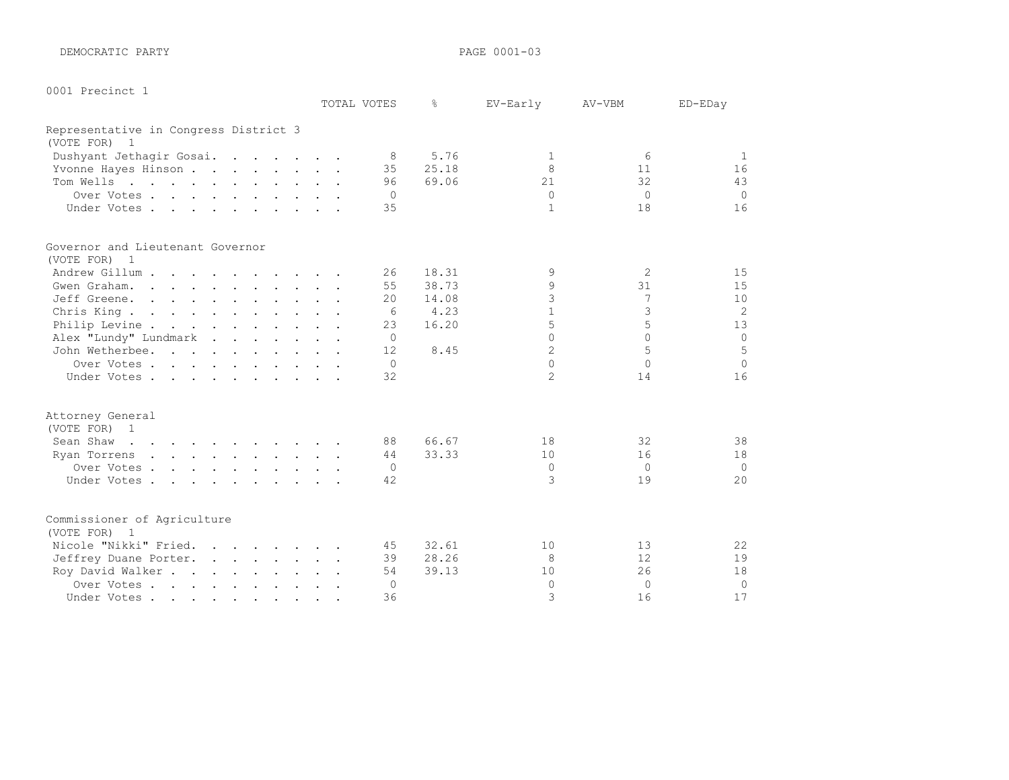DEMOCRATIC PARTY **PAGE 0001-03** 

| 0001 | Precinct |  |
|------|----------|--|
|      |          |  |

|                                                                                                                                 |  | TOTAL VOTES | ⊱     | EV-Early       | AV-VBM    | ED-EDay  |
|---------------------------------------------------------------------------------------------------------------------------------|--|-------------|-------|----------------|-----------|----------|
| Representative in Congress District 3                                                                                           |  |             |       |                |           |          |
| (VOTE FOR)<br>1                                                                                                                 |  |             |       |                |           |          |
| Dushyant Jethagir Gosai.                                                                                                        |  | -8          | 5.76  | 1              | 6         | 1        |
| Yvonne Hayes Hinson                                                                                                             |  | 35          | 25.18 | 8              | 11        | 16       |
| Tom Wells                                                                                                                       |  | 96          | 69.06 | 21             | 32        | 43       |
| Over Votes                                                                                                                      |  | $\Omega$    |       | $\Omega$       | $\bigcap$ | $\Omega$ |
| Under Votes                                                                                                                     |  | 35          |       | $\mathbf{1}$   | 18        | 16       |
| Governor and Lieutenant Governor                                                                                                |  |             |       |                |           |          |
| (VOTE FOR) 1                                                                                                                    |  |             |       |                |           |          |
| Andrew Gillum                                                                                                                   |  | 26          | 18.31 | 9              | 2         | 15       |
| Gwen Graham.                                                                                                                    |  | 55          | 38.73 | 9              | 31        | 15       |
| Jeff Greene.                                                                                                                    |  | 20          | 14.08 | 3              | 7         | 10       |
| Chris King.                                                                                                                     |  | 6           | 4.23  | $\mathbf{1}$   | 3         | 2        |
| Philip Levine                                                                                                                   |  | 23          | 16.20 | 5              | 5         | 13       |
| Alex "Lundy" Lundmark                                                                                                           |  | $\Omega$    |       | $\cap$         | $\Omega$  | $\circ$  |
| John Wetherbee.                                                                                                                 |  | 12          | 8.45  | $\overline{2}$ | 5         | 5        |
| Over Votes                                                                                                                      |  | $\Omega$    |       | $\Omega$       | $\Omega$  | $\Omega$ |
| Under Votes                                                                                                                     |  | 32          |       | $\mathfrak{D}$ | 14        | 16       |
| Attorney General                                                                                                                |  |             |       |                |           |          |
| (VOTE FOR) 1                                                                                                                    |  |             |       |                |           |          |
| Sean Shaw<br>the contract of the contract of the contract of                                                                    |  | 88          | 66.67 | 18             | 32        | 38       |
| Ryan Torrens<br>the contract of the contract of the contract of the contract of the contract of the contract of the contract of |  | 44          | 33.33 | 10             | 16        | 18       |
| Over Votes                                                                                                                      |  | $\Omega$    |       | $\mathbf{0}$   | $\Omega$  | $\Omega$ |
| Under Votes                                                                                                                     |  | 42          |       | 3              | 19        | 20       |
| Commissioner of Agriculture                                                                                                     |  |             |       |                |           |          |
| (VOTE FOR) 1                                                                                                                    |  |             |       |                |           |          |
| Nicole "Nikki" Fried.                                                                                                           |  | 45          | 32.61 | 10             | 13        | 22       |
| Jeffrey Duane Porter.                                                                                                           |  | 39          | 28.26 | 8              | 12        | 19       |
| Roy David Walker                                                                                                                |  | 54          | 39.13 | 10             | 26        | 18       |
| Over Votes                                                                                                                      |  | 0           |       | $\Omega$       | $\Omega$  | $\circ$  |
| Under Votes                                                                                                                     |  | 36          |       | 3              | 16        | 17       |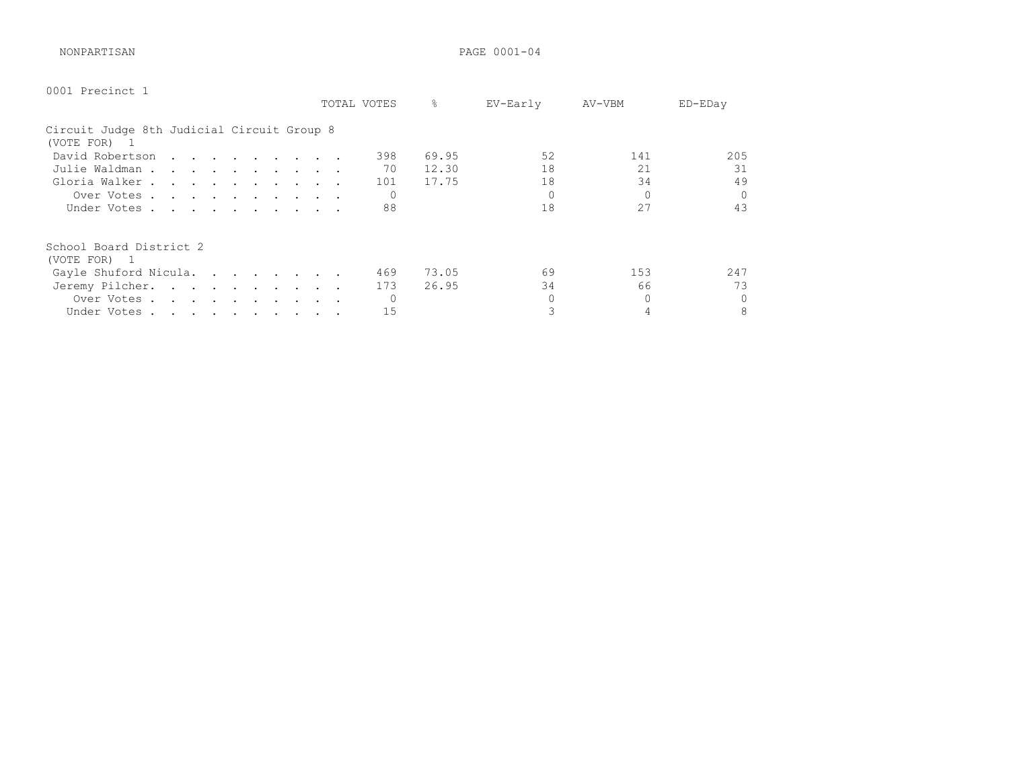NONPARTISAN PAGE 0001-04

| 0001 Precinct 1                                            |  |  |  |  |  |             |               |          |          |          |
|------------------------------------------------------------|--|--|--|--|--|-------------|---------------|----------|----------|----------|
|                                                            |  |  |  |  |  | TOTAL VOTES | $\frac{6}{6}$ | EV-Early | AV-VBM   | ED-EDay  |
| Circuit Judge 8th Judicial Circuit Group 8<br>(VOTE FOR) 1 |  |  |  |  |  |             |               |          |          |          |
| David Robertson                                            |  |  |  |  |  | 398         | 69.95         | 52       | 141      | 205      |
| Julie Waldman                                              |  |  |  |  |  | 70          | 12.30         | 18       | 21       | 31       |
| Gloria Walker                                              |  |  |  |  |  | 101         | 17.75         | 18       | 34       | 49       |
| Over Votes                                                 |  |  |  |  |  | 0           |               |          | $\Omega$ | $\Omega$ |
| Under Votes                                                |  |  |  |  |  | 88          |               | 18       | 27       | 43       |
| School Board District 2<br>(VOTE FOR) 1                    |  |  |  |  |  |             |               |          |          |          |
| Gayle Shuford Nicula.                                      |  |  |  |  |  | 469         | 73.05         | 69       | 153      | 247      |
| Jeremy Pilcher.                                            |  |  |  |  |  | 173         | 26.95         | 34       | 66       | 73       |
| Over Votes                                                 |  |  |  |  |  |             |               |          |          | $\Omega$ |
| Under Votes                                                |  |  |  |  |  | 15          |               |          |          | 8        |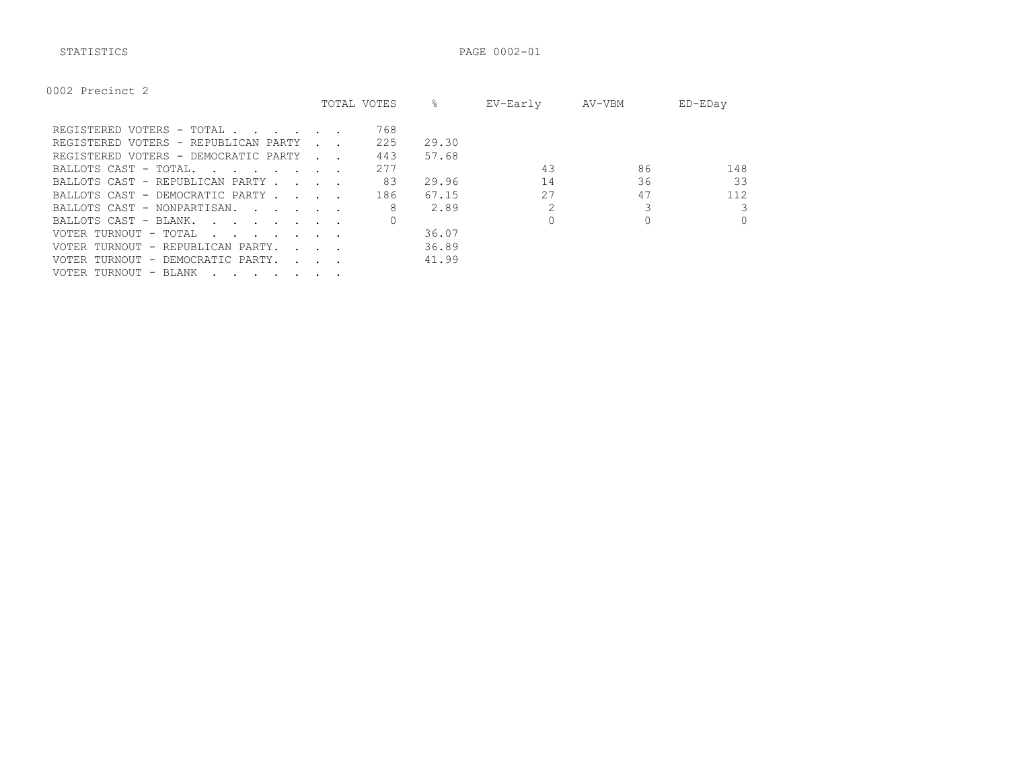STATISTICS PAGE 0002-01

|                                                                                                                                          |                      | TOTAL VOTES | ⊱     | EV-Early | AV-VBM | ED-EDay  |
|------------------------------------------------------------------------------------------------------------------------------------------|----------------------|-------------|-------|----------|--------|----------|
| REGISTERED VOTERS - TOTAL                                                                                                                |                      | 768         |       |          |        |          |
| REGISTERED VOTERS - REPUBLICAN PARTY                                                                                                     |                      | 225         | 29.30 |          |        |          |
| REGISTERED VOTERS - DEMOCRATIC PARTY                                                                                                     | and the control      | 443         | 57.68 |          |        |          |
| BALLOTS CAST - TOTAL.                                                                                                                    |                      | 277         |       | 43       | 86     | 148      |
| BALLOTS CAST - REPUBLICAN PARTY.<br><b>Contract Contract</b>                                                                             |                      | 83          | 29.96 | 14       | 36     | 33       |
| BALLOTS CAST - DEMOCRATIC PARTY                                                                                                          |                      | 186         | 67.15 | 27       | 47     | 112      |
| BALLOTS CAST - NONPARTISAN.                                                                                                              |                      | 8           | 2.89  |          |        | 3        |
| BALLOTS CAST - BLANK.<br>the contract of the contract of the contract of the contract of the contract of the contract of the contract of |                      |             |       |          |        | $\Omega$ |
| VOTER TURNOUT - TOTAL<br>the contract of the contract of the contract of the contract of the contract of the contract of the contract of |                      |             | 36.07 |          |        |          |
| VOTER TURNOUT - REPUBLICAN PARTY.                                                                                                        | $\sim$ $\sim$ $\sim$ |             | 36.89 |          |        |          |
| VOTER TURNOUT - DEMOCRATIC PARTY.                                                                                                        | $\sim$ $\sim$ $\sim$ |             | 41.99 |          |        |          |
| VOTER TURNOUT - BLANK<br>$\cdot$ , , , , , , , ,                                                                                         |                      |             |       |          |        |          |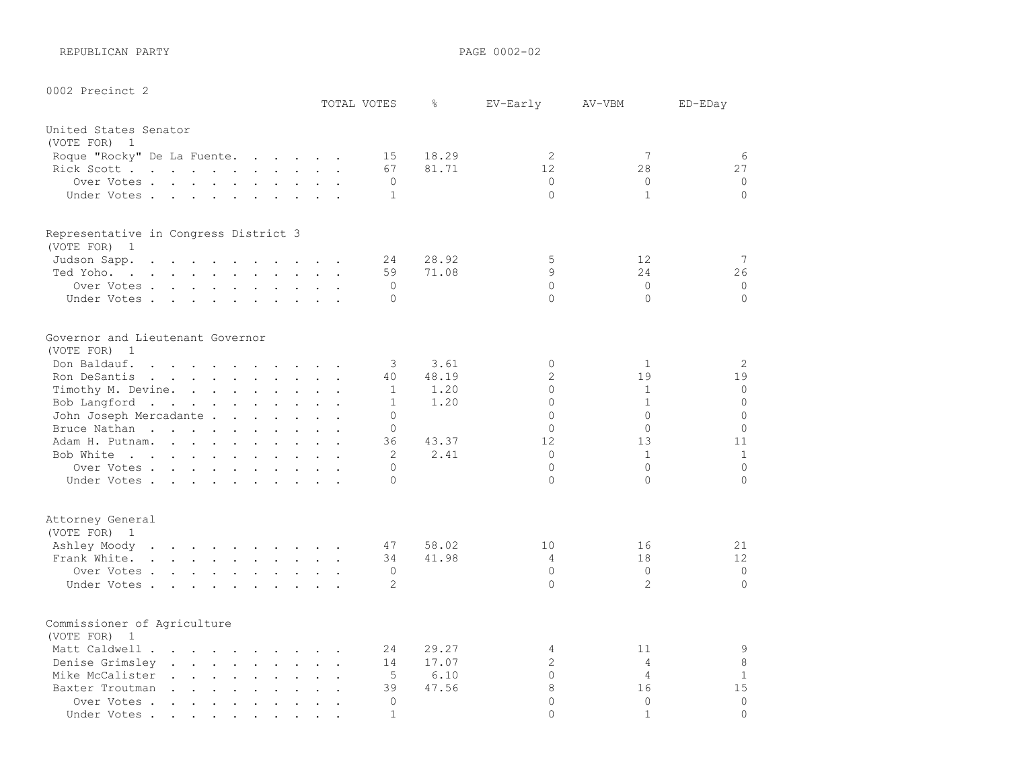REPUBLICAN PARTY **PAGE 0002-02** 

0002 Precinct 2

|                                                                                                                                                                                                                                                   | TOTAL VOTES |              | $\frac{6}{\pi}$ | EV-Early       | AV-VBM            | ED-EDay        |
|---------------------------------------------------------------------------------------------------------------------------------------------------------------------------------------------------------------------------------------------------|-------------|--------------|-----------------|----------------|-------------------|----------------|
| United States Senator                                                                                                                                                                                                                             |             |              |                 |                |                   |                |
| (VOTE FOR) 1                                                                                                                                                                                                                                      |             |              |                 |                |                   |                |
| Roque "Rocky" De La Fuente.                                                                                                                                                                                                                       |             | 15           | 18.29           | $\overline{2}$ | 7                 | 6              |
| Rick Scott                                                                                                                                                                                                                                        |             | 67           | 81.71           | 12             | 28                | 27             |
| Over Votes                                                                                                                                                                                                                                        |             | $\Omega$     |                 | $\mathbf{0}$   | $\circ$           | $\mathbf 0$    |
| Under Votes                                                                                                                                                                                                                                       |             | $\mathbf{1}$ |                 | $\Omega$       | $\mathbf{1}$      | $\circ$        |
| Representative in Congress District 3<br>(VOTE FOR) 1                                                                                                                                                                                             |             |              |                 |                |                   |                |
| Judson Sapp.                                                                                                                                                                                                                                      |             | 24           | 28.92           | 5              | $12 \overline{ }$ | 7              |
| Ted Yoho.                                                                                                                                                                                                                                         |             | 59           | 71.08           | 9              | 24                | 26             |
| Over Votes                                                                                                                                                                                                                                        |             | $\Omega$     |                 | $\circ$        | $\mathbf{0}$      | $\mathbf 0$    |
| Under Votes.                                                                                                                                                                                                                                      |             | $\Omega$     |                 | $\Omega$       | $\Omega$          | $\circ$        |
|                                                                                                                                                                                                                                                   |             |              |                 |                |                   |                |
| Governor and Lieutenant Governor                                                                                                                                                                                                                  |             |              |                 |                |                   |                |
| (VOTE FOR) 1                                                                                                                                                                                                                                      |             |              |                 |                |                   |                |
| Don Baldauf.<br>$\mathbf{r}$ . The contract of the contract of the contract of the contract of the contract of the contract of the contract of the contract of the contract of the contract of the contract of the contract of the contract of th |             | 3            | 3.61            | $\Omega$       | $\mathbf{1}$      | $\overline{c}$ |
| Ron DeSantis                                                                                                                                                                                                                                      |             | 40           | 48.19           | $\overline{2}$ | 19                | 19             |
| Timothy M. Devine.                                                                                                                                                                                                                                |             | $\mathbf{1}$ | 1.20            | $\Omega$       | $\mathbf{1}$      | $\circ$        |
| Bob Langford                                                                                                                                                                                                                                      |             | $\mathbf{1}$ | 1.20            | $\Omega$       | $\mathbf{1}$      | $\Omega$       |
| John Joseph Mercadante                                                                                                                                                                                                                            |             | $\Omega$     |                 | $\Omega$       | $\Omega$          | $\circ$        |
| Bruce Nathan                                                                                                                                                                                                                                      |             | $\Omega$     |                 | $\Omega$       | $\Omega$          | $\mathbf 0$    |
| Adam H. Putnam.                                                                                                                                                                                                                                   |             | 36           | 43.37           | 12             | 13                | 11             |
| Bob White                                                                                                                                                                                                                                         |             | 2            | 2.41            | $\circ$        | $\mathbf{1}$      | $\mathbf{1}$   |
| Over Votes                                                                                                                                                                                                                                        |             | $\Omega$     |                 | $\Omega$       | $\Omega$          | $\Omega$       |
| Under Votes                                                                                                                                                                                                                                       |             | $\Omega$     |                 | $\Omega$       | $\Omega$          | $\Omega$       |
| Attorney General                                                                                                                                                                                                                                  |             |              |                 |                |                   |                |
| (VOTE FOR) 1                                                                                                                                                                                                                                      |             |              |                 |                |                   |                |
| Ashley Moody                                                                                                                                                                                                                                      |             | 47           | 58.02           | 10             | 16                | 21             |
| Frank White.                                                                                                                                                                                                                                      |             | 34           | 41.98           | 4              | 18                | 12             |
| Over Votes                                                                                                                                                                                                                                        |             | $\Omega$     |                 | $\Omega$       | $\mathbf{0}$      | $\mathbf 0$    |
| Under Votes                                                                                                                                                                                                                                       |             | 2            |                 | $\Omega$       | 2                 | $\circ$        |
| Commissioner of Agriculture                                                                                                                                                                                                                       |             |              |                 |                |                   |                |
| (VOTE FOR) 1                                                                                                                                                                                                                                      |             |              |                 |                |                   |                |
| Matt Caldwell                                                                                                                                                                                                                                     |             | 24           | 29.27           | 4              | 11                | 9              |
| Denise Grimsley                                                                                                                                                                                                                                   |             | 14           | 17.07           | $\sqrt{2}$     | 4                 | 8              |
| Mike McCalister                                                                                                                                                                                                                                   |             | 5            | 6.10            | $\circ$        | $\overline{4}$    | $\mathbf{1}$   |
| Baxter Troutman                                                                                                                                                                                                                                   |             | 39           | 47.56           | 8              | 16                | 15             |
| Over Votes                                                                                                                                                                                                                                        |             | $\cap$       |                 | $\cap$         | $\Omega$          | $\circ$        |

Under Votes . . . . . . . . . . 1 0 1 0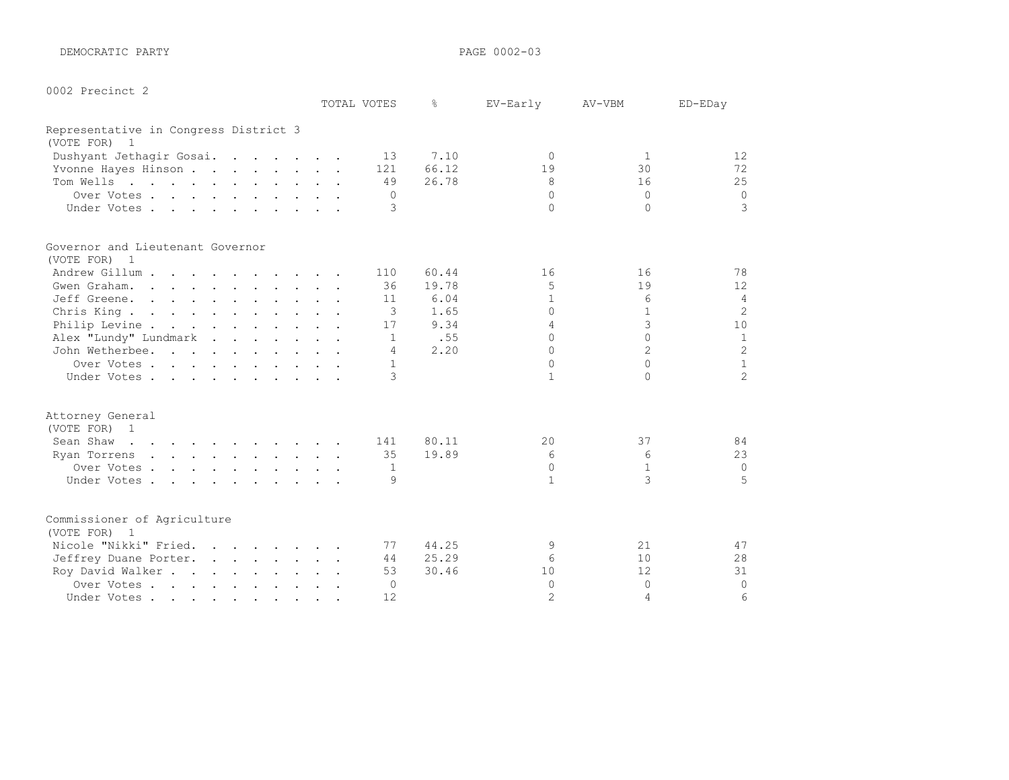DEMOCRATIC PARTY PAGE 0002-03

0002 Precinct 2

| UUUZ Precinct Z                             | TOTAL VOTES    | g.    | EV-Early        | AV-VBM       | ED-EDay        |
|---------------------------------------------|----------------|-------|-----------------|--------------|----------------|
| Representative in Congress District 3       |                |       |                 |              |                |
| (VOTE FOR) 1                                |                |       |                 |              |                |
| Dushyant Jethagir Gosai.                    | 13             | 7.10  | $\Omega$        | 1            | 12             |
| Yvonne Hayes Hinson                         | 121            | 66.12 | 19              | 30           | 72             |
| Tom Wells                                   | 49             | 26.78 | 8               | 16           | 25             |
| Over Votes                                  | $\overline{0}$ |       | $\circ$         | $\mathbf{0}$ | $\circ$        |
| Under Votes                                 | 3              |       | $\Omega$        | $\Omega$     | 3              |
| Governor and Lieutenant Governor            |                |       |                 |              |                |
| (VOTE FOR) 1                                |                |       |                 |              |                |
| Andrew Gillum                               | 110            | 60.44 | 16              | 16           | 78             |
| Gwen Graham.                                | 36             | 19.78 | 5               | 19           | 12             |
| Jeff Greene.                                | 11             | 6.04  | $\mathbf{1}$    | 6            | $\overline{4}$ |
| Chris King.                                 | 3              | 1.65  | $\Omega$        | $\mathbf{1}$ | $\overline{c}$ |
| Philip Levine                               | 17             | 9.34  | 4               | 3            | 10             |
| Alex "Lundy" Lundmark                       | 1              | .55   | $\Omega$        | $\Omega$     | $\mathbf{1}$   |
| John Wetherbee.                             | 4              | 2.20  | $\Omega$        | 2            | $\overline{c}$ |
| Over Votes                                  | 1              |       | $\Omega$        | $\Omega$     | $\mathbf{1}$   |
| Under Votes                                 | 3              |       | $\mathbf{1}$    | $\Omega$     | $\overline{c}$ |
| Attorney General                            |                |       |                 |              |                |
| (VOTE FOR) 1                                |                |       |                 |              |                |
| Sean Shaw                                   | 141            | 80.11 | $20^{\circ}$    | 37           | 84             |
| Ryan Torrens                                | 35             | 19.89 | 6               | 6            | 23             |
| Over Votes                                  | -1             |       | $\Omega$        | $\mathbf{1}$ | $\mathbf 0$    |
| Under Votes                                 | 9              |       | $\mathbf{1}$    | 3            | 5              |
| Commissioner of Agriculture<br>(VOTE FOR) 1 |                |       |                 |              |                |
|                                             |                | 44.25 |                 | 21           | 47             |
| Nicole "Nikki" Fried.                       | 77             | 25.29 | 9<br>6          | 10           | 28             |
| Jeffrey Duane Porter.                       | 44<br>53       | 30.46 | 10 <sup>°</sup> | 12           | 31             |
| Roy David Walker                            | $\Omega$       |       | $\mathbf{0}$    | $\circ$      | $\circ$        |
| Over Votes<br>Under Votes                   | 12             |       | $\overline{2}$  | 4            | 6              |
|                                             |                |       |                 |              |                |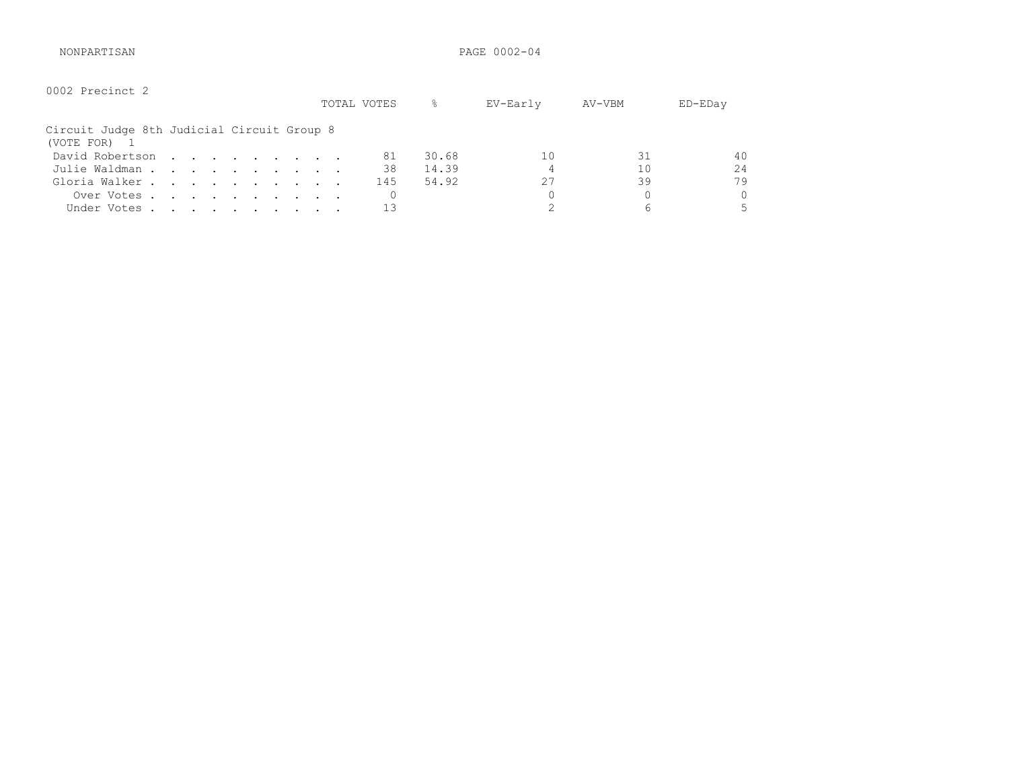NONPARTISAN PAGE 0002-04

| 0002 Precinct 2                                          |  |  |  |  | TOTAL VOTES | 옹     | EV-Early | AV-VBM | $ED$ – $ED$ ay |
|----------------------------------------------------------|--|--|--|--|-------------|-------|----------|--------|----------------|
| Circuit Judge 8th Judicial Circuit Group 8<br>(VOTE FOR) |  |  |  |  |             |       |          |        |                |
| David Robertson                                          |  |  |  |  | 81          | 30.68 | 10       | 31     | 40             |
| Julie Waldman                                            |  |  |  |  | 38          | 14.39 |          | 10     | 24             |
| Gloria Walker                                            |  |  |  |  | 145         | 54.92 | 27       | 39     | 79             |
| Over Votes                                               |  |  |  |  |             |       |          |        | 0              |
| Under Votes                                              |  |  |  |  |             |       |          | 6      |                |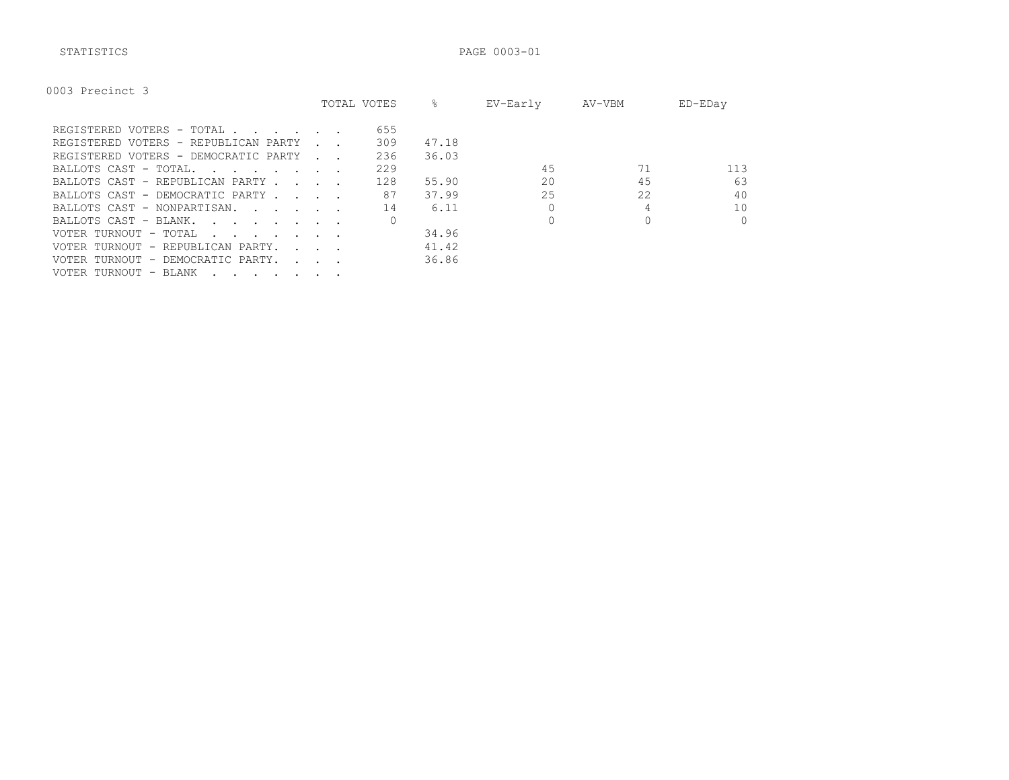STATISTICS PAGE 0003-01

| 0003 Precinct 3 |  |
|-----------------|--|
|-----------------|--|

|                                                                                                                                          |                              | TOTAL VOTES | ⊱     | EV-Early | AV-VBM | ED-EDay  |
|------------------------------------------------------------------------------------------------------------------------------------------|------------------------------|-------------|-------|----------|--------|----------|
| REGISTERED VOTERS - TOTAL                                                                                                                |                              | 655         |       |          |        |          |
| REGISTERED VOTERS - REPUBLICAN PARTY                                                                                                     |                              | 309         | 47.18 |          |        |          |
| REGISTERED VOTERS - DEMOCRATIC PARTY                                                                                                     |                              | 236         | 36.03 |          |        |          |
| BALLOTS CAST - TOTAL.<br>the contract of the contract of the contract of the contract of the contract of the contract of the contract of |                              | 229         |       | 45       |        | 113      |
| BALLOTS CAST - REPUBLICAN PARTY.                                                                                                         | and the contract of the con- | 128         | 55.90 | 20       | 45     | 63       |
| BALLOTS CAST - DEMOCRATIC PARTY                                                                                                          |                              | 87          | 37.99 | 25       | 22     | 40       |
| BALLOTS CAST - NONPARTISAN.                                                                                                              |                              | 14          | 6.11  |          |        | 10       |
| BALLOTS CAST - BLANK.<br>the contract of the contract of the contract of the contract of the contract of the contract of the contract of |                              |             |       |          |        | $\Omega$ |
| VOTER TURNOUT - TOTAL<br>the contract of the contract of the contract of the contract of the contract of the contract of the contract of |                              |             | 34.96 |          |        |          |
| VOTER TURNOUT - REPUBLICAN PARTY.                                                                                                        | <b>Service State</b>         |             | 41.42 |          |        |          |
| VOTER TURNOUT - DEMOCRATIC PARTY.                                                                                                        | <b>Carl Control</b>          |             | 36.86 |          |        |          |
| VOTER TURNOUT - BLANK                                                                                                                    |                              |             |       |          |        |          |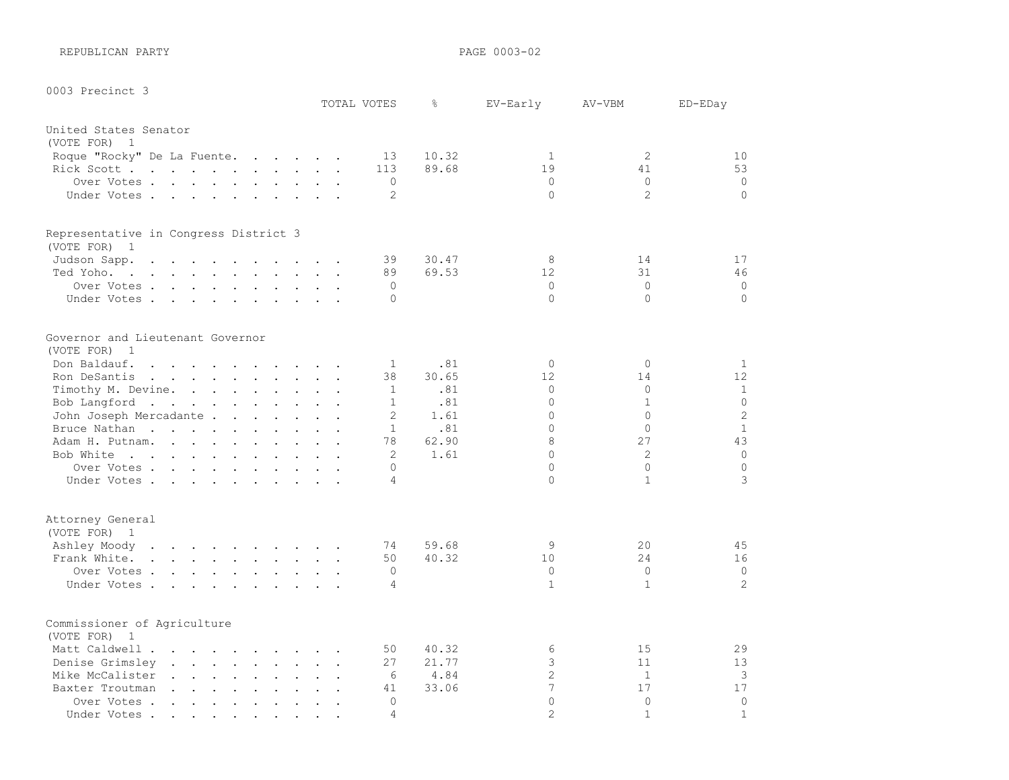REPUBLICAN PARTY **PAGE 0003-02** 

0003 Precinct 3

| OODS RIECTHEL S                                                                                                                 |                                         |                      | TOTAL VOTES    | g     | EV-Early       | AV-VBM         | ED-EDay        |
|---------------------------------------------------------------------------------------------------------------------------------|-----------------------------------------|----------------------|----------------|-------|----------------|----------------|----------------|
| United States Senator                                                                                                           |                                         |                      |                |       |                |                |                |
| (VOTE FOR) 1                                                                                                                    |                                         |                      |                |       |                |                |                |
| Roque "Rocky" De La Fuente.                                                                                                     |                                         |                      | 13             | 10.32 | $\mathbf{1}$   | $\mathbf{2}$   | 10             |
| Rick Scott                                                                                                                      |                                         |                      | 113            | 89.68 | 19             | 41             | 53             |
| Over Votes                                                                                                                      |                                         |                      | $\Omega$       |       | $\mathbf{0}$   | $\circ$        | $\mathbf 0$    |
| Under Votes                                                                                                                     |                                         |                      | 2              |       | $\Omega$       | 2              | $\circ$        |
| Representative in Congress District 3                                                                                           |                                         |                      |                |       |                |                |                |
| (VOTE FOR) 1                                                                                                                    |                                         |                      |                |       |                |                |                |
| Judson Sapp.<br>the contract of the contract of the contract of the contract of the contract of the contract of the contract of |                                         |                      | 39             | 30.47 | 8              | 14             | 17             |
| Ted Yoho.                                                                                                                       |                                         |                      | 89             | 69.53 | 12             | 31             | 46             |
| Over Votes                                                                                                                      |                                         |                      | $\Omega$       |       | $\circ$        | $\circ$        | $\circ$        |
| Under Votes                                                                                                                     |                                         |                      | $\Omega$       |       | $\Omega$       | $\Omega$       | $\circ$        |
| Governor and Lieutenant Governor                                                                                                |                                         |                      |                |       |                |                |                |
| (VOTE FOR) 1                                                                                                                    |                                         |                      |                |       |                |                |                |
| Don Baldauf.<br>the contract of the contract of the contract of the contract of the contract of the contract of the contract of |                                         |                      | 1              | .81   | $\Omega$       | $\circ$        | $\mathbf{1}$   |
| Ron DeSantis                                                                                                                    |                                         |                      | 38             | 30.65 | 12             | 14             | 12             |
| Timothy M. Devine.                                                                                                              |                                         |                      | $\mathbf{1}$   | .81   | $\circ$        | $\circ$        | $\mathbf{1}$   |
| Bob Langford                                                                                                                    |                                         |                      | $\mathbf{1}$   | .81   | $\circ$        | $\mathbf 1$    | $\overline{0}$ |
| John Joseph Mercadante .                                                                                                        | and the contract of the contract of the |                      | $\mathbf{2}$   | 1.61  | $\Omega$       | $\overline{0}$ | $\overline{c}$ |
| Bruce Nathan                                                                                                                    |                                         |                      | $\mathbf{1}$   | .81   | $\Omega$       | $\Omega$       | $\mathbf{1}$   |
| Adam H. Putnam.                                                                                                                 |                                         |                      | 78             | 62.90 | 8              | 27             | 43             |
| Bob White                                                                                                                       |                                         |                      | 2              | 1.61  | $\Omega$       | 2              | $\circ$        |
| Over Votes                                                                                                                      |                                         |                      | $\Omega$       |       | $\Omega$       | $\circ$        | $\circ$        |
| Under Votes.                                                                                                                    |                                         |                      | 4              |       | $\Omega$       | $\mathbf{1}$   | 3              |
| Attorney General                                                                                                                |                                         |                      |                |       |                |                |                |
| (VOTE FOR) 1                                                                                                                    |                                         |                      |                |       |                |                |                |
| Ashley Moody                                                                                                                    |                                         |                      | 74             | 59.68 | 9              | 20             | 45             |
| Frank White.                                                                                                                    |                                         |                      | 50             | 40.32 | 10             | 24             | 16             |
| Over Votes.                                                                                                                     |                                         |                      | $\Omega$       |       | $\Omega$       | $\Omega$       | $\circ$        |
| Under Votes                                                                                                                     |                                         |                      | $\overline{4}$ |       | $\mathbf{1}$   | $\mathbf{1}$   | $\overline{c}$ |
| Commissioner of Agriculture                                                                                                     |                                         |                      |                |       |                |                |                |
| (VOTE FOR) 1                                                                                                                    |                                         |                      |                |       |                |                |                |
| Matt Caldwell                                                                                                                   |                                         |                      | 50             | 40.32 | 6              | 15             | 29             |
| Denise Grimsley                                                                                                                 |                                         | $\ddot{\phantom{a}}$ | 27             | 21.77 | 3              | 11             | 13             |
| Mike McCalister                                                                                                                 |                                         |                      | 6              | 4.84  | $\overline{2}$ | $\mathbf{1}$   | 3              |
| Baxter Troutman                                                                                                                 | $\ddot{\phantom{a}}$                    | $\mathbf{L}$         | 41             | 33.06 | 7              | 17             | 17             |
| Over Votes                                                                                                                      |                                         |                      | $\cap$         |       | $\cap$         | $\Omega$       | $\Omega$       |

Under Votes . . . . . . . . . . 4 2 1 1 1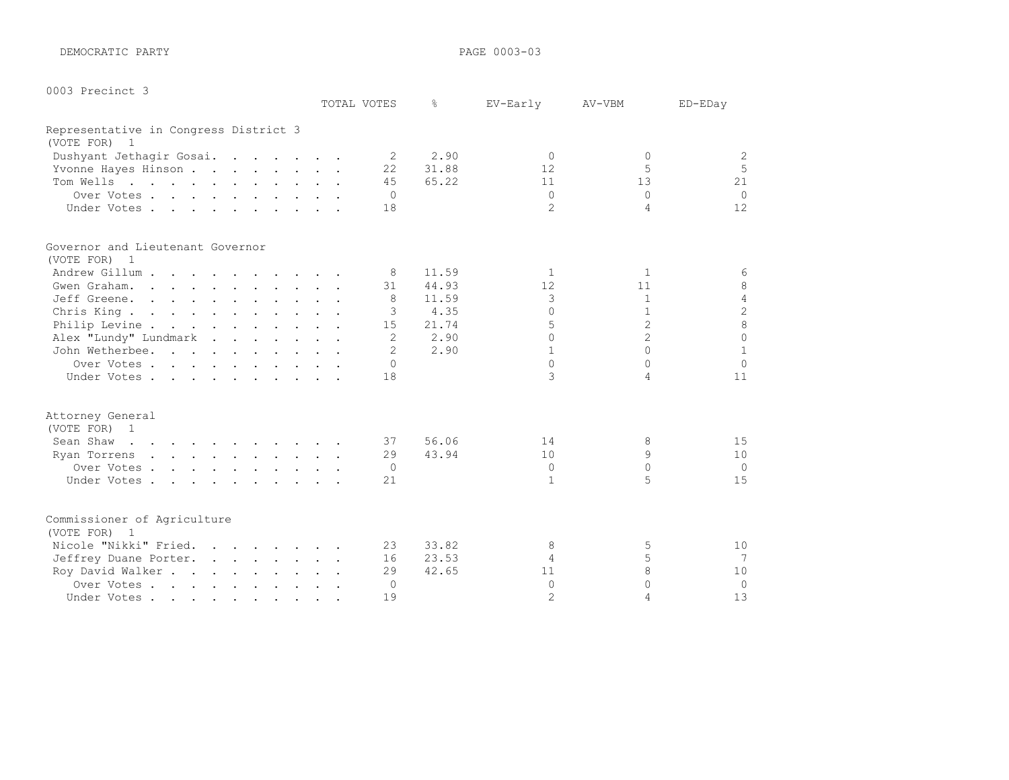DEMOCRATIC PARTY **PARTY PAGE 0003-03** 

|  | 0003 Precinct 3 |  |  |
|--|-----------------|--|--|
|--|-----------------|--|--|

|                                                    |  | TOTAL VOTES    | ⊱     | EV-Early       | AV-VBM         | ED-EDay         |
|----------------------------------------------------|--|----------------|-------|----------------|----------------|-----------------|
| Representative in Congress District 3              |  |                |       |                |                |                 |
| (VOTE FOR) 1                                       |  |                |       |                |                |                 |
| Dushyant Jethagir Gosai.                           |  | 2              | 2.90  | $\Omega$       | $\Omega$       | 2               |
| Yvonne Hayes Hinson                                |  | 22             | 31.88 | 12             | 5              | 5               |
| Tom Wells                                          |  | 45             | 65.22 | 11             | 13             | 21              |
| Over Votes                                         |  | $\Omega$       |       | $\Omega$       | $\cap$         | $\Omega$        |
| Under Votes                                        |  | 18             |       | $\mathfrak{D}$ | 4              | 12              |
| Governor and Lieutenant Governor                   |  |                |       |                |                |                 |
| (VOTE FOR) 1                                       |  |                |       |                |                |                 |
| Andrew Gillum                                      |  | 8              | 11.59 | 1              | $\mathbf{1}$   | 6               |
| Gwen Graham.                                       |  | 31             | 44.93 | 12             | 11             | 8               |
| Jeff Greene.                                       |  | 8              | 11.59 | 3              | $\mathbf{1}$   | $\sqrt{4}$      |
| Chris King                                         |  | 3              | 4.35  | $\Omega$       | $\mathbf{1}$   | $\overline{c}$  |
| Philip Levine                                      |  | 15             | 21.74 | 5              | $\overline{2}$ | $\overline{8}$  |
| Alex "Lundy" Lundmark                              |  | $\overline{2}$ | 2.90  | $\cap$         | $\overline{2}$ | $\Omega$        |
| John Wetherbee.                                    |  | $\overline{2}$ | 2.90  | $\mathbf{1}$   | $\cap$         | $\mathbf{1}$    |
| Over Votes                                         |  | $\Omega$       |       | $\Omega$       | $\cap$         | $\Omega$        |
| Under Votes                                        |  | 18             |       | 3              | 4              | 11              |
| Attorney General                                   |  |                |       |                |                |                 |
| (VOTE FOR) 1                                       |  |                |       |                |                |                 |
| Sean Shaw<br><u>na kama sa sana sa sa sa sa sa</u> |  | 37             | 56.06 | 14             | 8              | 15              |
| Ryan Torrens                                       |  | 29             | 43.94 | 10             | 9              | 10              |
| Over Votes                                         |  | 0              |       | $\Omega$       | $\Omega$       | $\Omega$        |
| Under Votes                                        |  | 21             |       | $\mathbf{1}$   | 5              | 15              |
| Commissioner of Agriculture                        |  |                |       |                |                |                 |
| (VOTE FOR) 1                                       |  |                |       |                |                |                 |
| Nicole "Nikki" Fried.                              |  | 23             | 33.82 | 8              | 5              | 10              |
| Jeffrey Duane Porter.                              |  | 16             | 23.53 | 4              | 5              | $7\phantom{.0}$ |
| Roy David Walker                                   |  | 29             | 42.65 | 11             | 8              | 10              |
| Over Votes                                         |  | $\Omega$       |       | $\Omega$       | $\Omega$       | $\Omega$        |
| Under Votes                                        |  | 19             |       | $\overline{2}$ | Δ              | 13              |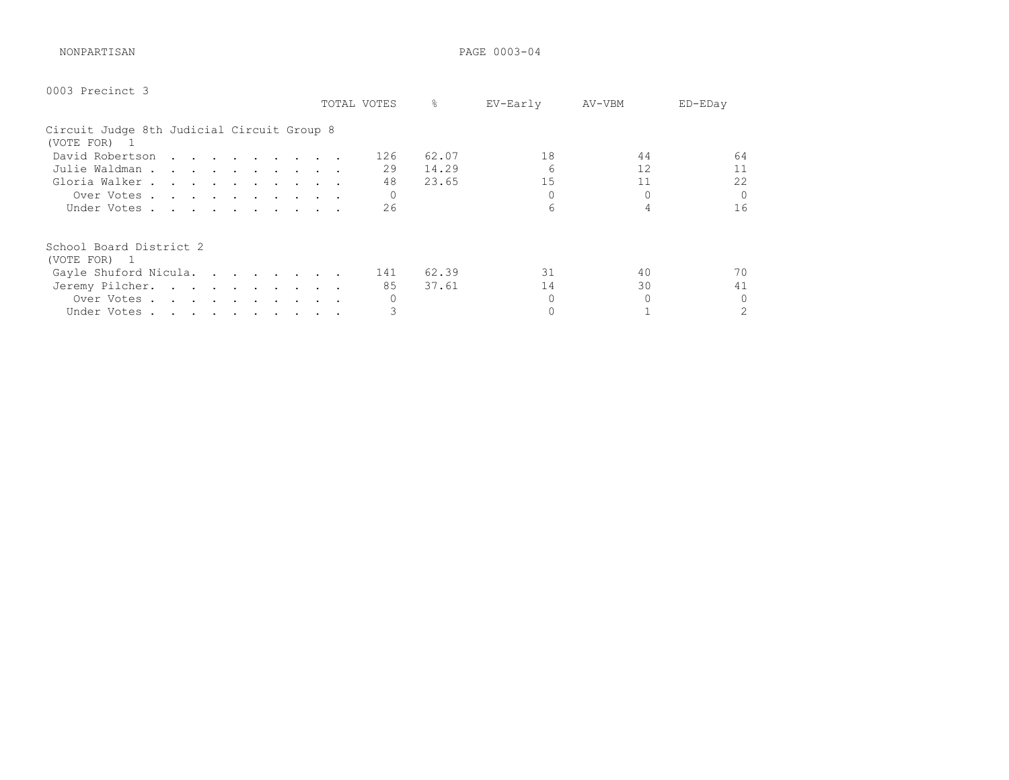NONPARTISAN PAGE 0003-04

| 0003 Precinct 3                                            |             |               |          |        |                |
|------------------------------------------------------------|-------------|---------------|----------|--------|----------------|
|                                                            | TOTAL VOTES | $\frac{6}{6}$ | EV-Early | AV-VBM | ED-EDay        |
| Circuit Judge 8th Judicial Circuit Group 8<br>(VOTE FOR) 1 |             |               |          |        |                |
| David Robertson                                            | 126         | 62.07         | 18       | 44     | 64             |
| Julie Waldman                                              | 29          | 14.29         | 6        | 12     | 11             |
| Gloria Walker                                              | 48          | 23.65         | 15       | 11     | 22             |
| Over Votes                                                 |             |               |          |        | $\Omega$       |
| Under Votes                                                | 26          |               | 6        |        | 16             |
| School Board District 2<br>(VOTE FOR) 1                    |             |               |          |        |                |
| Gayle Shuford Nicula.                                      | 141         | 62.39         | 31       | 40     | 70             |
| Jeremy Pilcher.                                            | 85          | 37.61         | 14       | 30     | 41             |
| Over Votes                                                 |             |               |          |        | $\overline{0}$ |
| Under Votes                                                |             |               |          |        | $\mathfrak{D}$ |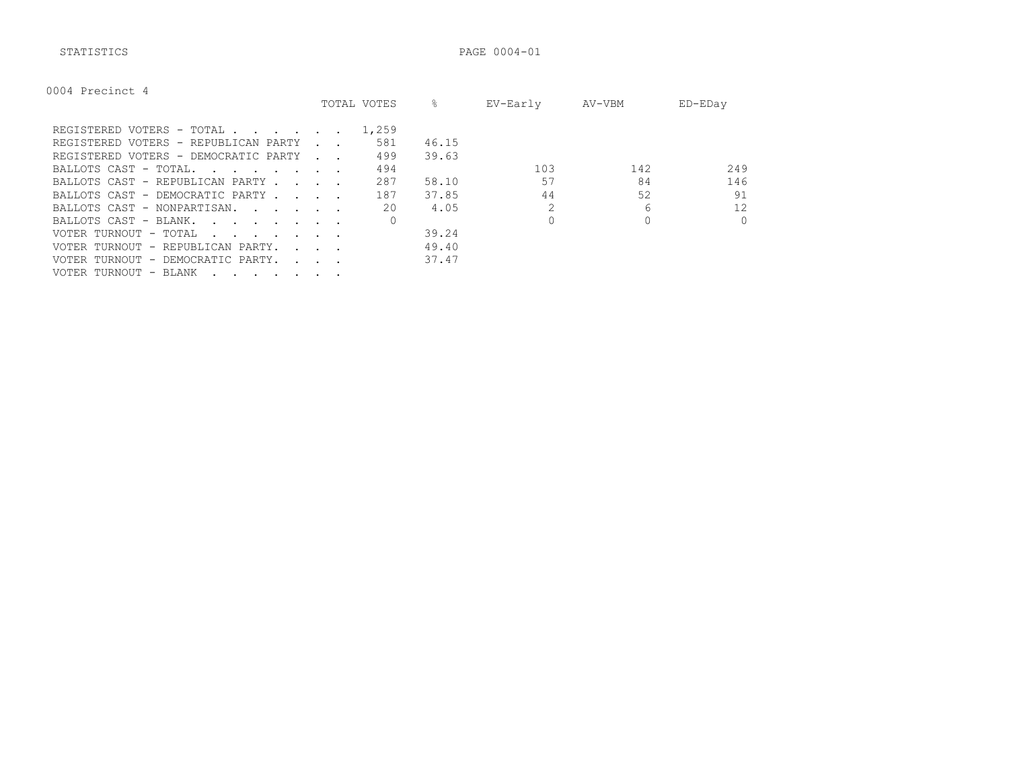STATISTICS PAGE 0004-01

| 0004 Precinct |  |
|---------------|--|
|---------------|--|

|                                                                                                                                                                                                                                                               |                                 | TOTAL VOTES | 옹     | EV-Early | AV-VBM | ED-EDay  |
|---------------------------------------------------------------------------------------------------------------------------------------------------------------------------------------------------------------------------------------------------------------|---------------------------------|-------------|-------|----------|--------|----------|
| REGISTERED VOTERS - TOTAL                                                                                                                                                                                                                                     |                                 | 1,259       |       |          |        |          |
| REGISTERED VOTERS - REPUBLICAN PARTY                                                                                                                                                                                                                          |                                 | 581         | 46.15 |          |        |          |
| REGISTERED VOTERS - DEMOCRATIC PARTY                                                                                                                                                                                                                          | <b>Contract Contract Street</b> | 499         | 39.63 |          |        |          |
| BALLOTS CAST - TOTAL.<br>the contract of the contract of the contract of the contract of the contract of the contract of the contract of                                                                                                                      |                                 | 494         |       | 103      | 142    | 249      |
| BALLOTS CAST - REPUBLICAN PARTY.                                                                                                                                                                                                                              | $\sim$ $\sim$ $\sim$ $\sim$     | 287         | 58.10 | 57       | 84     | 146      |
| BALLOTS CAST - DEMOCRATIC PARTY.                                                                                                                                                                                                                              | $\sim$ $\sim$ $\sim$ $\sim$     | 187         | 37.85 | 44       | 52     | 91       |
| BALLOTS CAST - NONPARTISAN.                                                                                                                                                                                                                                   |                                 | 20          | 4.05  |          | 6      | 12       |
| BALLOTS CAST - BLANK.<br><u>in the second contract of the second contract of the second contract of the second contract of the second contract of the second contract of the second contract of the second contract of the second contract of the second </u> |                                 |             |       |          |        | $\Omega$ |
| VOTER TURNOUT - TOTAL<br>the contract of the contract of the contract of the contract of the contract of the contract of the contract of                                                                                                                      |                                 |             | 39.24 |          |        |          |
| VOTER TURNOUT - REPUBLICAN PARTY.                                                                                                                                                                                                                             | <b>Service State</b>            |             | 49.40 |          |        |          |
| VOTER TURNOUT - DEMOCRATIC PARTY.                                                                                                                                                                                                                             | <b>Carl Contract Contract</b>   |             | 37.47 |          |        |          |
| VOTER TURNOUT - BLANK                                                                                                                                                                                                                                         |                                 |             |       |          |        |          |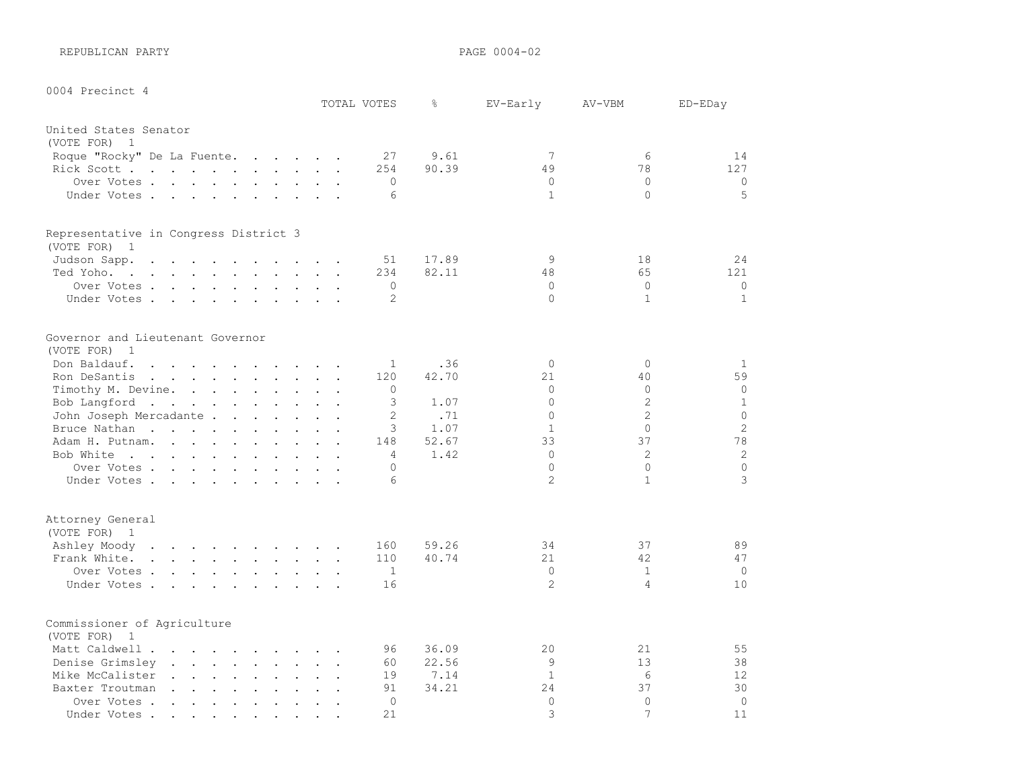REPUBLICAN PARTY **PAGE 0004-02** 

| 0004 Precinct 4                                                                                                                                                                                                                                                                                                                                                                                                                                                                                                                                           |                           |                     |              |                |                |                |
|-----------------------------------------------------------------------------------------------------------------------------------------------------------------------------------------------------------------------------------------------------------------------------------------------------------------------------------------------------------------------------------------------------------------------------------------------------------------------------------------------------------------------------------------------------------|---------------------------|---------------------|--------------|----------------|----------------|----------------|
|                                                                                                                                                                                                                                                                                                                                                                                                                                                                                                                                                           |                           | TOTAL VOTES         | $\approx$    | EV-Early       | AV-VBM         | ED-EDay        |
| United States Senator                                                                                                                                                                                                                                                                                                                                                                                                                                                                                                                                     |                           |                     |              |                |                |                |
| (VOTE FOR) 1                                                                                                                                                                                                                                                                                                                                                                                                                                                                                                                                              |                           |                     |              |                |                |                |
| Roque "Rocky" De La Fuente.<br>$\mathbf{r}$ . The contract of the contract of the contract of the contract of the contract of the contract of the contract of the contract of the contract of the contract of the contract of the contract of the contract of th                                                                                                                                                                                                                                                                                          |                           | 27                  | 9.61         | 7              | 6              | 14             |
| Rick Scott                                                                                                                                                                                                                                                                                                                                                                                                                                                                                                                                                | $\mathbf{r}$              | 254                 | 90.39        | 49             | 78             | 127            |
| Over Votes.                                                                                                                                                                                                                                                                                                                                                                                                                                                                                                                                               | $\ddot{\phantom{a}}$      | $\mathbf{0}$        |              | $\bigcap$      | $\Omega$       | $\circ$        |
| Under Votes                                                                                                                                                                                                                                                                                                                                                                                                                                                                                                                                               |                           | 6                   |              | $\mathbf{1}$   | $\Omega$       | 5              |
| Representative in Congress District 3                                                                                                                                                                                                                                                                                                                                                                                                                                                                                                                     |                           |                     |              |                |                |                |
| (VOTE FOR) 1                                                                                                                                                                                                                                                                                                                                                                                                                                                                                                                                              |                           |                     |              |                |                |                |
| Judson Sapp.<br>$\mathbf{r}$ , and $\mathbf{r}$ , and $\mathbf{r}$ , and $\mathbf{r}$ , and $\mathbf{r}$                                                                                                                                                                                                                                                                                                                                                                                                                                                  | $\ddot{\phantom{a}}$      | 51                  | 17.89        | 9              | 18             | 24             |
| Ted Yoho.<br>the contract of the contract of the contract of the contract of the contract of the contract of the contract of                                                                                                                                                                                                                                                                                                                                                                                                                              |                           | 234                 | 82.11        | 48             | 65             | 121            |
| Over Votes                                                                                                                                                                                                                                                                                                                                                                                                                                                                                                                                                | $\overline{a}$            | $\Omega$            |              | $\Omega$       | $\Omega$       | $\circ$        |
| Under Votes                                                                                                                                                                                                                                                                                                                                                                                                                                                                                                                                               | $\ddot{\phantom{a}}$      | $\overline{c}$      |              | $\Omega$       | $\mathbf{1}$   | $\mathbf{1}$   |
| Governor and Lieutenant Governor                                                                                                                                                                                                                                                                                                                                                                                                                                                                                                                          |                           |                     |              |                |                |                |
| (VOTE FOR)<br>$\overline{1}$                                                                                                                                                                                                                                                                                                                                                                                                                                                                                                                              |                           |                     |              |                |                |                |
| Don Baldauf.<br>$\mathbf{r}$ , and $\mathbf{r}$ , and $\mathbf{r}$ , and $\mathbf{r}$ , and $\mathbf{r}$                                                                                                                                                                                                                                                                                                                                                                                                                                                  |                           | $\mathbf{1}$<br>120 | .36<br>42.70 | $\Omega$<br>21 | $\Omega$<br>40 | 1<br>59        |
| Ron DeSantis<br>Timothy M. Devine.                                                                                                                                                                                                                                                                                                                                                                                                                                                                                                                        | $\ddot{\phantom{a}}$      | 0                   |              | $\Omega$       | $\Omega$       | $\circ$        |
| Bob Langford                                                                                                                                                                                                                                                                                                                                                                                                                                                                                                                                              | $\ddot{\phantom{a}}$      | 3                   | 1.07         | $\Omega$       | $\overline{2}$ | $\mathbf{1}$   |
| John Joseph Mercadante                                                                                                                                                                                                                                                                                                                                                                                                                                                                                                                                    |                           | $\overline{2}$      | .71          | $\Omega$       | $\overline{2}$ | $\mathbf 0$    |
| Bruce Nathan<br>$\mathbf{L}$<br>$\ddot{\phantom{a}}$                                                                                                                                                                                                                                                                                                                                                                                                                                                                                                      | $\mathbf{L} = \mathbf{L}$ | 3                   | 1.07         | $\mathbf{1}$   | $\circ$        | $\overline{c}$ |
| Adam H. Putnam.<br>$\mathbf{1}$ $\mathbf{1}$ $\mathbf{1}$ $\mathbf{1}$ $\mathbf{1}$ $\mathbf{1}$                                                                                                                                                                                                                                                                                                                                                                                                                                                          | $\ddot{\phantom{a}}$      | 148                 | 52.67        | 33             | 37             | 78             |
| Bob White                                                                                                                                                                                                                                                                                                                                                                                                                                                                                                                                                 |                           | 4                   | 1.42         | $\bigcap$      | 2              | $\overline{c}$ |
| Over Votes                                                                                                                                                                                                                                                                                                                                                                                                                                                                                                                                                |                           | 0                   |              | $\Omega$       | $\Omega$       | $\circ$        |
| Under Votes                                                                                                                                                                                                                                                                                                                                                                                                                                                                                                                                               | $\ddot{\phantom{a}}$      | $\epsilon$          |              | $\mathcal{L}$  | $\mathbf{1}$   | 3              |
|                                                                                                                                                                                                                                                                                                                                                                                                                                                                                                                                                           |                           |                     |              |                |                |                |
| Attorney General<br>(VOTE FOR) 1                                                                                                                                                                                                                                                                                                                                                                                                                                                                                                                          |                           |                     |              |                |                |                |
| Ashley Moody                                                                                                                                                                                                                                                                                                                                                                                                                                                                                                                                              |                           | 160                 | 59.26        | 34             | 37             | 89             |
| Frank White.                                                                                                                                                                                                                                                                                                                                                                                                                                                                                                                                              | $\mathbf{r}$              | 110                 | 40.74        | 21             | 42             | 47             |
| Over Votes                                                                                                                                                                                                                                                                                                                                                                                                                                                                                                                                                | $\bullet$                 | $\mathbf{1}$        |              | $\Omega$       | $\mathbf{1}$   | $\Omega$       |
| Under Votes                                                                                                                                                                                                                                                                                                                                                                                                                                                                                                                                               |                           | 16                  |              | $\overline{2}$ | $\overline{4}$ | 10             |
| Commissioner of Agriculture<br>(VOTE FOR)<br>$\overline{1}$                                                                                                                                                                                                                                                                                                                                                                                                                                                                                               |                           |                     |              |                |                |                |
| Matt Caldwell                                                                                                                                                                                                                                                                                                                                                                                                                                                                                                                                             |                           | 96                  | 36.09        | 20             | 21             | 55             |
| Denise Grimsley<br>$\mathbf{1} \qquad \mathbf{1} \qquad \mathbf{1} \qquad \mathbf{1} \qquad \mathbf{1} \qquad \mathbf{1} \qquad \mathbf{1} \qquad \mathbf{1} \qquad \mathbf{1} \qquad \mathbf{1} \qquad \mathbf{1} \qquad \mathbf{1} \qquad \mathbf{1} \qquad \mathbf{1} \qquad \mathbf{1} \qquad \mathbf{1} \qquad \mathbf{1} \qquad \mathbf{1} \qquad \mathbf{1} \qquad \mathbf{1} \qquad \mathbf{1} \qquad \mathbf{1} \qquad \mathbf{1} \qquad \mathbf{1} \qquad \mathbf{$<br>$\mathbf{z} = \mathbf{z} + \mathbf{z}$ , where $\mathbf{z} = \mathbf{z}$ | $\ddot{\phantom{a}}$      | 60                  | 22.56        | 9              | 13             | 38             |
| Mike McCalister<br>$\mathbf{r}$ , $\mathbf{r}$ , $\mathbf{r}$ , $\mathbf{r}$ , $\mathbf{r}$<br>$\mathbf{L}$                                                                                                                                                                                                                                                                                                                                                                                                                                               | $\mathbf{L} = \mathbf{L}$ | 19                  | 7.14         | $\mathbf{1}$   | 6              | 12             |
| Baxter Troutman                                                                                                                                                                                                                                                                                                                                                                                                                                                                                                                                           | $\Box$                    | 91                  | 34.21        | 24             | 37             | 30             |
| Over Votes<br>$\sim$<br>$\mathbf{L} = \mathbf{L}$<br>$\ddot{\phantom{a}}$<br>$\sim$                                                                                                                                                                                                                                                                                                                                                                                                                                                                       |                           | $\Omega$            |              | $\Omega$       | $\Omega$       | $\circ$        |
| Under Votes.<br>$\sim$ $\sim$ $\sim$ $\sim$ $\sim$<br>$\bullet$ .<br><br><br><br><br><br><br><br><br><br><br><br><br><br>$\bullet$                                                                                                                                                                                                                                                                                                                                                                                                                        |                           | 21                  |              | 3              | 7              | 11             |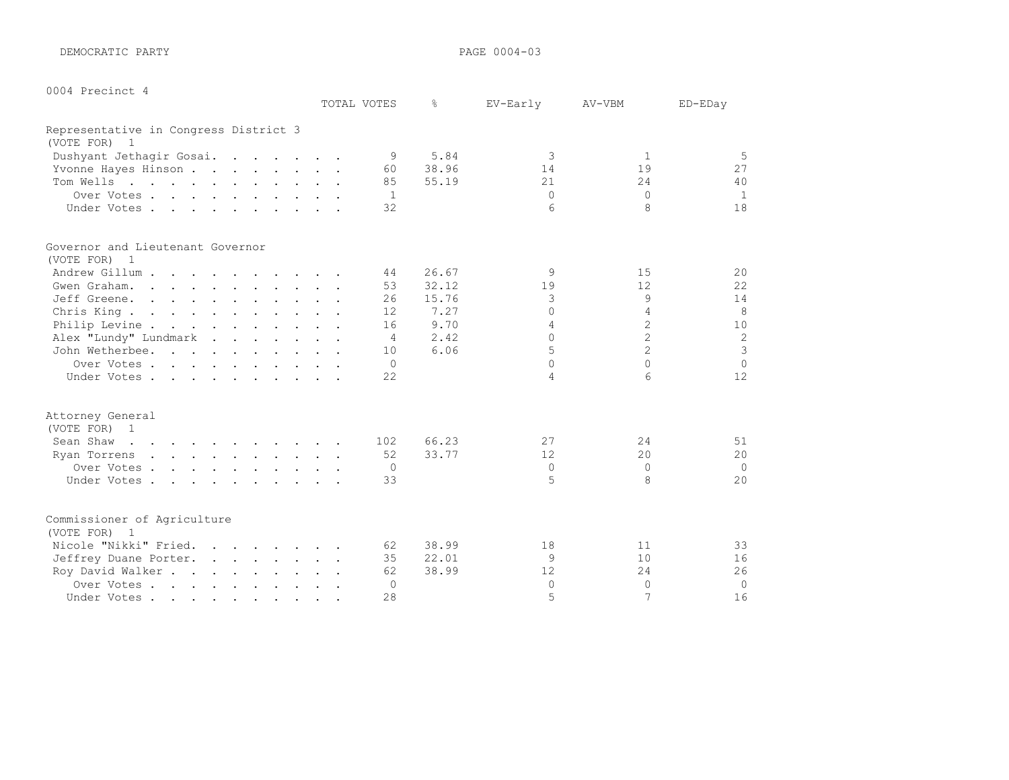DEMOCRATIC PARTY **PAGE 0004-03** 

| 0004 Precinct |
|---------------|
|---------------|

|                                                                                                                                                                                                                                             |  | TOTAL VOTES       | ⊱     | EV-Early | AV-VBM          | ED-EDay        |
|---------------------------------------------------------------------------------------------------------------------------------------------------------------------------------------------------------------------------------------------|--|-------------------|-------|----------|-----------------|----------------|
| Representative in Congress District 3                                                                                                                                                                                                       |  |                   |       |          |                 |                |
| (VOTE FOR)<br>1                                                                                                                                                                                                                             |  |                   |       |          |                 |                |
| Dushyant Jethagir Gosai.                                                                                                                                                                                                                    |  | 9                 | 5.84  | 3        | 1               | 5              |
| Yvonne Hayes Hinson                                                                                                                                                                                                                         |  | 60                | 38.96 | 14       | 19              | 27             |
| Tom Wells<br>and the contract of the contract of the contract of the contract of the contract of the contract of the contract of the contract of the contract of the contract of the contract of the contract of the contract of the contra |  | 85                | 55.19 | 21       | 24              | 40             |
| Over Votes                                                                                                                                                                                                                                  |  | -1                |       | $\Omega$ | $\Omega$        | 1              |
| Under Votes                                                                                                                                                                                                                                 |  | 32                |       | 6        | 8               | 18             |
| Governor and Lieutenant Governor                                                                                                                                                                                                            |  |                   |       |          |                 |                |
| (VOTE FOR) 1                                                                                                                                                                                                                                |  |                   |       |          |                 |                |
| Andrew Gillum                                                                                                                                                                                                                               |  | 44                | 26.67 | 9        | 15              | 20             |
| Gwen Graham.                                                                                                                                                                                                                                |  | 53                | 32.12 | 19       | 12              | 22             |
| Jeff Greene.                                                                                                                                                                                                                                |  | 26                | 15.76 | 3        | 9               | 14             |
| Chris King.                                                                                                                                                                                                                                 |  | $12 \overline{ }$ | 7.27  | $\Omega$ | 4               | 8              |
| Philip Levine                                                                                                                                                                                                                               |  | 16                | 9.70  | 4        | $\overline{2}$  | 10             |
| Alex "Lundy" Lundmark                                                                                                                                                                                                                       |  | $\overline{4}$    | 2.42  | $\cap$   | $\overline{2}$  | $\overline{2}$ |
| John Wetherbee.                                                                                                                                                                                                                             |  | 10                | 6.06  | 5        | $\overline{2}$  | 3              |
| Over Votes                                                                                                                                                                                                                                  |  | $\Omega$          |       | $\cap$   | $\Omega$        | $\circ$        |
| Under Votes                                                                                                                                                                                                                                 |  | 22                |       | 4        | $6\overline{6}$ | 12             |
| Attorney General                                                                                                                                                                                                                            |  |                   |       |          |                 |                |
| (VOTE FOR) 1                                                                                                                                                                                                                                |  |                   |       |          |                 |                |
| Sean Shaw<br>the contract of the contract of the contract of                                                                                                                                                                                |  | 102               | 66.23 | 27       | 24              | 51             |
| Ryan Torrens<br>the contract of the contract of the contract of the contract of the contract of the contract of the contract of                                                                                                             |  | 52                | 33.77 | 12       | 20              | 20             |
| Over Votes                                                                                                                                                                                                                                  |  | $\overline{0}$    |       | $\Omega$ | $\Omega$        | $\mathbf 0$    |
| Under Votes                                                                                                                                                                                                                                 |  | 33                |       | 5        | 8               | 20             |
| Commissioner of Agriculture                                                                                                                                                                                                                 |  |                   |       |          |                 |                |
| (VOTE FOR)<br>$\overline{1}$                                                                                                                                                                                                                |  |                   |       |          |                 |                |
| Nicole "Nikki" Fried.                                                                                                                                                                                                                       |  | 62                | 38.99 | 18       | 11              | 33             |
| Jeffrey Duane Porter.                                                                                                                                                                                                                       |  | 35                | 22.01 | 9        | 10              | 16             |
| Roy David Walker                                                                                                                                                                                                                            |  | 62                | 38.99 | 12       | 24              | 26             |
| Over Votes                                                                                                                                                                                                                                  |  | $\Omega$          |       | $\Omega$ | $\mathbf{0}$    | $\mathbf 0$    |
| Under Votes                                                                                                                                                                                                                                 |  | 28                |       | 5        | 7               | 16             |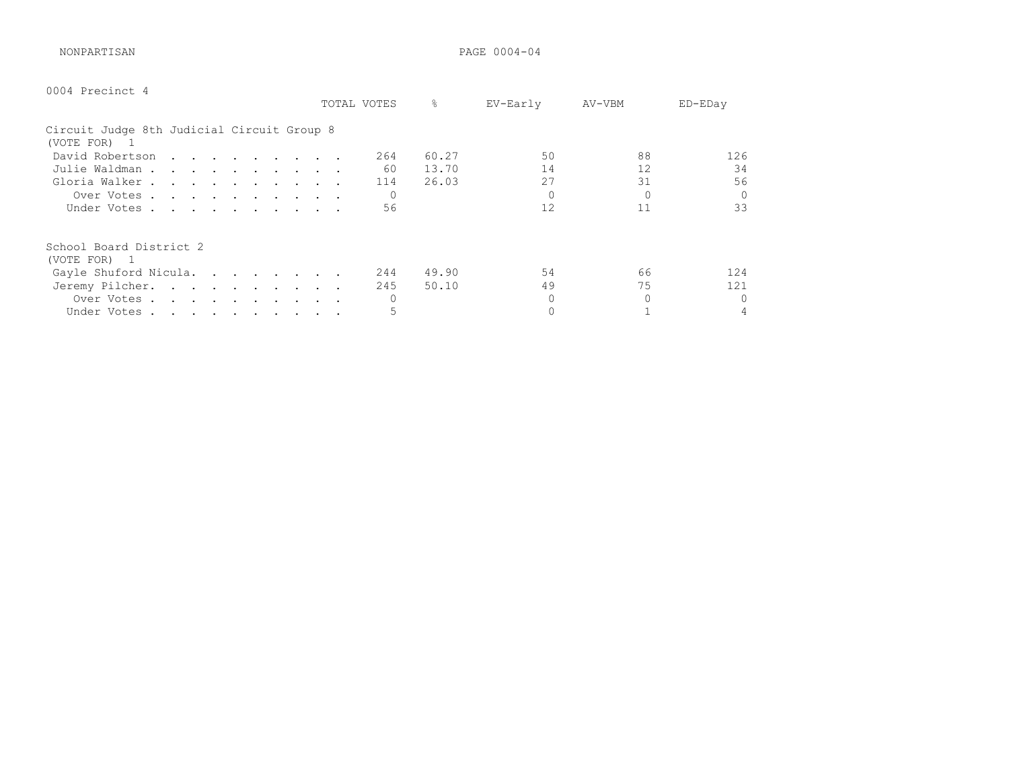NONPARTISAN PAGE 0004-04

| 0004 Precinct 4                                            |             |              |                   |        |          |
|------------------------------------------------------------|-------------|--------------|-------------------|--------|----------|
|                                                            | TOTAL VOTES | 옹            | EV-Early          | AV-VBM | ED-EDay  |
| Circuit Judge 8th Judicial Circuit Group 8<br>(VOTE FOR) 1 |             |              |                   |        |          |
| David Robertson                                            |             | 60.27<br>264 | 50                | 88     | 126      |
| Julie Waldman                                              |             | 60<br>13.70  | 14                | 12     | 34       |
| Gloria Walker                                              |             | 26.03<br>114 | 27                | 31     | 56       |
| Over Votes                                                 |             |              | $\Omega$          |        | $\Omega$ |
| Under Votes                                                |             | 56           | $12 \overline{ }$ | 11     | 33       |
| School Board District 2<br>(VOTE FOR) 1                    |             |              |                   |        |          |
| Gayle Shuford Nicula.                                      |             | 244<br>49.90 | 54                | 66     | 124      |
| Jeremy Pilcher.                                            |             | 245<br>50.10 | 49                | 75     | 121      |
| Over Votes                                                 |             |              |                   |        | $\Omega$ |
| Under Votes                                                |             |              |                   |        | 4        |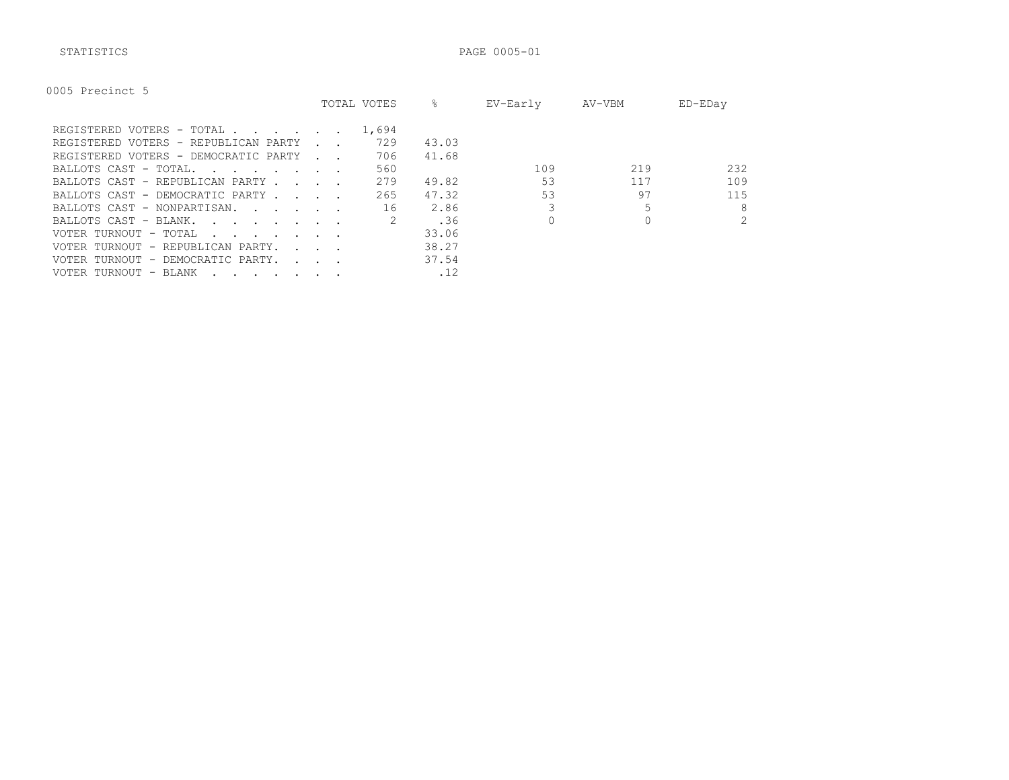STATISTICS PAGE 0005-01

| Precinct 5<br>0005 |  |
|--------------------|--|
|--------------------|--|

|                                                                                                                                                 |                                            | TOTAL VOTES | ⊱     | EV-Early | AV-VBM | ED-EDay        |
|-------------------------------------------------------------------------------------------------------------------------------------------------|--------------------------------------------|-------------|-------|----------|--------|----------------|
| REGISTERED VOTERS - TOTAL                                                                                                                       |                                            | 1,694       |       |          |        |                |
| REGISTERED VOTERS - REPUBLICAN PARTY                                                                                                            |                                            | 729         | 43.03 |          |        |                |
| REGISTERED VOTERS - DEMOCRATIC PARTY                                                                                                            | <b>Contract Contract Street</b>            | 706         | 41.68 |          |        |                |
| BALLOTS CAST - TOTAL.                                                                                                                           |                                            | 560         |       | 109      | 219    | 232            |
| BALLOTS CAST - REPUBLICAN PARTY.                                                                                                                | $\sim$ $\sim$ $\sim$ $\sim$                | 279         | 49.82 | 53       | 117    | 109            |
| BALLOTS CAST - DEMOCRATIC PARTY                                                                                                                 |                                            | 265         | 47.32 | 53       | 97     | 115            |
| BALLOTS CAST - NONPARTISAN.                                                                                                                     |                                            | 16          | 2.86  |          |        | 8              |
| BALLOTS CAST - BLANK.<br><u>in the second contract of the second second and second the second second second and second second second second</u> |                                            |             | .36   |          |        | $\overline{2}$ |
| VOTER TURNOUT - TOTAL<br>the contract of the contract of the contract of the contract of the contract of the contract of the contract of        |                                            |             | 33.06 |          |        |                |
| VOTER TURNOUT - REPUBLICAN PARTY.                                                                                                               | $\mathbf{r}$ , $\mathbf{r}$ , $\mathbf{r}$ |             | 38.27 |          |        |                |
| VOTER TURNOUT - DEMOCRATIC PARTY.                                                                                                               | $\sim$ $\sim$ $\sim$ $\sim$                |             | 37.54 |          |        |                |
| VOTER TURNOUT - BLANK<br>$\cdot$                                                                                                                |                                            |             | .12   |          |        |                |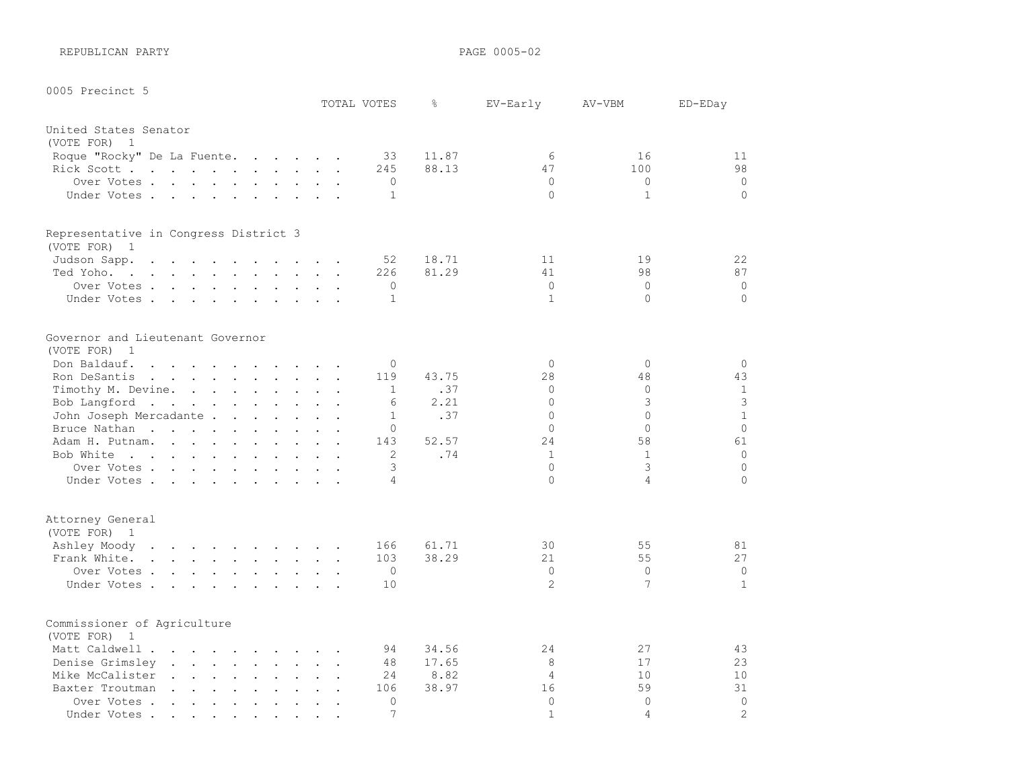REPUBLICAN PARTY **PAGE 0005-02** 

| 0005 Precinct 5                  |                                                                                                                                                         | TOTAL VOTES                                   | g.             | EV-Early       | AV-VBM         | ED-EDay      |
|----------------------------------|---------------------------------------------------------------------------------------------------------------------------------------------------------|-----------------------------------------------|----------------|----------------|----------------|--------------|
|                                  |                                                                                                                                                         |                                               |                |                |                |              |
| United States Senator            |                                                                                                                                                         |                                               |                |                |                |              |
| (VOTE FOR)<br>$\overline{1}$     |                                                                                                                                                         |                                               |                |                |                |              |
|                                  | Roque "Rocky" De La Fuente.                                                                                                                             | 33<br>245                                     | 11.87<br>88.13 | 6<br>47        | 16<br>100      | 11<br>98     |
|                                  | Rick Scott                                                                                                                                              | $\circ$                                       |                | $\circ$        | $\mathbf{0}$   | $\circ$      |
|                                  | Over Votes<br>Under Votes                                                                                                                               | $\mathbf{1}$                                  |                | $\Omega$       | $\mathbf{1}$   | $\circ$      |
|                                  |                                                                                                                                                         |                                               |                |                |                |              |
|                                  | Representative in Congress District 3                                                                                                                   |                                               |                |                |                |              |
| (VOTE FOR)<br>$\overline{1}$     |                                                                                                                                                         |                                               |                |                |                |              |
| Judson Sapp.                     | the contract of the contract of the contract of the contract of the contract of the contract of the contract of                                         | 52                                            | 18.71          | 11             | 19             | 22           |
| Ted Yoho.                        | the contract of the contract of the contract of the contract of the contract of the contract of the contract of                                         | 226                                           | 81.29          | 41             | 98             | 87           |
|                                  | Over Votes                                                                                                                                              | $\mathbf 0$<br>$\ddot{\phantom{a}}$           |                | $\circ$        | $\mathbf{0}$   | $\circ$      |
|                                  | Under Votes                                                                                                                                             | $\mathbf{1}$                                  |                | $\mathbf{1}$   | $\Omega$       | $\circ$      |
| Governor and Lieutenant Governor |                                                                                                                                                         |                                               |                |                |                |              |
| (VOTE FOR)<br>$\overline{1}$     |                                                                                                                                                         |                                               |                |                |                |              |
|                                  | Don Baldauf.<br>$\sim$                                                                                                                                  | $\circ$                                       |                | $\Omega$       | $\mathbf{0}$   | $\circ$      |
|                                  | Ron DeSantis                                                                                                                                            | 119                                           | 43.75          | 28             | 48             | 43           |
|                                  | Timothy M. Devine.                                                                                                                                      | $\mathbf{1}$                                  | .37            | $\Omega$       | $\circ$        | $\mathbf{1}$ |
|                                  | Bob Langford                                                                                                                                            | 6                                             | 2.21           | $\Omega$       | 3              | 3            |
|                                  | John Joseph Mercadante                                                                                                                                  | $\mathbf{1}$                                  | .37            | $\Omega$       | $\Omega$       | $\mathbf{1}$ |
| Bruce Nathan                     | $\mathbf{L} = \mathbf{L} \mathbf{L} + \mathbf{L} \mathbf{L}$<br>$\ddot{\phantom{a}}$                                                                    | $\Omega$<br>$\sim$                            |                | $\Omega$       | $\Omega$       | $\Omega$     |
|                                  | Adam H. Putnam.                                                                                                                                         | 143<br>$\mathbf{r}$ . The set of $\mathbf{r}$ | 52.57          | 2.4            | 58             | 61           |
|                                  | Bob White                                                                                                                                               | $\mathbf{2}$                                  | .74            | $\mathbf{1}$   | $\mathbf{1}$   | $\circ$      |
|                                  | Over Votes                                                                                                                                              | 3                                             |                | $\Omega$       | 3              | $\mathbf 0$  |
|                                  | Under Votes                                                                                                                                             | $\overline{4}$                                |                | $\Omega$       | $\overline{4}$ | $\Omega$     |
| Attorney General                 |                                                                                                                                                         |                                               |                |                |                |              |
| (VOTE FOR)<br>$\overline{1}$     |                                                                                                                                                         |                                               |                |                |                |              |
|                                  | Ashley Moody                                                                                                                                            | 166                                           | 61.71          | 30             | 55             | 81           |
|                                  | Frank White.                                                                                                                                            | 103                                           | 38.29          | 21             | 55             | 27           |
|                                  | Over Votes                                                                                                                                              | $\mathbf 0$                                   |                | $\circ$        | $\mathbf{0}$   | 0            |
|                                  | Under Votes                                                                                                                                             | 10                                            |                | $\overline{2}$ | 7              | $\mathbf{1}$ |
|                                  |                                                                                                                                                         |                                               |                |                |                |              |
| Commissioner of Agriculture      |                                                                                                                                                         |                                               |                |                |                |              |
| (VOTE FOR)<br>$\mathbf{1}$       |                                                                                                                                                         |                                               |                |                |                |              |
|                                  | Matt Caldwell<br>$\sim$                                                                                                                                 | 94<br>$\overline{a}$                          | 34.56          | 24             | 27             | 43           |
| Denise Grimsley                  | $\mathbf{r} = \mathbf{r} + \mathbf{r} + \mathbf{r} + \mathbf{r} + \mathbf{r}$                                                                           | 48<br>$\cdot$ $\cdot$ $\cdot$                 | 17.65          | 8              | 17             | 23           |
| Mike McCalister                  | $\begin{array}{cccccccccccccc} \bullet & \bullet & \bullet & \bullet & \bullet & \bullet & \bullet & \bullet & \bullet & \bullet & \bullet \end{array}$ | 24                                            | 8.82           | $\overline{4}$ | 10             | 10           |
| Baxter Troutman                  | $\sim$ $\sim$ $\sim$<br>$\sim$ $\sim$ $\sim$<br>$\ddot{\phantom{a}}$<br>$\sim$<br>$\ddot{\phantom{a}}$                                                  | 106                                           | 38.97          | 16             | 59             | 31           |
| Over Votes                       | $\bullet$ . $\bullet$<br>$\bullet$ .                                                                                                                    | $\Omega$                                      |                | $\Omega$       | $\Omega$       | $\Omega$     |

Under Votes . . . . . . . . . . 7 1 4 2 2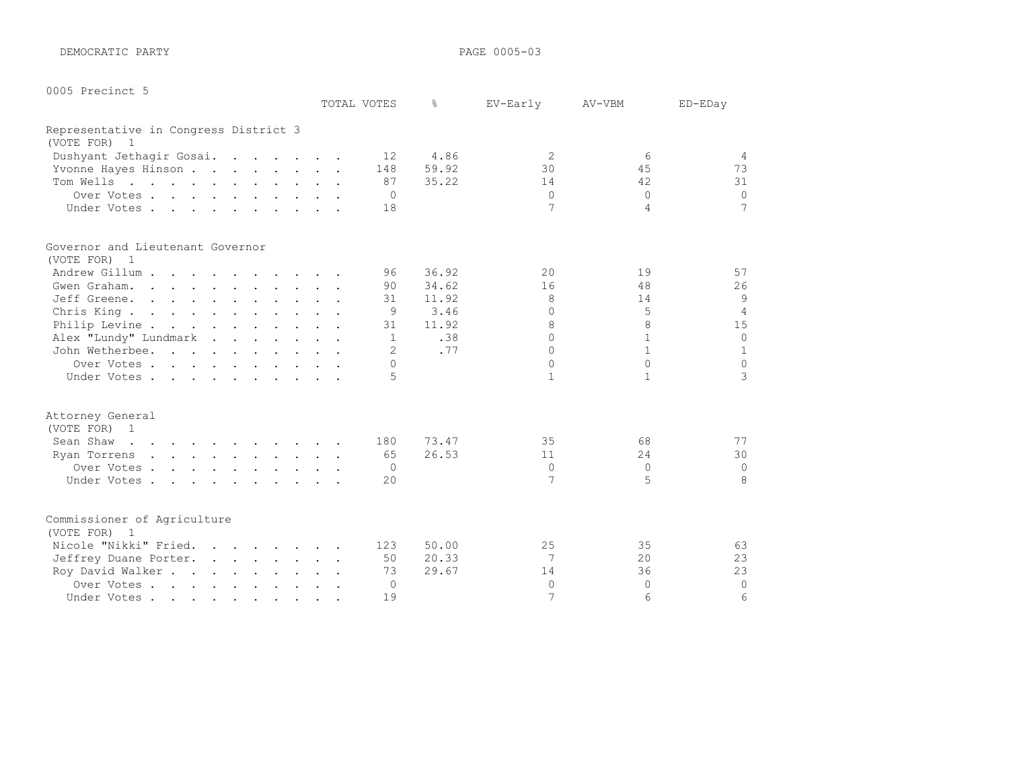DEMOCRATIC PARTY **PAGE 0005-03** 

0005 Precinct 5

|                                       | TOTAL VOTES | $\frac{6}{5}$ | EV-Early       | AV-VBM       | ED-EDay         |
|---------------------------------------|-------------|---------------|----------------|--------------|-----------------|
| Representative in Congress District 3 |             |               |                |              |                 |
| (VOTE FOR) 1                          |             |               |                |              |                 |
| Dushyant Jethagir Gosai.              | 12          | 4.86          | $\mathfrak{D}$ | 6            | $\overline{4}$  |
| Yvonne Hayes Hinson                   | 148         | 59.92         | 30             | 45           | 73              |
| Tom Wells                             | 87          | 35.22         | 14             | 42           | 31              |
| Over Votes                            | $\Omega$    |               | $\Omega$       | $\Omega$     | $\Omega$        |
| Under Votes                           | 18          |               | 7              | 4            | $7\overline{ }$ |
| Governor and Lieutenant Governor      |             |               |                |              |                 |
| (VOTE FOR) 1                          |             |               |                |              |                 |
| Andrew Gillum                         | 96          | 36.92         | 20             | 19           | 57              |
| Gwen Graham.                          | 90          | 34.62         | 16             | 48           | 26              |
| Jeff Greene.                          | 31          | 11.92         | 8              | 14           | 9               |
| Chris King.                           | 9           | 3.46          | $\Omega$       | 5            | $\overline{4}$  |
| Philip Levine                         | 31          | 11.92         | 8              | 8            | 15              |
| Alex "Lundy" Lundmark                 | 1           | .38           | $\Omega$       | $\mathbf{1}$ | $\circ$         |
| John Wetherbee.                       | 2           | .77           | $\Omega$       | $\mathbf{1}$ | $\mathbf{1}$    |
| Over Votes                            | $\Omega$    |               | $\Omega$       | $\Omega$     | $\Omega$        |
| Under Votes                           | 5           |               | $\mathbf{1}$   | $\mathbf{1}$ | 3               |
| Attorney General                      |             |               |                |              |                 |
| (VOTE FOR) 1                          |             |               |                |              |                 |
| Sean Shaw                             | 180         | 73.47         | 35             | 68           | 77              |
| Ryan Torrens                          | 65          | 26.53         | 11             | 24           | 30              |
| Over Votes                            | $\Omega$    |               | $\circ$        | $\Omega$     | $\mathbf 0$     |
| Under Votes                           | 20          |               | 7              | 5            | 8               |
| Commissioner of Agriculture           |             |               |                |              |                 |
| (VOTE FOR) 1                          |             |               |                |              |                 |
| Nicole "Nikki" Fried.                 | 123         | 50.00         | 25             | 35           | 63              |
| Jeffrey Duane Porter.                 | 50          | 20.33         | 7              | 20           | 23              |
| Roy David Walker                      | 73          | 29.67         | 14             | 36           | 23              |
| Over Votes                            | 0           |               | $\Omega$       | $\Omega$     | $\circ$         |
| Under Votes                           | 19          |               | 7              | 6            | 6               |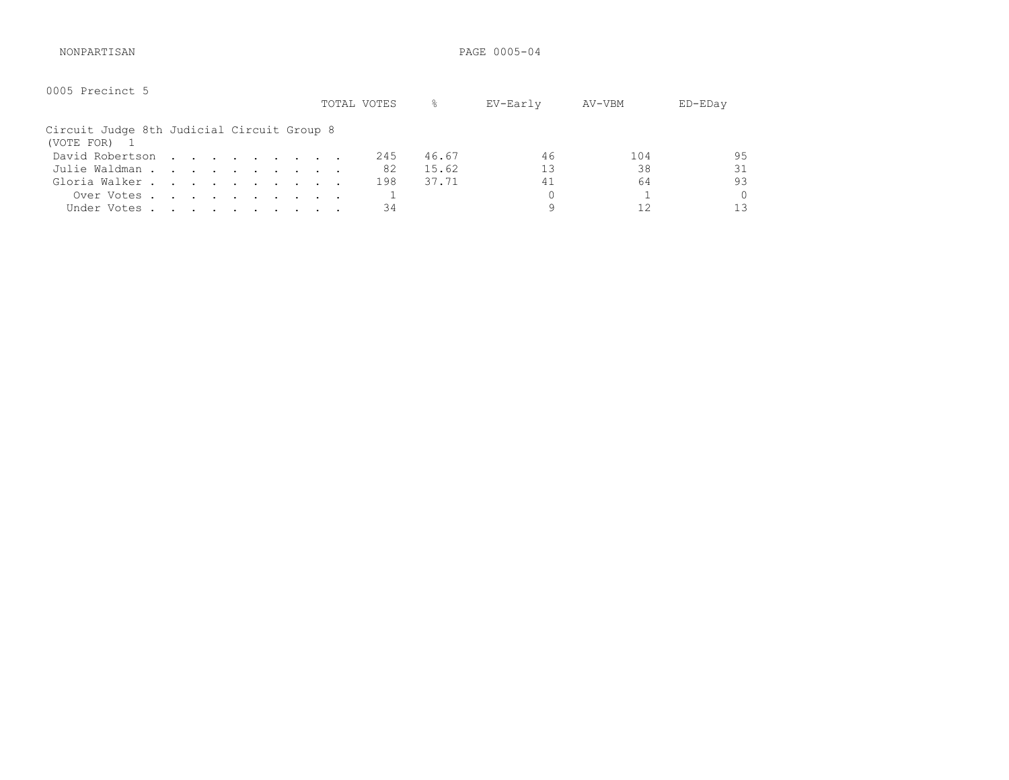NONPARTISAN PAGE 0005-04

| 0005 Precinct 5                                          |  |  |  |  |  | TOTAL VOTES | ိင    | EV-Early | AV-VBM | ED-EDay |
|----------------------------------------------------------|--|--|--|--|--|-------------|-------|----------|--------|---------|
| Circuit Judge 8th Judicial Circuit Group 8<br>(VOTE FOR) |  |  |  |  |  |             |       |          |        |         |
| David Robertson                                          |  |  |  |  |  | 245         | 46.67 | 46       | 104    | 95      |
| Julie Waldman                                            |  |  |  |  |  | 82          | 15.62 | 13       | 38     | 31      |
| Gloria Walker                                            |  |  |  |  |  | 198         | 37.71 | 41       | 64     | 93      |
| Over Votes                                               |  |  |  |  |  |             |       | 0        |        | 0       |
| Under Votes                                              |  |  |  |  |  | 34          |       | q        |        | 1 ว     |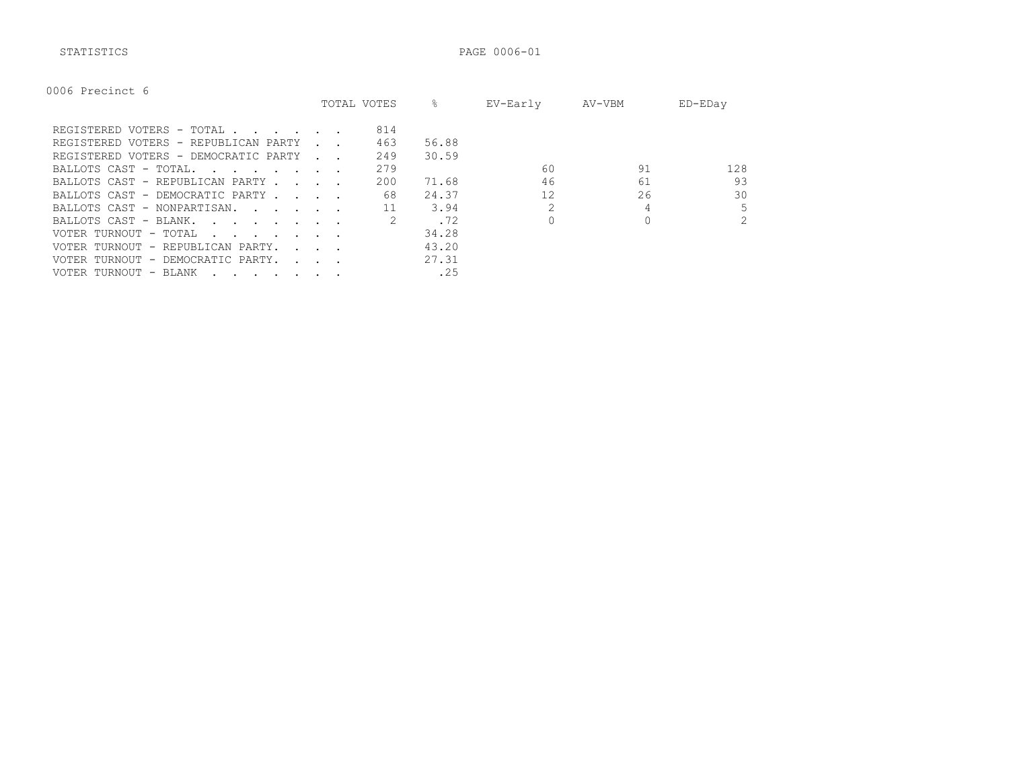STATISTICS PAGE 0006-01

|  | 0006 Precinct 6 |  |  |
|--|-----------------|--|--|
|--|-----------------|--|--|

|                                                                                                                                          |                                            | TOTAL VOTES | 옹     | EV-Early | AV-VBM | ED-EDay        |
|------------------------------------------------------------------------------------------------------------------------------------------|--------------------------------------------|-------------|-------|----------|--------|----------------|
| REGISTERED VOTERS - TOTAL                                                                                                                |                                            | 814         |       |          |        |                |
| REGISTERED VOTERS - REPUBLICAN PARTY                                                                                                     |                                            | 463         | 56.88 |          |        |                |
| REGISTERED VOTERS - DEMOCRATIC PARTY                                                                                                     |                                            | 249         | 30.59 |          |        |                |
| BALLOTS CAST - TOTAL.<br>the contract of the contract of the contract of the contract of the contract of the contract of the contract of |                                            | 279         |       | 60       | 91     | 128            |
| BALLOTS CAST - REPUBLICAN PARTY.                                                                                                         |                                            | 200         | 71.68 | 46       | 61     | 93             |
| BALLOTS CAST - DEMOCRATIC PARTY.                                                                                                         | $\sim$ $\sim$ $\sim$ $\sim$                | 68          | 24.37 | 12       | 26     | 30             |
| BALLOTS CAST - NONPARTISAN.                                                                                                              |                                            |             | 3.94  |          | 4      | 5              |
| BALLOTS CAST - BLANK.<br>$\mathbf{r}$ , $\mathbf{r}$ , $\mathbf{r}$ , $\mathbf{r}$ , $\mathbf{r}$ , $\mathbf{r}$                         |                                            |             | . 72  |          |        | $\overline{2}$ |
| VOTER TURNOUT - TOTAL<br>the contract of the contract of the contract of the contract of the contract of the contract of the contract of |                                            |             | 34.28 |          |        |                |
| VOTER TURNOUT - REPUBLICAN PARTY.                                                                                                        | $\mathbf{L} = \mathbf{L} \mathbf{L}$       |             | 43.20 |          |        |                |
| VOTER TURNOUT - DEMOCRATIC PARTY.                                                                                                        | $\mathbf{r}$ , $\mathbf{r}$ , $\mathbf{r}$ |             | 27.31 |          |        |                |
| VOTER TURNOUT - BLANK<br>$\cdots$                                                                                                        |                                            |             | .25   |          |        |                |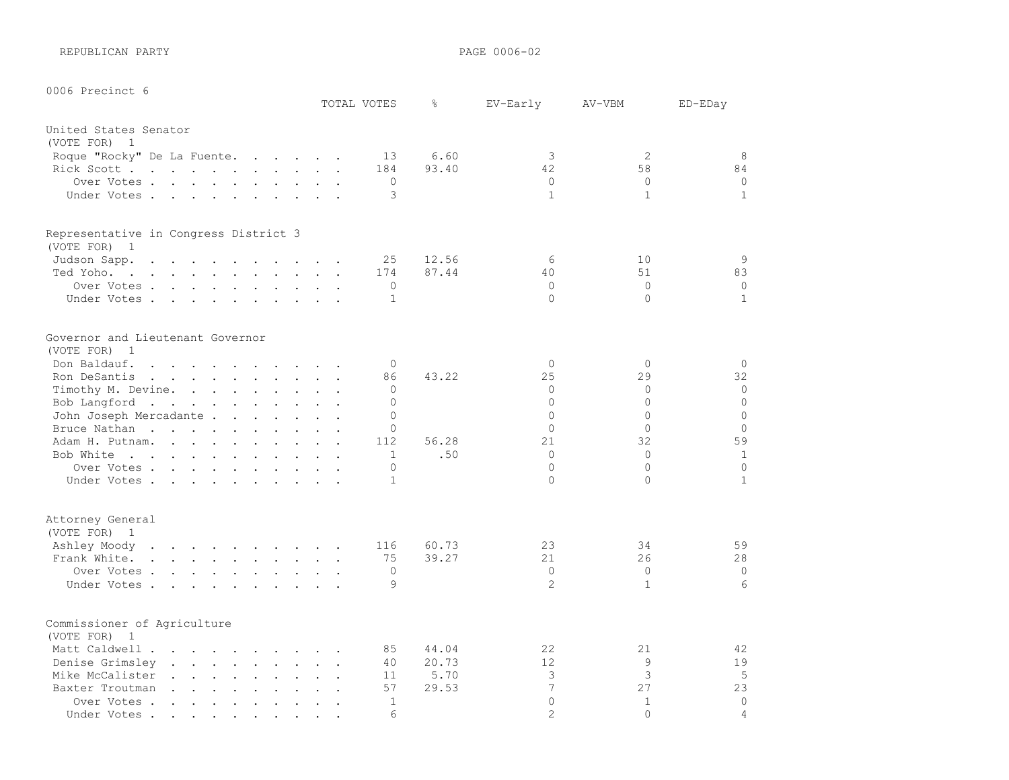REPUBLICAN PARTY **PAGE 0006-02** 

| 0006 Precinct 6                                                                                                                                                                                                                                                  |                                       |              |       |                            |              |                |
|------------------------------------------------------------------------------------------------------------------------------------------------------------------------------------------------------------------------------------------------------------------|---------------------------------------|--------------|-------|----------------------------|--------------|----------------|
|                                                                                                                                                                                                                                                                  |                                       | TOTAL VOTES  | g.    | EV-Early                   | AV-VBM       | ED-EDay        |
| United States Senator                                                                                                                                                                                                                                            |                                       |              |       |                            |              |                |
| (VOTE FOR) 1                                                                                                                                                                                                                                                     |                                       |              |       |                            |              |                |
| Roque "Rocky" De La Fuente.<br>$\mathbf{r}$ . The set of the set of the set of the set of the set of the set of the set of the set of the set of the set of the set of the set of the set of the set of the set of the set of the set of the set of the set of t |                                       | 13           | 6.60  | 3                          | 2            | 8              |
| Rick Scott                                                                                                                                                                                                                                                       | $\mathbf{r}$                          | 184          | 93.40 | 42                         | 58           | 84             |
| Over Votes.<br>$\mathcal{L}(\mathbf{r}) = \mathbf{r} \cdot \mathbf{r}$ , and $\mathcal{L}(\mathbf{r}) = \mathbf{r} \cdot \mathbf{r}$ , and $\mathcal{L}(\mathbf{r}) = \mathbf{r} \cdot \mathbf{r}$                                                               |                                       | $\circ$      |       | $\Omega$                   | $\Omega$     | $\circ$        |
| Under Votes                                                                                                                                                                                                                                                      |                                       | 3            |       | $\mathbf{1}$               | $\mathbf{1}$ | $\mathbf{1}$   |
| Representative in Congress District 3                                                                                                                                                                                                                            |                                       |              |       |                            |              |                |
| (VOTE FOR) 1                                                                                                                                                                                                                                                     |                                       |              |       |                            |              |                |
| Judson Sapp.<br>$\mathbf{L}$ . The set of $\mathbf{L}$<br>the contract of the contract of the contract of the contract of the contract of the contract of the contract of                                                                                        |                                       | 25           | 12.56 | 6                          | 10           | 9              |
| Ted Yoho.<br>the contract of the contract of the contract of the contract of the contract of the contract of the contract of                                                                                                                                     |                                       | 174          | 87.44 | 40                         | 51           | 83             |
| Over Votes                                                                                                                                                                                                                                                       |                                       | 0            |       | $\Omega$                   | $\Omega$     | $\circ$        |
| Under Votes                                                                                                                                                                                                                                                      |                                       | $\mathbf{1}$ |       | $\Omega$                   | $\Omega$     | $\mathbf{1}$   |
| Governor and Lieutenant Governor<br>(VOTE FOR)<br>$\overline{1}$                                                                                                                                                                                                 |                                       |              |       |                            |              |                |
| Don Baldauf.<br>$\mathbf{r}$ , and $\mathbf{r}$ , and $\mathbf{r}$ , and $\mathbf{r}$ , and $\mathbf{r}$                                                                                                                                                         |                                       | $\Omega$     |       | $\Omega$                   | $\Omega$     | $\circ$        |
| Ron DeSantis<br>$\mathbf{r}$ . The set of the set of the set of the set of the set of the set of the set of the set of the set of the set of the set of the set of the set of the set of the set of the set of the set of the set of the set of t                | $\ddot{\phantom{a}}$                  | 86           | 43.22 | 25                         | 29           | 32             |
| Timothy M. Devine.                                                                                                                                                                                                                                               |                                       | 0            |       | $\Omega$                   | $\Omega$     | $\circ$        |
| Bob Langford                                                                                                                                                                                                                                                     |                                       | $\Omega$     |       | $\Omega$                   | $\Omega$     | $\Omega$       |
| John Joseph Mercadante                                                                                                                                                                                                                                           |                                       | $\Omega$     |       | $\Omega$                   | $\Omega$     | $\Omega$       |
| Bruce Nathan<br>$\mathbf{L}$ and $\mathbf{L}$<br>$\mathbf{r}$                                                                                                                                                                                                    | <b>Carl Carl Control</b>              | $\Omega$     |       | $\Omega$                   | $\Omega$     | $\circ$        |
| Adam H. Putnam.                                                                                                                                                                                                                                                  |                                       | 112          | 56.28 | 21                         | 32           | 59             |
| Bob White                                                                                                                                                                                                                                                        |                                       | $\mathbf{1}$ | .50   | $\Omega$                   | $\Omega$     | 1              |
| Over Votes                                                                                                                                                                                                                                                       |                                       | $\circ$      |       | $\Omega$                   | $\Omega$     | $\Omega$       |
| Under Votes                                                                                                                                                                                                                                                      |                                       | $\mathbf{1}$ |       | $\Omega$                   | $\Omega$     | $\mathbf{1}$   |
| Attorney General<br>(VOTE FOR) 1                                                                                                                                                                                                                                 |                                       |              |       |                            |              |                |
| Ashley Moody                                                                                                                                                                                                                                                     |                                       | 116          | 60.73 | 23                         | 34           | 59             |
| Frank White.                                                                                                                                                                                                                                                     |                                       | 75           | 39.27 | 21                         | 26           | 28             |
| Over Votes                                                                                                                                                                                                                                                       |                                       | $\circ$      |       | $\Omega$                   | $\Omega$     | $\mathbf 0$    |
| Under Votes                                                                                                                                                                                                                                                      |                                       | 9            |       | 2                          | $\mathbf{1}$ | 6              |
| Commissioner of Agriculture<br>(VOTE FOR)<br>$\overline{1}$                                                                                                                                                                                                      |                                       |              |       |                            |              |                |
| Matt Caldwell                                                                                                                                                                                                                                                    | $\sim$ $\sim$<br>$\ddot{\phantom{a}}$ | 85           | 44.04 | 22                         | 21           | 42             |
| Denise Grimsley.<br>and the contract of the contract of the                                                                                                                                                                                                      | $\mathcal{L}^{\text{max}}$            | 40           | 20.73 | 12                         | 9            | 19             |
| Mike McCalister.<br>and the company of the<br>$\ddot{\phantom{a}}$<br>$\sim$                                                                                                                                                                                     |                                       | 11           | 5.70  | 3                          | 3            | 5              |
| Baxter Troutman                                                                                                                                                                                                                                                  |                                       | 57           | 29.53 | $\overline{7}$             | 27           | 23             |
| Over Votes<br>$\sim$ $\sim$ $\sim$<br>$\sim$<br>$\sim$<br>$\ddot{\phantom{a}}$<br>$\ddot{\phantom{a}}$                                                                                                                                                           | $\ddot{\phantom{a}}$                  | $\mathbf{1}$ |       | $\Omega$<br>$\overline{2}$ | $\mathbf{1}$ | $\mathbf 0$    |
| Under Votes.<br>$\mathcal{L}(\mathbf{A})$ and $\mathcal{L}(\mathbf{A})$ .<br>$\bullet$<br>$\bullet$<br>$\bullet$<br>$\bullet$                                                                                                                                    |                                       | 6            |       |                            | $\Omega$     | $\overline{4}$ |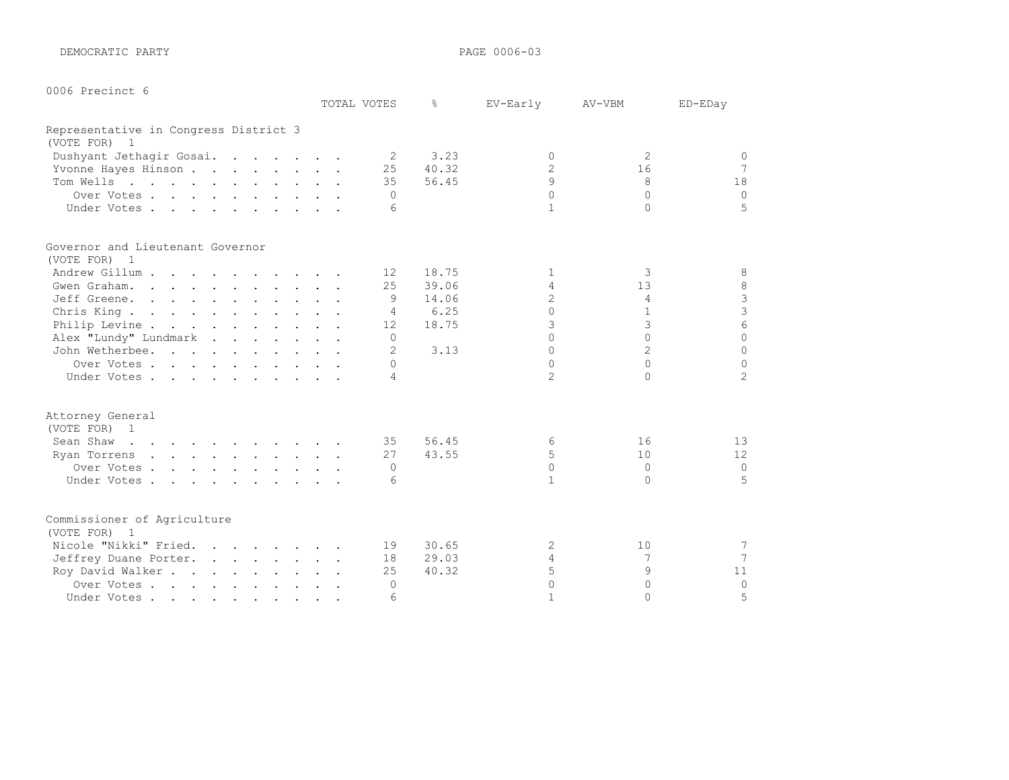DEMOCRATIC PARTY **PAGE 0006-03** 

| 0006 Precinct 6 |  |
|-----------------|--|
|                 |  |

|                                       |  | TOTAL VOTES     | ⊱     | EV-Early       | AV-VBM         | ED-EDay         |
|---------------------------------------|--|-----------------|-------|----------------|----------------|-----------------|
| Representative in Congress District 3 |  |                 |       |                |                |                 |
| (VOTE FOR) 1                          |  |                 |       |                |                |                 |
| Dushyant Jethagir Gosai.              |  | 2               | 3.23  | $\bigcap$      | 2              | $\circ$         |
| Yvonne Hayes Hinson                   |  | 25              | 40.32 | $\overline{c}$ | 16             | $7\phantom{.0}$ |
| Tom Wells                             |  | 35              | 56.45 | $\mathsf{Q}$   | 8              | 18              |
| Over Votes                            |  | $\Omega$        |       | $\Omega$       | $\cap$         | $\Omega$        |
| Under Votes                           |  | 6               |       | $\mathbf{1}$   | $\cap$         | 5               |
| Governor and Lieutenant Governor      |  |                 |       |                |                |                 |
| (VOTE FOR) 1                          |  |                 |       |                |                |                 |
| Andrew Gillum                         |  | 12 <sup>°</sup> | 18.75 | 1              | 3              | 8               |
| Gwen Graham.                          |  | 25              | 39.06 | 4              | 13             | $\,8\,$         |
| Jeff Greene.                          |  | 9               | 14.06 | $\overline{c}$ | 4              | $\frac{3}{3}$   |
| Chris King                            |  | $\overline{4}$  | 6.25  | $\Omega$       | $\mathbf{1}$   |                 |
| Philip Levine                         |  | 12 <sup>°</sup> | 18.75 | 3              | 3              | $6\phantom{.}6$ |
| Alex "Lundy" Lundmark                 |  | $\Omega$        |       | $\cap$         | $\cap$         | $\Omega$        |
| John Wetherbee.                       |  | $\mathfrak{D}$  | 3.13  | $\Omega$       | $\overline{2}$ | $\Omega$        |
| Over Votes                            |  | $\Omega$        |       | $\Omega$       | $\cap$         | $\Omega$        |
| Under Votes                           |  | 4               |       | $\mathfrak{D}$ | $\cap$         | $\mathfrak{L}$  |
| Attorney General                      |  |                 |       |                |                |                 |
| (VOTE FOR) 1                          |  |                 |       |                |                |                 |
| Sean Shaw                             |  | 35              | 56.45 | 6              | 16             | 13              |
| Ryan Torrens                          |  | 27              | 43.55 | 5              | 10             | 12              |
| Over Votes.                           |  | $\Omega$        |       | $\Omega$       | $\Omega$       | $\Omega$        |
| Under Votes                           |  | 6               |       | $\mathbf{1}$   | $\Omega$       | 5               |
| Commissioner of Agriculture           |  |                 |       |                |                |                 |
| (VOTE FOR) 1                          |  |                 |       |                |                |                 |
| Nicole "Nikki" Fried.                 |  | 19              | 30.65 | 2              | 10             | 7               |
| Jeffrey Duane Porter.                 |  | 18              | 29.03 | 4              | 7              | $\overline{7}$  |
| Roy David Walker                      |  | 25              | 40.32 | 5              | 9              | 11              |
| Over Votes                            |  | $\Omega$        |       | $\Omega$       | $\Omega$       | $\Omega$        |
| Under Votes                           |  | 6               |       | $\mathbf{1}$   | $\cap$         | 5               |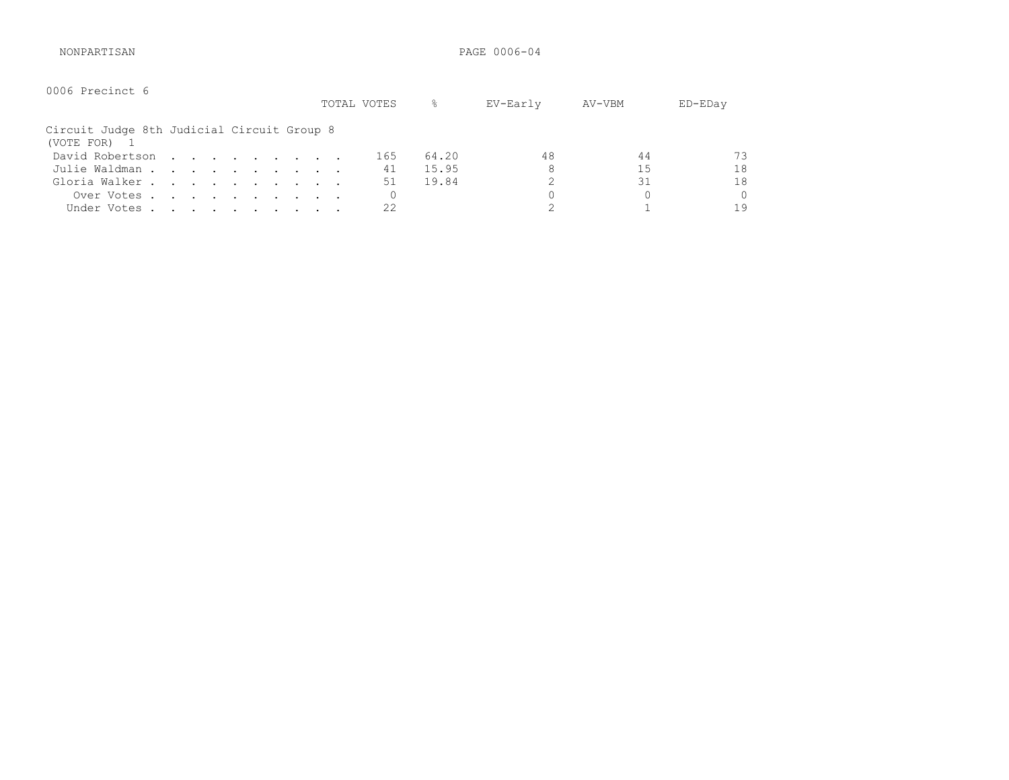NONPARTISAN PAGE 0006-04

| 0006 Precinct 6                                          |  |  |  |  | TOTAL VOTES | g.    | EV-Early | AV-VBM | ED-EDay |
|----------------------------------------------------------|--|--|--|--|-------------|-------|----------|--------|---------|
| Circuit Judge 8th Judicial Circuit Group 8<br>(VOTE FOR) |  |  |  |  |             |       |          |        |         |
| David Robertson                                          |  |  |  |  | 165         | 64.20 | 48       | 44     | 73      |
| Julie Waldman                                            |  |  |  |  | 41          | 15.95 | 8        | 15     | 18      |
| Gloria Walker                                            |  |  |  |  | 51          | 19.84 |          | 31     | 18      |
| Over Votes                                               |  |  |  |  |             |       | 0        | 0      | 0       |
| Under Votes                                              |  |  |  |  | 22          |       |          |        | 19      |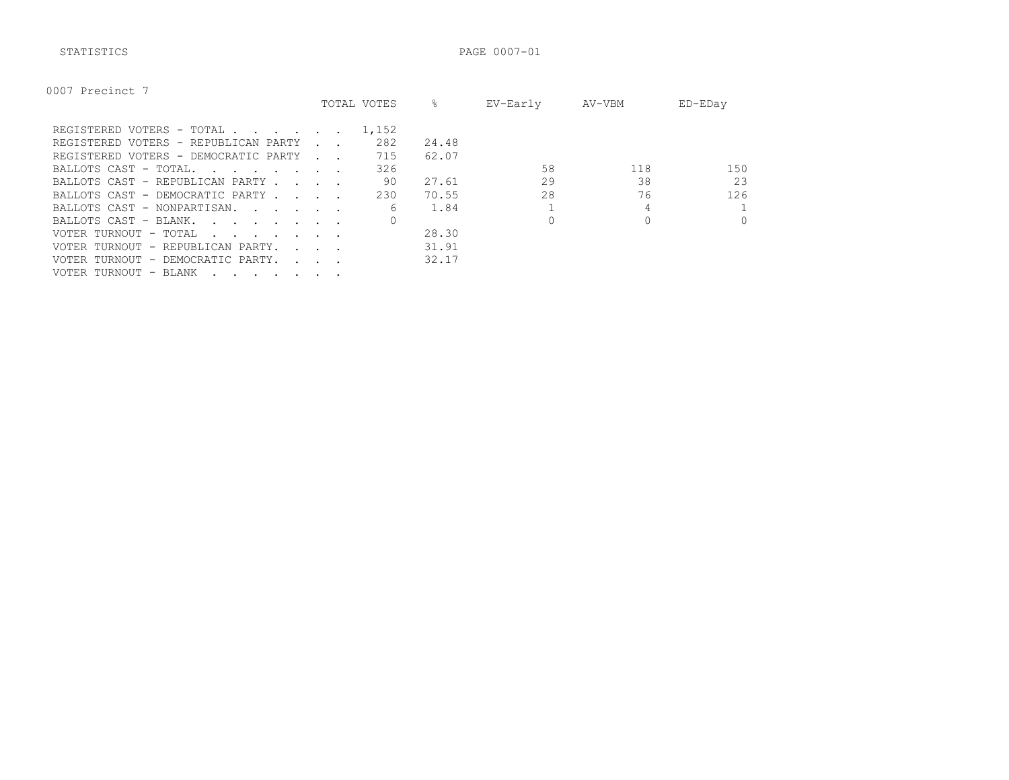STATISTICS PAGE 0007-01

| 0007<br>Precinct |
|------------------|
|------------------|

|                                                                                                                                          |                                            | TOTAL VOTES | ⊱     | EV-Early | AV-VBM | ED-EDay  |
|------------------------------------------------------------------------------------------------------------------------------------------|--------------------------------------------|-------------|-------|----------|--------|----------|
| REGISTERED VOTERS - TOTAL                                                                                                                |                                            | 1,152       |       |          |        |          |
| REGISTERED VOTERS - REPUBLICAN PARTY                                                                                                     |                                            | 282         | 24.48 |          |        |          |
| REGISTERED VOTERS - DEMOCRATIC PARTY                                                                                                     | <b>Contract Contract</b>                   | 715         | 62.07 |          |        |          |
|                                                                                                                                          |                                            | 326         |       | 58       | 118    | 150      |
| BALLOTS CAST - REPUBLICAN PARTY.                                                                                                         | $\sim$ $\sim$ $\sim$ $\sim$                | 90          | 27.61 | 29       | 38     | 23       |
| BALLOTS CAST - DEMOCRATIC PARTY                                                                                                          |                                            | 230         | 70.55 | 28       | 76     | 126      |
| BALLOTS CAST - NONPARTISAN.                                                                                                              |                                            | 6           | 1.84  |          |        |          |
| BALLOTS CAST - BLANK.                                                                                                                    |                                            |             |       |          |        | $\Omega$ |
| VOTER TURNOUT - TOTAL<br>the contract of the contract of the contract of the contract of the contract of the contract of the contract of |                                            |             | 28.30 |          |        |          |
| VOTER TURNOUT - REPUBLICAN PARTY.                                                                                                        | $\mathbf{r}$ , $\mathbf{r}$ , $\mathbf{r}$ |             | 31.91 |          |        |          |
| VOTER TURNOUT - DEMOCRATIC PARTY.                                                                                                        | $\sim$ $\sim$ $\sim$ $\sim$                |             | 32.17 |          |        |          |
| VOTER TURNOUT - BLANK<br>$\cdot$                                                                                                         |                                            |             |       |          |        |          |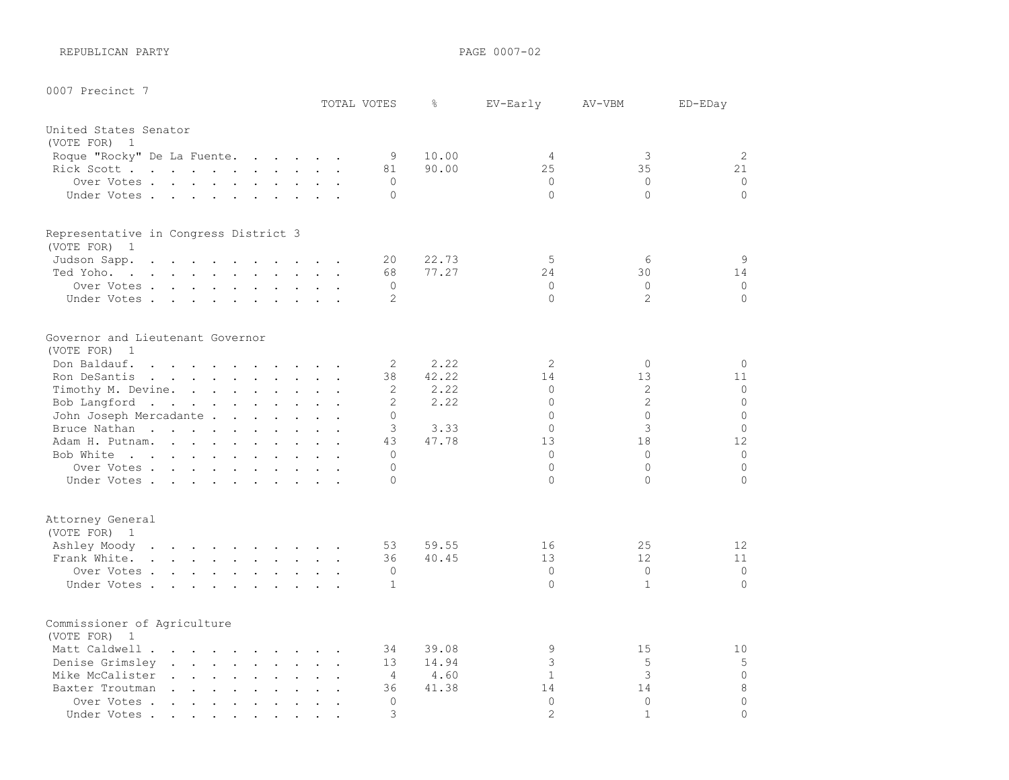REPUBLICAN PARTY **PAGE 0007-02** 

0007 Precinct 7

|                                                                                                                           |                      | TOTAL VOTES    | $\frac{6}{6}$  | EV-Early             | AV-VBM         | ED-EDay        |
|---------------------------------------------------------------------------------------------------------------------------|----------------------|----------------|----------------|----------------------|----------------|----------------|
| United States Senator                                                                                                     |                      |                |                |                      |                |                |
| (VOTE FOR) 1                                                                                                              |                      |                |                |                      |                |                |
| Roque "Rocky" De La Fuente.                                                                                               |                      | 9<br>81        | 10.00<br>90.00 | $\overline{4}$<br>25 | 3<br>35        | 2<br>21        |
| Rick Scott<br>Over Votes                                                                                                  |                      | $\Omega$       |                | $\circ$              | $\circ$        | $\circ$        |
| Under Votes                                                                                                               |                      | $\Omega$       |                | $\Omega$             | $\Omega$       | $\circ$        |
|                                                                                                                           |                      |                |                |                      |                |                |
| Representative in Congress District 3<br>(VOTE FOR) 1                                                                     |                      |                |                |                      |                |                |
| Judson Sapp.                                                                                                              |                      | $20 \,$        | 22.73          | 5                    | 6              | 9              |
| Ted Yoho.                                                                                                                 |                      | 68             | 77.27          | 24                   | 30             | 14             |
| Over Votes                                                                                                                |                      | $\Omega$       |                | $\Omega$             | $\Omega$       | $\Omega$       |
| Under Votes                                                                                                               |                      | 2              |                | $\Omega$             | $\overline{2}$ | $\Omega$       |
|                                                                                                                           |                      |                |                |                      |                |                |
| Governor and Lieutenant Governor<br>(VOTE FOR) 1                                                                          |                      |                |                |                      |                |                |
| Don Baldauf.                                                                                                              |                      | 2              | 2.22           | $\overline{2}$       | $\circ$        | $\circ$        |
| Ron DeSantis                                                                                                              |                      | 38             | 42.22          | 14                   | 13             | 11             |
| Timothy M. Devine.                                                                                                        |                      | 2              | 2.22           | $\Omega$             | 2              | $\circ$        |
| Bob Langford                                                                                                              |                      | 2              | 2.22           | $\Omega$             | $\overline{2}$ | $\mathbf 0$    |
| John Joseph Mercadante                                                                                                    |                      | $\Omega$       |                | $\Omega$             | $\Omega$       | $\Omega$       |
| Bruce Nathan                                                                                                              |                      | 3              | 3.33           | $\Omega$             | 3              | $\Omega$       |
| Adam H. Putnam.<br>$\mathbf{r}$ , $\mathbf{r}$ , $\mathbf{r}$ , $\mathbf{r}$ , $\mathbf{r}$ , $\mathbf{r}$ , $\mathbf{r}$ |                      | 43             | 47.78          | 13                   | 18             | 12             |
| Bob White                                                                                                                 |                      | $\Omega$       |                | $\Omega$             | $\Omega$       | $\mathbf 0$    |
| Over Votes                                                                                                                |                      | $\Omega$       |                | $\Omega$             | $\Omega$       | $\mathbf 0$    |
| Under Votes                                                                                                               |                      | $\cap$         |                | $\Omega$             | $\Omega$       | $\overline{0}$ |
|                                                                                                                           |                      |                |                |                      |                |                |
| Attorney General<br>(VOTE FOR) 1                                                                                          |                      |                |                |                      |                |                |
| Ashley Moody                                                                                                              |                      | 53             | 59.55          | 16                   | 25             | 12             |
| Frank White.                                                                                                              |                      | 36             | 40.45          | 13                   | 12             | 11             |
| Over Votes                                                                                                                |                      | $\Omega$       |                | $\Omega$             | $\Omega$       | $\circ$        |
| Under Votes.                                                                                                              |                      | $\mathbf{1}$   |                | $\Omega$             | $\mathbf{1}$   | $\Omega$       |
|                                                                                                                           |                      |                |                |                      |                |                |
| Commissioner of Agriculture<br>(VOTE FOR) 1                                                                               |                      |                |                |                      |                |                |
| Matt Caldwell                                                                                                             | $\ddot{\phantom{a}}$ | 34             | 39.08          | 9                    | 15             | 10             |
| Denise Grimsley                                                                                                           |                      | 13             | 14.94          | 3                    | 5              | $\mathsf S$    |
| Mike McCalister                                                                                                           | $\sim$ $\sim$        | $\overline{4}$ | 4.60           | $\mathbf{1}$         | 3              | $\mathbb O$    |
| Baxter Troutman                                                                                                           |                      | 36             | 41.38          | 14                   | 14             | 8              |
| Over Votes                                                                                                                |                      | $\Omega$       |                | $\Omega$             | $\circ$        | $\overline{0}$ |
| Under Votes.                                                                                                              |                      | $\mathcal{L}$  |                | $\mathfrak{D}$       | $\mathbf{1}$   | $\Omega$       |
|                                                                                                                           |                      |                |                |                      |                |                |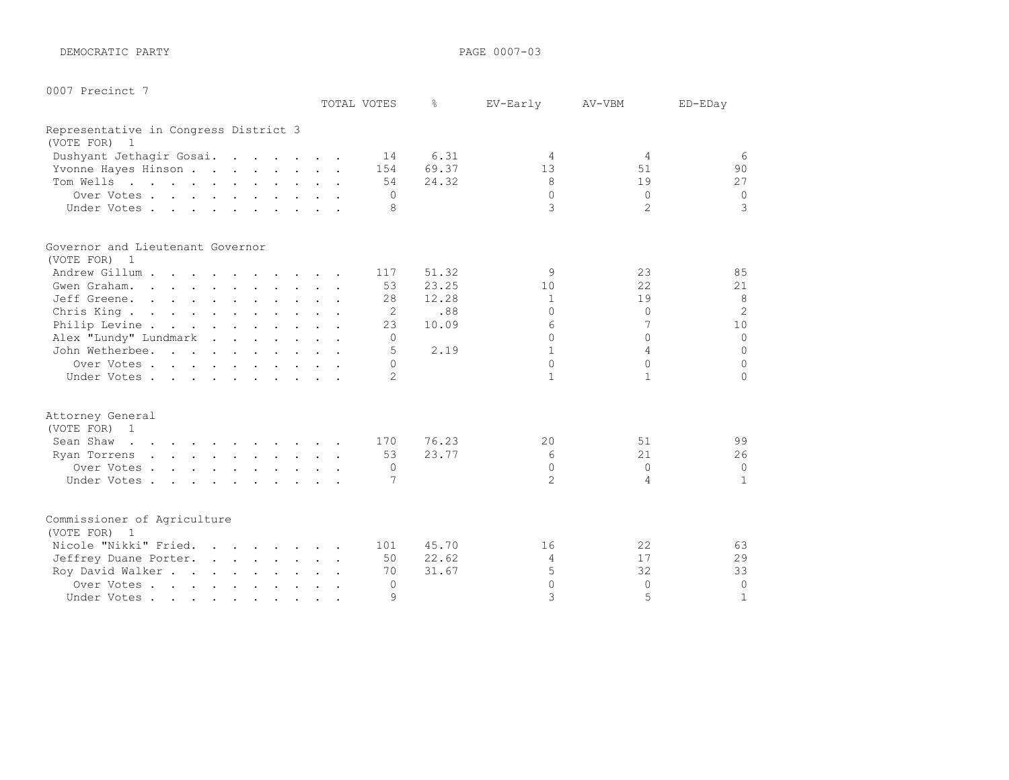DEMOCRATIC PARTY **PAGE 0007-03** 

| 0007 | Precinct |  |
|------|----------|--|
|------|----------|--|

|                                                                                                                                                                                                                                                |  | TOTAL VOTES    | ⊱     | EV-Early       | AV-VBM         | ED-EDay        |
|------------------------------------------------------------------------------------------------------------------------------------------------------------------------------------------------------------------------------------------------|--|----------------|-------|----------------|----------------|----------------|
| Representative in Congress District 3                                                                                                                                                                                                          |  |                |       |                |                |                |
| (VOTE FOR) 1                                                                                                                                                                                                                                   |  |                |       |                |                |                |
| Dushyant Jethagir Gosai.                                                                                                                                                                                                                       |  | 14             | 6.31  | 4              | $\overline{4}$ | 6              |
| Yvonne Hayes Hinson                                                                                                                                                                                                                            |  | 154            | 69.37 | 13             | 51             | 90             |
| Tom Wells                                                                                                                                                                                                                                      |  | 54             | 24.32 | 8              | 19             | 27             |
| Over Votes                                                                                                                                                                                                                                     |  | $\Omega$       |       | $\Omega$       | $\Omega$       | $\Omega$       |
| Under Votes                                                                                                                                                                                                                                    |  | 8              |       | 3              | $\mathfrak{D}$ | 3              |
| Governor and Lieutenant Governor                                                                                                                                                                                                               |  |                |       |                |                |                |
| (VOTE FOR) 1                                                                                                                                                                                                                                   |  |                |       |                |                |                |
| Andrew Gillum                                                                                                                                                                                                                                  |  | 117            | 51.32 | 9              | 23             | 85             |
| Gwen Graham.                                                                                                                                                                                                                                   |  | 53             | 23.25 | 10             | 22             | 21             |
| Jeff Greene.                                                                                                                                                                                                                                   |  | 28             | 12.28 | $\mathbf{1}$   | 19             | 8              |
| Chris King.                                                                                                                                                                                                                                    |  | $\overline{2}$ | .88   | $\Omega$       | $\Omega$       | $\overline{2}$ |
| Philip Levine                                                                                                                                                                                                                                  |  | 23             | 10.09 | 6              | 7              | 10             |
| Alex "Lundy" Lundmark                                                                                                                                                                                                                          |  | $\bigcap$      |       | $\cap$         | $\cap$         | $\circ$        |
| John Wetherbee.                                                                                                                                                                                                                                |  | .5             | 2.19  | $\mathbf{1}$   | 4              | $\circ$        |
| Over Votes                                                                                                                                                                                                                                     |  | $\Omega$       |       | $\Omega$       | $\Omega$       | $\circ$        |
| Under Votes                                                                                                                                                                                                                                    |  | $\mathcal{P}$  |       | $\mathbf{1}$   | $\mathbf{1}$   | $\Omega$       |
| Attorney General                                                                                                                                                                                                                               |  |                |       |                |                |                |
| (VOTE FOR) 1                                                                                                                                                                                                                                   |  |                |       |                |                |                |
| Sean Shaw<br>the contract of the contract of the contract of                                                                                                                                                                                   |  | 170            | 76.23 | 20             | 51             | 99             |
| Ryan Torrens<br>and the contract of the contract of the contract of the contract of the contract of the contract of the contract of the contract of the contract of the contract of the contract of the contract of the contract of the contra |  | 53             | 23.77 | 6              | 21             | 26             |
| Over Votes                                                                                                                                                                                                                                     |  | $\Omega$       |       | $\Omega$       | $\bigcap$      | $\circ$        |
| Under Votes.                                                                                                                                                                                                                                   |  | 7              |       | $\mathfrak{D}$ | 4              | $\mathbf{1}$   |
| Commissioner of Agriculture                                                                                                                                                                                                                    |  |                |       |                |                |                |
| (VOTE FOR) 1                                                                                                                                                                                                                                   |  |                |       |                |                |                |
| Nicole "Nikki" Fried.                                                                                                                                                                                                                          |  | 101            | 45.70 | 16             | 22             | 63             |
| Jeffrey Duane Porter.                                                                                                                                                                                                                          |  | 50             | 22.62 | 4              | 17             | 29             |
| Roy David Walker                                                                                                                                                                                                                               |  | 70             | 31.67 | 5              | 32             | 33             |
| Over Votes                                                                                                                                                                                                                                     |  | $\Omega$       |       | $\Omega$       | $\Omega$       | $\circ$        |
| Under Votes                                                                                                                                                                                                                                    |  | $\mathcal{Q}$  |       | 3              | 5              | $\mathbf{1}$   |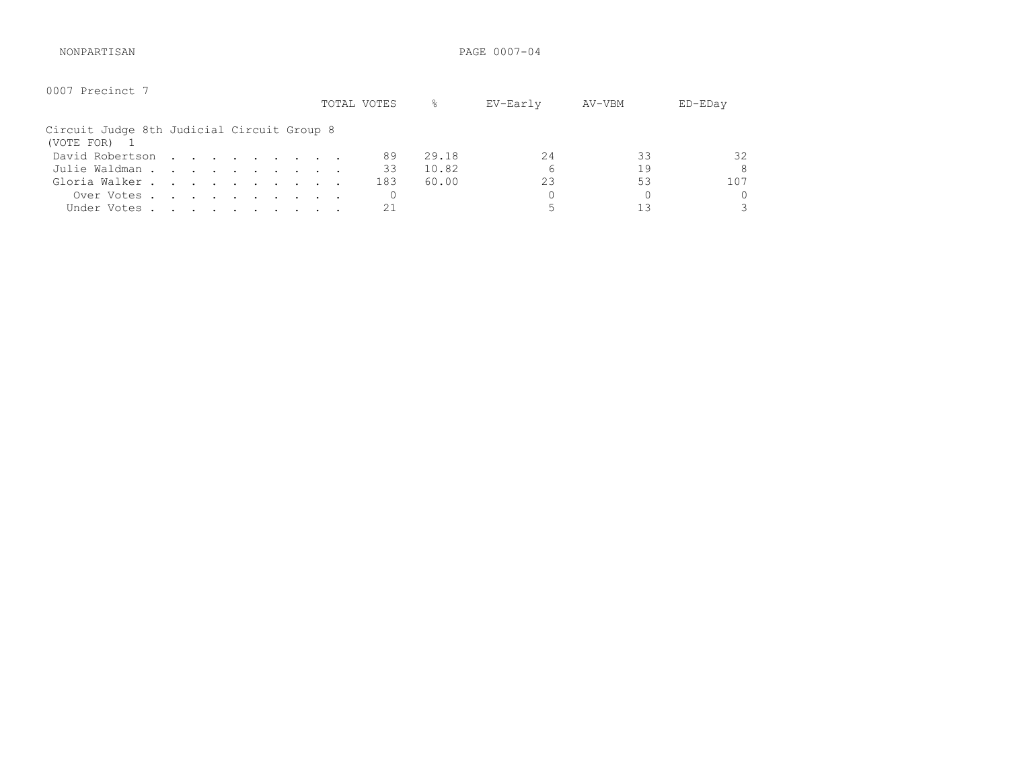NONPARTISAN PAGE 0007-04

| 0007 Precinct 7                                            |  |                                                                                                                                                                                       |  |  |  | TOTAL VOTES | 옹     | EV-Early | AV-VBM | $ED$ – $ED$ ay |
|------------------------------------------------------------|--|---------------------------------------------------------------------------------------------------------------------------------------------------------------------------------------|--|--|--|-------------|-------|----------|--------|----------------|
| Circuit Judge 8th Judicial Circuit Group 8<br>(VOTE FOR) 1 |  |                                                                                                                                                                                       |  |  |  |             |       |          |        |                |
| David Robertson                                            |  | $\mathcal{L}(\mathbf{r}) = \mathcal{L}(\mathbf{r}) = \mathcal{L}(\mathbf{r}) = \mathcal{L}(\mathbf{r}) = \mathcal{L}(\mathbf{r}) = \mathcal{L}(\mathbf{r}) = \mathcal{L}(\mathbf{r})$ |  |  |  | 89          | 29.18 | 2.4      | 33     | 32             |
| Julie Waldman                                              |  |                                                                                                                                                                                       |  |  |  | 33          | 10.82 | 6        | 19     | 8              |
| Gloria Walker                                              |  |                                                                                                                                                                                       |  |  |  | 183         | 60.00 | 23       | 53     | 107            |
| Over Votes                                                 |  |                                                                                                                                                                                       |  |  |  |             |       |          |        | 0              |
| Under Votes                                                |  |                                                                                                                                                                                       |  |  |  | 21          |       |          | 13     | 3              |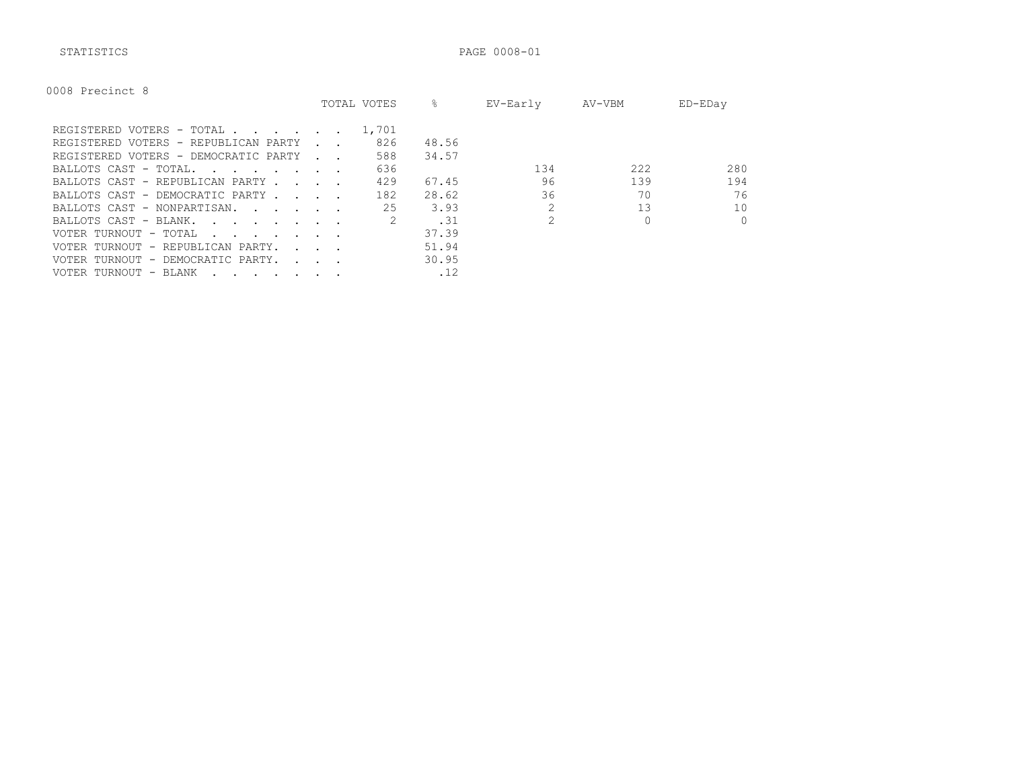STATISTICS PAGE 0008-01

|  | 0008 | Precinct 8 |  |
|--|------|------------|--|
|--|------|------------|--|

|                                                                                                                                                                                                                                                            |                                            | TOTAL VOTES | ⊱     | EV-Early | AV-VBM | ED-EDay  |
|------------------------------------------------------------------------------------------------------------------------------------------------------------------------------------------------------------------------------------------------------------|--------------------------------------------|-------------|-------|----------|--------|----------|
| REGISTERED VOTERS - TOTAL                                                                                                                                                                                                                                  |                                            | 1,701       |       |          |        |          |
| REGISTERED VOTERS - REPUBLICAN PARTY                                                                                                                                                                                                                       |                                            | 826         | 48.56 |          |        |          |
| REGISTERED VOTERS - DEMOCRATIC PARTY                                                                                                                                                                                                                       | <b>Contract Contract Street</b>            | 588         | 34.57 |          |        |          |
| BALLOTS CAST - TOTAL.<br><u>in the second contract of the second second</u>                                                                                                                                                                                |                                            | 636         |       | 134      | 222    | 280      |
| BALLOTS CAST - REPUBLICAN PARTY.                                                                                                                                                                                                                           | and the state of the state of              | 429         | 67.45 | 96       | 139    | 194      |
| BALLOTS CAST - DEMOCRATIC PARTY                                                                                                                                                                                                                            |                                            | 182         | 28.62 | 36       | 70     | 76       |
| BALLOTS CAST - NONPARTISAN.                                                                                                                                                                                                                                |                                            | 25          | 3.93  |          | 13     | 10       |
| BALLOTS CAST - BLANK.<br>$\mathbf{r}$ . The contract of the contract of the contract of the contract of the contract of the contract of the contract of the contract of the contract of the contract of the contract of the contract of the contract of th |                                            |             | .31   |          |        | $\Omega$ |
| VOTER TURNOUT - TOTAL<br>the contract of the contract of the contract of the contract of the contract of the contract of the contract of                                                                                                                   |                                            |             | 37.39 |          |        |          |
| VOTER TURNOUT - REPUBLICAN PARTY.                                                                                                                                                                                                                          | $\mathbf{r}$ , $\mathbf{r}$ , $\mathbf{r}$ |             | 51.94 |          |        |          |
| VOTER TURNOUT - DEMOCRATIC PARTY.                                                                                                                                                                                                                          | $\sim$ $\sim$ $\sim$                       |             | 30.95 |          |        |          |
| VOTER TURNOUT - BLANK<br>$\cdot$                                                                                                                                                                                                                           |                                            |             | .12   |          |        |          |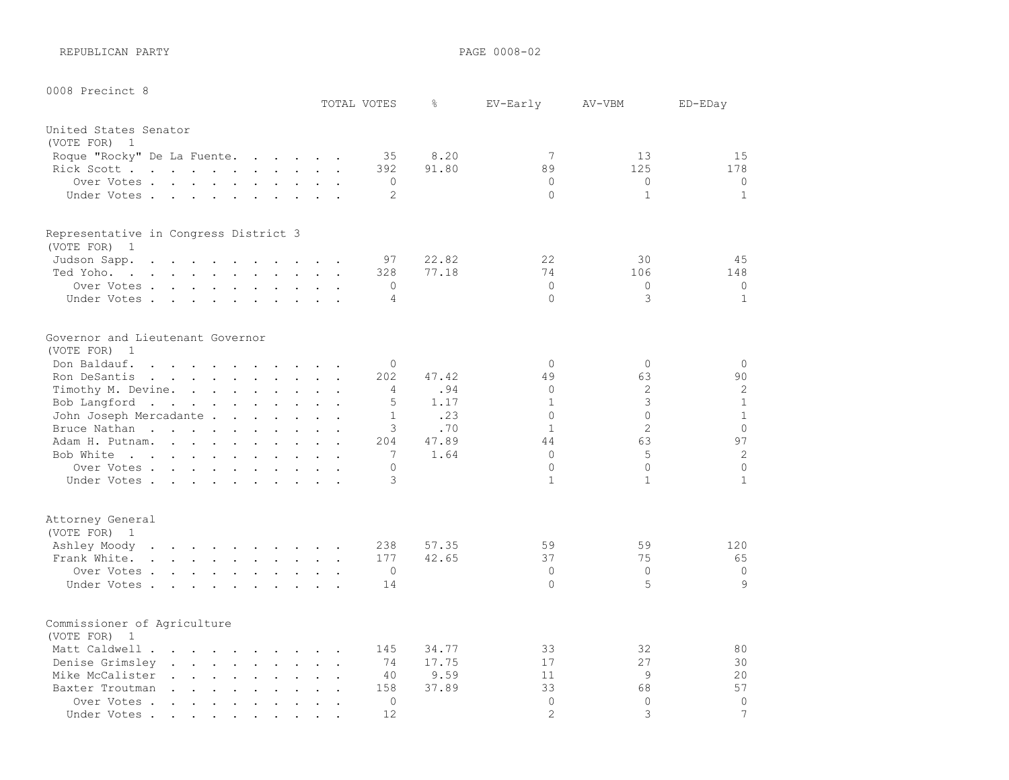REPUBLICAN PARTY **PAGE 0008-02** 

| 0008 Precinct 8                                                                                                                                         |                             |                |       |                |                |                |
|---------------------------------------------------------------------------------------------------------------------------------------------------------|-----------------------------|----------------|-------|----------------|----------------|----------------|
|                                                                                                                                                         |                             | TOTAL VOTES    | g.    | EV-Early       | AV-VBM         | ED-EDay        |
| United States Senator                                                                                                                                   |                             |                |       |                |                |                |
| (VOTE FOR) 1                                                                                                                                            |                             |                |       |                |                |                |
| Roque "Rocky" De La Fuente.<br>$\mathcal{A}=\mathcal{A}=\mathcal{A}=\mathcal{A}=\mathcal{A}=\mathcal{A}$                                                |                             | 35             | 8.20  | 7              | 13             | 15             |
| Rick Scott                                                                                                                                              |                             | 392            | 91.80 | 89             | 125            | 178            |
| Over Votes.<br>$\mathbf{r}$ , $\mathbf{r}$ , $\mathbf{r}$ , $\mathbf{r}$<br>$\ddot{\phantom{a}}$<br>$\cdot$ $\cdot$ $\cdot$                             |                             | $\circ$        |       | $\Omega$       | $\Omega$       | $\circ$        |
| Under Votes<br>$\ddot{\phantom{1}}$                                                                                                                     |                             | 2              |       | $\Omega$       | $\mathbf{1}$   | $\mathbf{1}$   |
|                                                                                                                                                         |                             |                |       |                |                |                |
| Representative in Congress District 3                                                                                                                   |                             |                |       |                |                |                |
| (VOTE FOR) 1                                                                                                                                            |                             |                |       |                |                |                |
| Judson Sapp.<br>$\sim$<br>$\sim$<br>$\mathbf{r} = \mathbf{r}$ , and $\mathbf{r} = \mathbf{r}$<br>$\mathbf{r}$ . The set of $\mathbf{r}$<br>$\mathbf{r}$ |                             | 97             | 22.82 | 22             | 30             | 45             |
| Ted Yoho.<br>the contract of the contract of the contract of the contract of the contract of the contract of the contract of                            |                             | 328            | 77.18 | 74             | 106            | 148            |
| Over Votes                                                                                                                                              |                             | 0              |       | $\Omega$       | $\Omega$       | $\circ$        |
| Under Votes                                                                                                                                             |                             | 4              |       | $\Omega$       | 3              | $\mathbf{1}$   |
|                                                                                                                                                         |                             |                |       |                |                |                |
| Governor and Lieutenant Governor                                                                                                                        |                             |                |       |                |                |                |
| (VOTE FOR)<br>$\overline{1}$                                                                                                                            |                             |                |       |                |                |                |
| Don Baldauf.<br>$\sim$ $\sim$<br>$\mathbf{r}$ , and $\mathbf{r}$ , and $\mathbf{r}$ , and $\mathbf{r}$                                                  | $\sim$ $\sim$ $\sim$        | $\Omega$       |       | $\Omega$       | $\Omega$       | $\circ$        |
| Ron DeSantis<br>the contract of the contract of the contract of the contract of the contract of the contract of the contract of                         | $\mathbf{L}$                | 202            | 47.42 | 49             | 63             | 90             |
| Timothy M. Devine.<br>$\sim$                                                                                                                            |                             | $\overline{4}$ | .94   | $\circ$        | $\overline{c}$ | $\mathbf{2}$   |
| Bob Langford<br>$\mathbb{Z}^2$                                                                                                                          | $\ddot{\phantom{a}}$        | 5              | 1.17  | $\mathbf{1}$   | 3              | $\mathbf{1}$   |
| John Joseph Mercadante .<br>$\mathbf{r}$ , $\mathbf{r}$ , $\mathbf{r}$ , $\mathbf{r}$ , $\mathbf{r}$                                                    |                             | $\mathbf{1}$   | .23   | $\Omega$       | $\Omega$       | $\mathbf{1}$   |
| Bruce Nathan<br>$\sim$<br>$\mathbf{r}$                                                                                                                  |                             | 3              | .70   | $\mathbf{1}$   | $\overline{2}$ | $\Omega$       |
| Adam H. Putnam.<br>$\mathbf{r}$ and $\mathbf{r}$<br>$\ddot{\phantom{0}}$                                                                                | $\mathcal{L}^{\text{max}}$  | 204            | 47.89 | 44             | 63             | 97             |
| Bob White<br>$\ddot{\phantom{a}}$                                                                                                                       |                             | 7              | 1.64  | $\Omega$       | 5              | $\overline{c}$ |
| Over Votes                                                                                                                                              |                             | 0              |       | $\Omega$       | $\Omega$       | $\Omega$       |
| Under Votes                                                                                                                                             |                             | 3              |       | $\mathbf{1}$   | $\mathbf{1}$   | $\mathbf{1}$   |
|                                                                                                                                                         |                             |                |       |                |                |                |
| Attorney General                                                                                                                                        |                             |                |       |                |                |                |
| (VOTE FOR) 1                                                                                                                                            |                             |                |       |                |                |                |
| Ashley Moody<br>the contract of the contract of the contract of                                                                                         |                             | 238            | 57.35 | 59             | 59             | 120            |
| Frank White.                                                                                                                                            |                             | 177            | 42.65 | 37             | 75             | 65             |
| Over Votes                                                                                                                                              |                             | $\circ$        |       | $\Omega$       | $\Omega$       | $\circ$        |
| Under Votes<br>$\mathbf{r}$ , $\mathbf{r}$ , $\mathbf{r}$ , $\mathbf{r}$                                                                                |                             | 14             |       | $\Omega$       | 5              | 9              |
|                                                                                                                                                         |                             |                |       |                |                |                |
| Commissioner of Agriculture                                                                                                                             |                             |                |       |                |                |                |
| (VOTE FOR)<br>$\overline{1}$                                                                                                                            |                             |                |       |                |                |                |
| Matt Caldwell<br>$\mathbf{r}$ . The set of the set of $\mathbf{r}$                                                                                      |                             | 145            | 34.77 | 33             | 32             | 80             |
| Denise Grimsley.<br>and the second control of the second<br>$\ddot{\phantom{a}}$                                                                        |                             | 74             | 17.75 | 17             | 27             | 30             |
| Mike McCalister<br>$\ddot{\phantom{a}}$<br>$\mathbf{L}$ and $\mathbf{L}$<br>$\cdot$ $\cdot$<br>$\sim$<br>$\ddot{\phantom{a}}$                           |                             | 40             | 9.59  | 11             | 9              | 20             |
| Baxter Troutman<br>$\ddot{\phantom{a}}$                                                                                                                 | $\mathbf{L}^{\text{max}}$ . | 158            | 37.89 | 33             | 68             | 57             |
| Over Votes.<br>$\sim$ $\sim$<br>$\sim$<br>$\ddot{\phantom{a}}$<br>$\mathbf{r}$<br>$\ddot{\phantom{a}}$                                                  |                             | $\circ$        |       | $\mathbf 0$    | $\Omega$       | $\circ$        |
| Under Votes.<br>$\mathcal{L}(\mathcal{A})$ , and $\mathcal{A}(\mathcal{A})$ , and<br>$\bullet$<br>$\bullet$                                             |                             | 12             |       | $\overline{2}$ | 3              | 7              |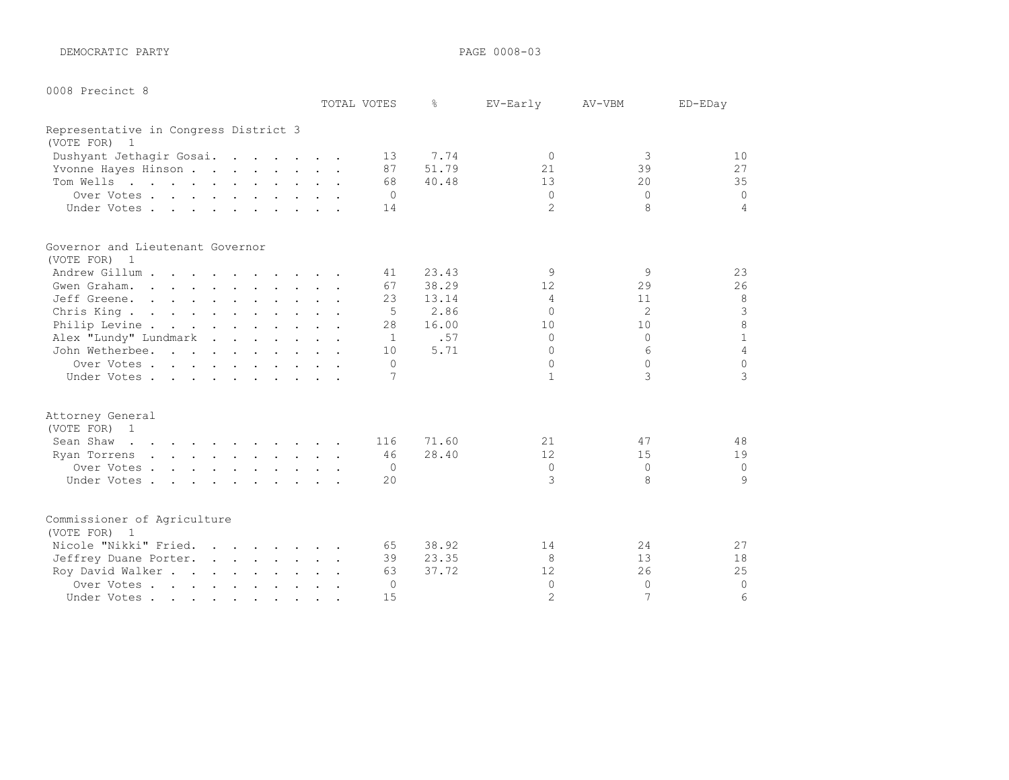DEMOCRATIC PARTY **PAGE 0008-03** 

|  | 0008 | Precinct 8 |  |
|--|------|------------|--|
|--|------|------------|--|

|                                                                                                                              |  | TOTAL VOTES    | ⊱     | EV-Early       | AV-VBM   | ED-EDay         |
|------------------------------------------------------------------------------------------------------------------------------|--|----------------|-------|----------------|----------|-----------------|
| Representative in Congress District 3                                                                                        |  |                |       |                |          |                 |
| (VOTE FOR) 1                                                                                                                 |  |                |       |                |          |                 |
| Dushyant Jethagir Gosai.                                                                                                     |  | 13             | 7.74  | $\Omega$       | 3        | 10 <sup>°</sup> |
| Yvonne Hayes Hinson                                                                                                          |  | 87             | 51.79 | 21             | 39       | 27              |
| Tom Wells                                                                                                                    |  | 68             | 40.48 | 13             | $20 \,$  | 35              |
| Over Votes                                                                                                                   |  | $\bigcirc$     |       | $\Omega$       | $\Omega$ | $\Omega$        |
| Under Votes                                                                                                                  |  | 14             |       | $\mathfrak{D}$ | 8        | $\overline{4}$  |
| Governor and Lieutenant Governor                                                                                             |  |                |       |                |          |                 |
| (VOTE FOR) 1                                                                                                                 |  |                |       |                |          |                 |
| Andrew Gillum                                                                                                                |  | 41             | 23.43 | 9              | 9        | 23              |
| Gwen Graham.                                                                                                                 |  | 67             | 38.29 | 12             | 29       | 26              |
| Jeff Greene.                                                                                                                 |  | 23             | 13.14 | $\overline{4}$ | 11       | $\,8\,$         |
| Chris King.                                                                                                                  |  | .5             | 2.86  | $\Omega$       | 2        | $\mathcal{S}$   |
| Philip Levine                                                                                                                |  | 28             | 16.00 | 10             | 10       | $\,8\,$         |
| Alex "Lundy" Lundmark                                                                                                        |  | 1              | .57   | $\Omega$       | $\cap$   | $1\,$           |
| John Wetherbee.                                                                                                              |  | 10             | 5.71  | $\Omega$       | 6        | $\overline{4}$  |
| Over Votes                                                                                                                   |  | $\Omega$       |       | $\Omega$       | $\Omega$ | $\Omega$        |
| Under Votes                                                                                                                  |  | 7              |       | $\mathbf{1}$   | 3        | 3               |
| Attorney General                                                                                                             |  |                |       |                |          |                 |
| (VOTE FOR) 1                                                                                                                 |  |                |       |                |          |                 |
| Sean Shaw<br>the contract of the contract of the contract of the contract of the contract of the contract of the contract of |  | 116            | 71.60 | 21             | 47       | 48              |
| $\mathcal{A}$ . The second contribution of the second contribution $\mathcal{A}$<br>Ryan Torrens                             |  | 46             | 28.40 | 12             | 15       | 19              |
| Over Votes                                                                                                                   |  | $\overline{0}$ |       | $\Omega$       | $\Omega$ | $\mathbf 0$     |
| Under Votes                                                                                                                  |  | 20             |       | 3              | 8        | 9               |
|                                                                                                                              |  |                |       |                |          |                 |
| Commissioner of Agriculture                                                                                                  |  |                |       |                |          |                 |
| (VOTE FOR) 1                                                                                                                 |  |                |       |                |          |                 |
| Nicole "Nikki" Fried.                                                                                                        |  | 65             | 38.92 | 14             | 24       | 27              |
| Jeffrey Duane Porter.                                                                                                        |  | 39             | 23.35 | 8              | 13       | 18              |
| Roy David Walker                                                                                                             |  | 63             | 37.72 | 12             | 26       | 25              |
| Over Votes                                                                                                                   |  | 0              |       | $\Omega$       | $\Omega$ | $\circ$         |
| Under Votes                                                                                                                  |  | 15             |       | $\overline{2}$ | 7        | 6               |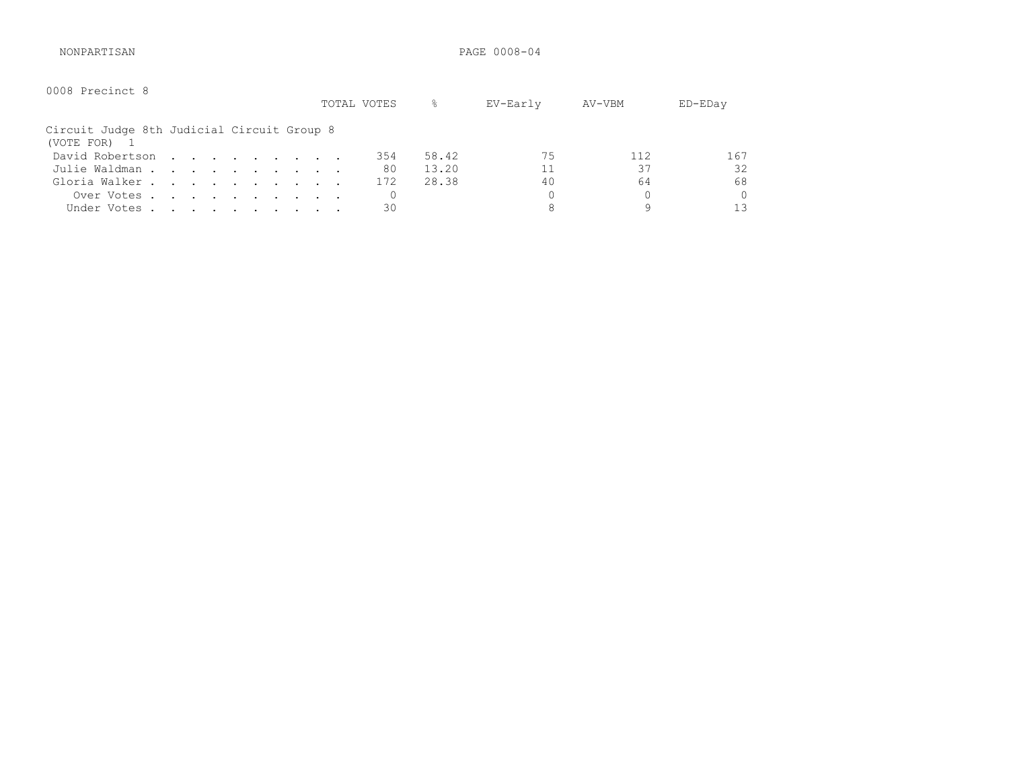NONPARTISAN PAGE 0008-04

| 0008 Precinct 8                                            |  |  |  |  | TOTAL VOTES | %     | EV-Early | AV-VBM | $ED$ – $ED$ ay |
|------------------------------------------------------------|--|--|--|--|-------------|-------|----------|--------|----------------|
| Circuit Judge 8th Judicial Circuit Group 8<br>(VOTE FOR) 1 |  |  |  |  |             |       |          |        |                |
| David Robertson                                            |  |  |  |  | 354         | 58.42 | 75       | 112    | 167            |
| Julie Waldman                                              |  |  |  |  | 80          | 13.20 |          | 37     | 32             |
| Gloria Walker                                              |  |  |  |  | 172         | 28.38 | 40       | 64     | 68             |
| Over Votes                                                 |  |  |  |  |             |       |          |        | 0              |
| Under Votes                                                |  |  |  |  | 30          |       | 8        | 9      | 1 ว            |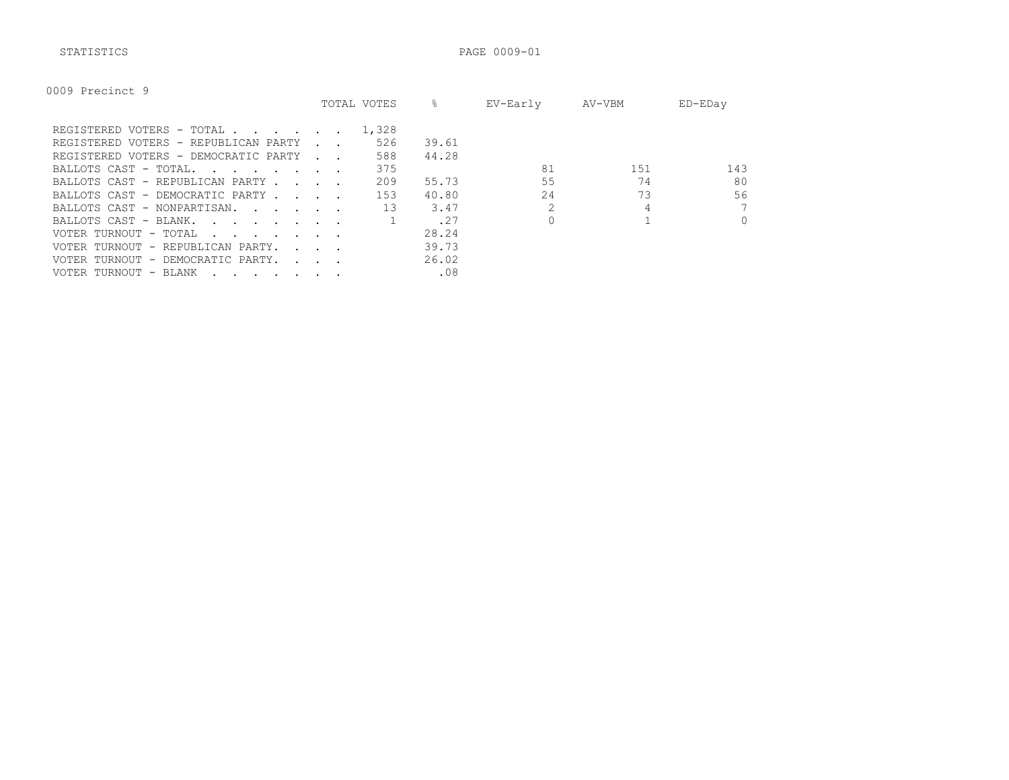STATISTICS PAGE 0009-01

| 0009 Precinct 9 |
|-----------------|
|-----------------|

|                                                                                                                                                                                                                                                            |                                 | TOTAL VOTES | ⊱     | EV-Early | AV-VBM | ED-EDay  |
|------------------------------------------------------------------------------------------------------------------------------------------------------------------------------------------------------------------------------------------------------------|---------------------------------|-------------|-------|----------|--------|----------|
| REGISTERED VOTERS - TOTAL                                                                                                                                                                                                                                  |                                 | 1,328       |       |          |        |          |
| REGISTERED VOTERS - REPUBLICAN PARTY                                                                                                                                                                                                                       |                                 | 526         | 39.61 |          |        |          |
| REGISTERED VOTERS - DEMOCRATIC PARTY                                                                                                                                                                                                                       | <b>Contract Contract Street</b> | 588         | 44.28 |          |        |          |
| BALLOTS CAST - TOTAL.<br>$\sim$ $\sim$ $\sim$ $\sim$ $\sim$ $\sim$ $\sim$ $\sim$                                                                                                                                                                           |                                 | 375         |       | 81       | 151    | 143      |
| BALLOTS CAST - REPUBLICAN PARTY.                                                                                                                                                                                                                           | $\sim$ $\sim$ $\sim$ $\sim$     | 209         | 55.73 | 55       | 74     | 80       |
| BALLOTS CAST - DEMOCRATIC PARTY                                                                                                                                                                                                                            |                                 | 153         | 40.80 | 2.4      | 73     | 56       |
| BALLOTS CAST - NONPARTISAN.                                                                                                                                                                                                                                |                                 | 13          | 3.47  |          |        | 7        |
| BALLOTS CAST - BLANK.<br>$\mathbf{r}$ . The contract of the contract of the contract of the contract of the contract of the contract of the contract of the contract of the contract of the contract of the contract of the contract of the contract of th |                                 |             | .27   |          |        | $\Omega$ |
| VOTER TURNOUT - TOTAL<br>the contract of the contract of the contract of the contract of the contract of the contract of the contract of                                                                                                                   |                                 |             | 28.24 |          |        |          |
| VOTER TURNOUT - REPUBLICAN PARTY.                                                                                                                                                                                                                          | $\sim$ $\sim$ $\sim$            |             | 39.73 |          |        |          |
| VOTER TURNOUT - DEMOCRATIC PARTY.                                                                                                                                                                                                                          | $\sim$ $\sim$ $\sim$            |             | 26.02 |          |        |          |
| VOTER TURNOUT - BLANK<br>$\cdot$                                                                                                                                                                                                                           |                                 |             | .08   |          |        |          |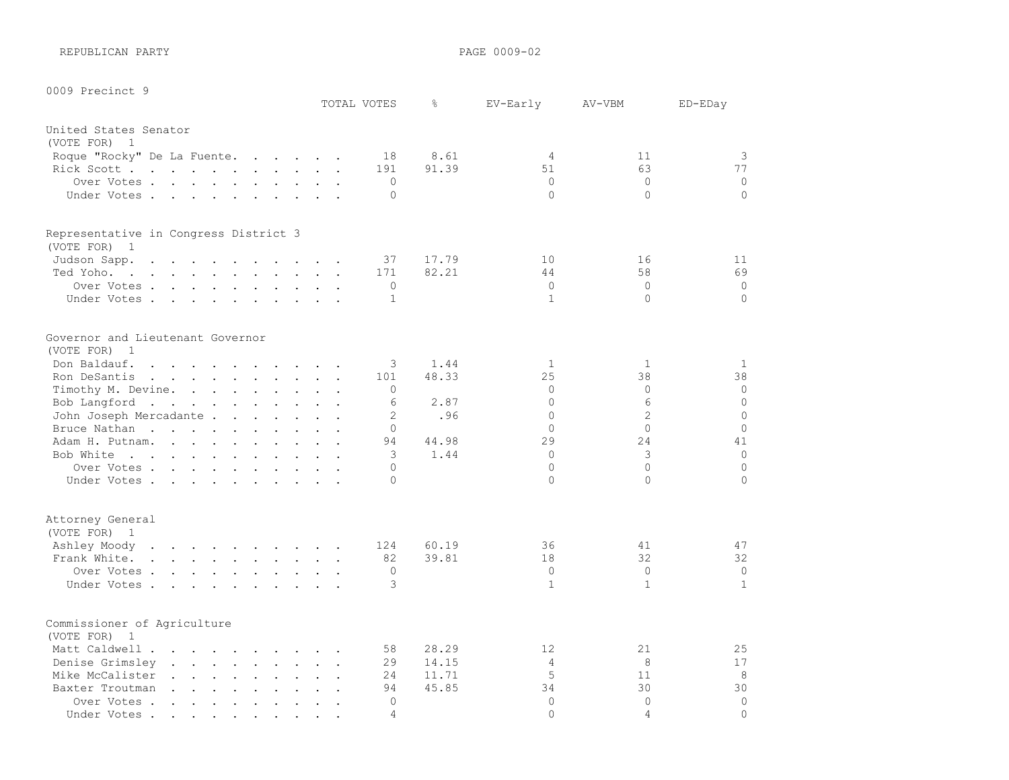REPUBLICAN PARTY **PAGE 0009-02** 

0009 Precinct 9

| <b>OUUS Precinct 9</b>                                                                                   |                                                                                 |                                                                  | TOTAL VOTES | g.                  | EV-Early       | AV-VBM         | ED-EDay      |
|----------------------------------------------------------------------------------------------------------|---------------------------------------------------------------------------------|------------------------------------------------------------------|-------------|---------------------|----------------|----------------|--------------|
| United States Senator                                                                                    |                                                                                 |                                                                  |             |                     |                |                |              |
| (VOTE FOR) 1                                                                                             |                                                                                 |                                                                  |             |                     |                |                |              |
| Roque "Rocky" De La Fuente.                                                                              |                                                                                 |                                                                  |             | 8.61<br>18          | 4              | 11             | 3            |
| Rick Scott                                                                                               |                                                                                 |                                                                  | 191         | 91.39               | 51             | 63             | 77           |
| Over Votes                                                                                               |                                                                                 |                                                                  |             | $\Omega$            | $\mathbf{0}$   | $\circ$        | $\mathbf 0$  |
| Under Votes.                                                                                             |                                                                                 |                                                                  |             | $\Omega$            | $\Omega$       | $\Omega$       | $\circ$      |
| Representative in Congress District 3                                                                    |                                                                                 |                                                                  |             |                     |                |                |              |
| (VOTE FOR) 1                                                                                             |                                                                                 |                                                                  |             |                     |                |                |              |
| Judson Sapp.<br>$\mathbf{r}$ , and $\mathbf{r}$ , and $\mathbf{r}$ , and $\mathbf{r}$ , and $\mathbf{r}$ |                                                                                 |                                                                  |             | 37<br>17.79         | 10             | 16             | 11           |
| Ted Yoho.                                                                                                |                                                                                 |                                                                  | 171         | 82.21               | 44             | 58             | 69           |
| Over Votes                                                                                               |                                                                                 |                                                                  |             | $\Omega$            | $\circ$        | $\circ$        | $\mathbf 0$  |
| Under Votes                                                                                              |                                                                                 |                                                                  |             | $\mathbf{1}$        | $\mathbf{1}$   | $\Omega$       | $\circ$      |
| Governor and Lieutenant Governor                                                                         |                                                                                 |                                                                  |             |                     |                |                |              |
| (VOTE FOR) 1                                                                                             |                                                                                 |                                                                  |             |                     |                |                |              |
| Don Baldauf.                                                                                             |                                                                                 |                                                                  |             | 3<br>1.44           | 1              | 1              | 1            |
| Ron DeSantis<br>the contract of the contract of the contract of                                          |                                                                                 |                                                                  | 101         | 48.33               | 25             | 38             | 38           |
| Timothy M. Devine.                                                                                       |                                                                                 |                                                                  |             | $\Omega$            | $\circ$        | $\circ$        | 0            |
| Bob Langford                                                                                             |                                                                                 |                                                                  |             | 6<br>2.87           | $\Omega$       | 6              | $\circ$      |
| John Joseph Mercadante .                                                                                 | the contract of the contract of the contract of the contract of the contract of |                                                                  |             | $\mathbf{2}$<br>.96 | $\circ$        | $\overline{c}$ | $\circ$      |
| Bruce Nathan                                                                                             |                                                                                 |                                                                  |             | $\mathbf 0$         | $\Omega$       | $\circ$        | $\circ$      |
| Adam H. Putnam.                                                                                          |                                                                                 |                                                                  |             | 44.98<br>94         | 29             | 24             | 41           |
| Bob White                                                                                                |                                                                                 |                                                                  |             | 1.44<br>3           | $\Omega$       | 3              | $\mathbf 0$  |
| Over Votes.                                                                                              |                                                                                 |                                                                  |             | $\Omega$            | $\Omega$       | $\circ$        | $\circ$      |
| Under Votes                                                                                              |                                                                                 |                                                                  |             | $\Omega$            | $\Omega$       | $\Omega$       | $\Omega$     |
| Attorney General                                                                                         |                                                                                 |                                                                  |             |                     |                |                |              |
| (VOTE FOR) 1                                                                                             |                                                                                 |                                                                  |             |                     |                |                |              |
| Ashley Moody                                                                                             |                                                                                 |                                                                  | 124         | 60.19               | 36             | 41             | 47           |
| Frank White.                                                                                             |                                                                                 |                                                                  |             | 39.81<br>82         | 18             | 32             | 32           |
| Over Votes.                                                                                              |                                                                                 |                                                                  |             | $\Omega$            | $\circ$        | $\circ$        | 0            |
| Under Votes                                                                                              |                                                                                 |                                                                  |             | 3                   | $\mathbf{1}$   | $\mathbf{1}$   | $\mathbf{1}$ |
| Commissioner of Agriculture                                                                              |                                                                                 |                                                                  |             |                     |                |                |              |
| (VOTE FOR) 1                                                                                             |                                                                                 |                                                                  |             |                     |                |                |              |
| Matt Caldwell                                                                                            |                                                                                 | $\sim 10$                                                        | $\sim$      | 28.29<br>58         | 12             | 21             | 25           |
| Denise Grimsley                                                                                          |                                                                                 | $\mathbf{1}$ $\mathbf{1}$ $\mathbf{1}$ $\mathbf{1}$ $\mathbf{1}$ |             | 14.15<br>29         | $\overline{4}$ | 8              | 17           |
| Mike McCalister                                                                                          |                                                                                 |                                                                  |             | 24<br>11.71         | 5              | 11             | 8            |
| Baxter Troutman                                                                                          | $\ddot{\phantom{a}}$                                                            | $\mathbf{L}$                                                     |             | 45.85<br>94         | 34             | 30             | 30           |
| Over Votes                                                                                               |                                                                                 |                                                                  |             | $\cap$              | $\Omega$       | $\Omega$       | $\circ$      |

Under Votes . . . . . . . . . . 4 0 4 0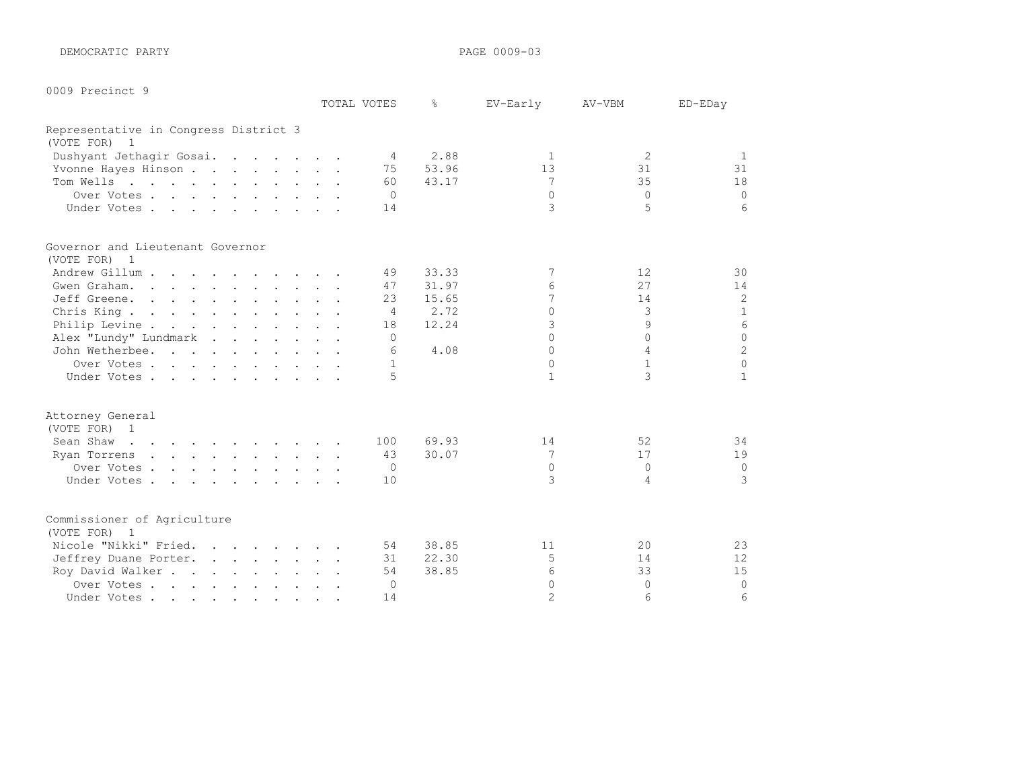DEMOCRATIC PARTY **PAGE 0009-03** 

| 0009 Precinct 9 |  |
|-----------------|--|
|                 |  |

|                                                              |  | TOTAL VOTES    | ⊱     | EV-Early       | AV-VBM          | ED-EDay        |
|--------------------------------------------------------------|--|----------------|-------|----------------|-----------------|----------------|
| Representative in Congress District 3                        |  |                |       |                |                 |                |
| (VOTE FOR) 1                                                 |  |                |       |                |                 |                |
| Dushyant Jethagir Gosai.                                     |  | $\overline{4}$ | 2.88  | 1              | 2               | 1              |
| Yvonne Hayes Hinson                                          |  | 75             | 53.96 | 13             | 31              | 31             |
| Tom Wells                                                    |  | 60             | 43.17 | 7              | 35              | 18             |
| Over Votes                                                   |  | $\Omega$       |       | $\Omega$       | $\Omega$        | $\Omega$       |
| Under Votes                                                  |  | 14             |       | 3              | 5               | 6              |
| Governor and Lieutenant Governor                             |  |                |       |                |                 |                |
| (VOTE FOR) 1                                                 |  |                |       |                |                 |                |
| Andrew Gillum                                                |  | 49             | 33.33 | 7              | 12              | 30             |
| Gwen Graham.                                                 |  | 47             | 31.97 | 6              | 27              | 14             |
| Jeff Greene.                                                 |  | 23             | 15.65 | $\overline{7}$ | 14              | $\overline{c}$ |
| Chris King.                                                  |  | $\overline{4}$ | 2.72  | $\Omega$       | 3               | $\mathbf{1}$   |
| Philip Levine                                                |  | 18             | 12.24 | 3              | 9               | 6              |
| Alex "Lundy" Lundmark                                        |  | $\Omega$       |       | $\bigcap$      | $\cap$          | $\Omega$       |
| John Wetherbee.                                              |  | 6              | 4.08  | $\Omega$       | $\overline{4}$  | $\overline{c}$ |
| Over Votes                                                   |  | $\mathbf{1}$   |       | $\Omega$       | $\mathbf{1}$    | $\Omega$       |
| Under Votes                                                  |  | $\overline{5}$ |       | $\mathbf{1}$   | 3               | $\mathbf{1}$   |
| Attorney General                                             |  |                |       |                |                 |                |
| (VOTE FOR) 1                                                 |  |                |       |                |                 |                |
| Sean Shaw<br>the contract of the contract of the contract of |  | 100            | 69.93 | 14             | 52              | 34             |
| Ryan Torrens                                                 |  | 43             | 30.07 | 7              | 17              | 19             |
| Over Votes                                                   |  | $\overline{0}$ |       | $\Omega$       | $\bigcap$       | $\circ$        |
| Under Votes                                                  |  | 10             |       | 3              | 4               | 3              |
| Commissioner of Agriculture                                  |  |                |       |                |                 |                |
| (VOTE FOR) 1                                                 |  |                |       |                |                 |                |
| Nicole "Nikki" Fried.                                        |  | 54             | 38.85 | 11             | 20              | 23             |
| Jeffrey Duane Porter.                                        |  | 31             | 22.30 | 5              | 14              | 12             |
| Roy David Walker                                             |  | 54             | 38.85 | 6              | 33              | 15             |
| Over Votes                                                   |  | 0              |       | $\Omega$       | $\Omega$        | $\Omega$       |
| Under Votes                                                  |  | 14             |       | $\mathfrak{D}$ | $6\overline{6}$ | 6              |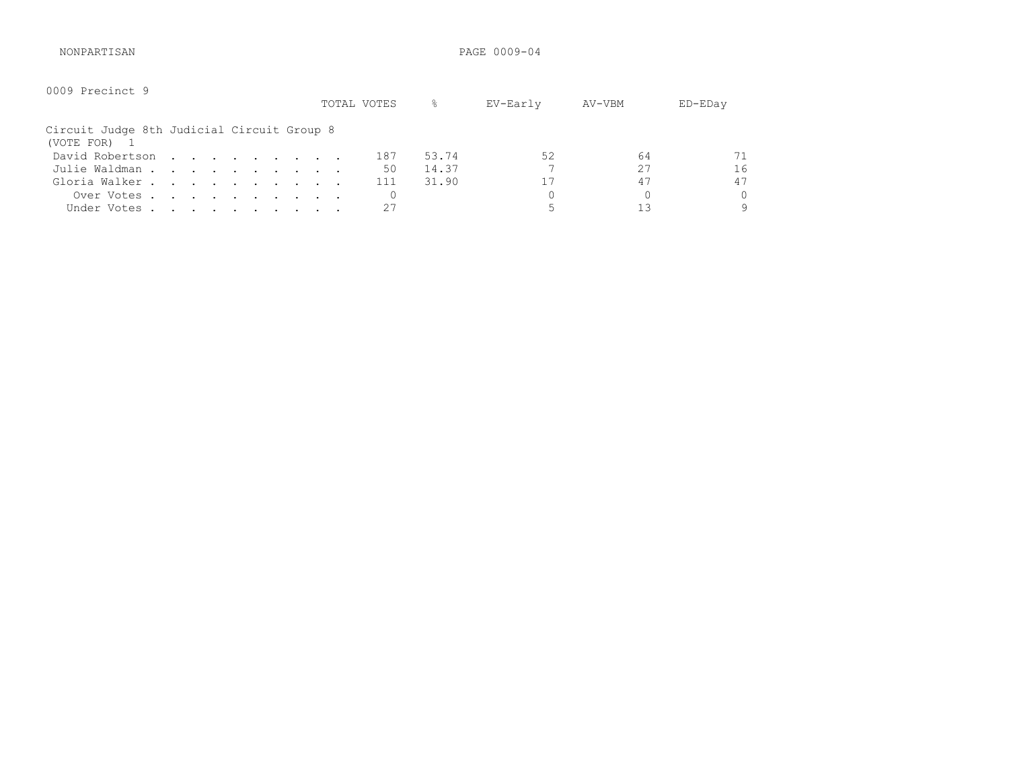NONPARTISAN PAGE 0009-04

| 0009 Precinct 9                                          |  |  |  |  | TOTAL VOTES | g.    | EV-Early | AV-VBM | $ED$ – $ED$ ay |
|----------------------------------------------------------|--|--|--|--|-------------|-------|----------|--------|----------------|
| Circuit Judge 8th Judicial Circuit Group 8<br>(VOTE FOR) |  |  |  |  |             |       |          |        |                |
| David Robertson                                          |  |  |  |  | 187         | 53.74 | 52       | 64     | 71             |
| Julie Waldman                                            |  |  |  |  | 50          | 14.37 |          | 27     | 16             |
| Gloria Walker                                            |  |  |  |  | 111         | 31.90 | 17       | 47     | 47             |
| Over Votes                                               |  |  |  |  |             |       |          |        | 0              |
| Under Votes.                                             |  |  |  |  | 27          |       |          | 13     | 9              |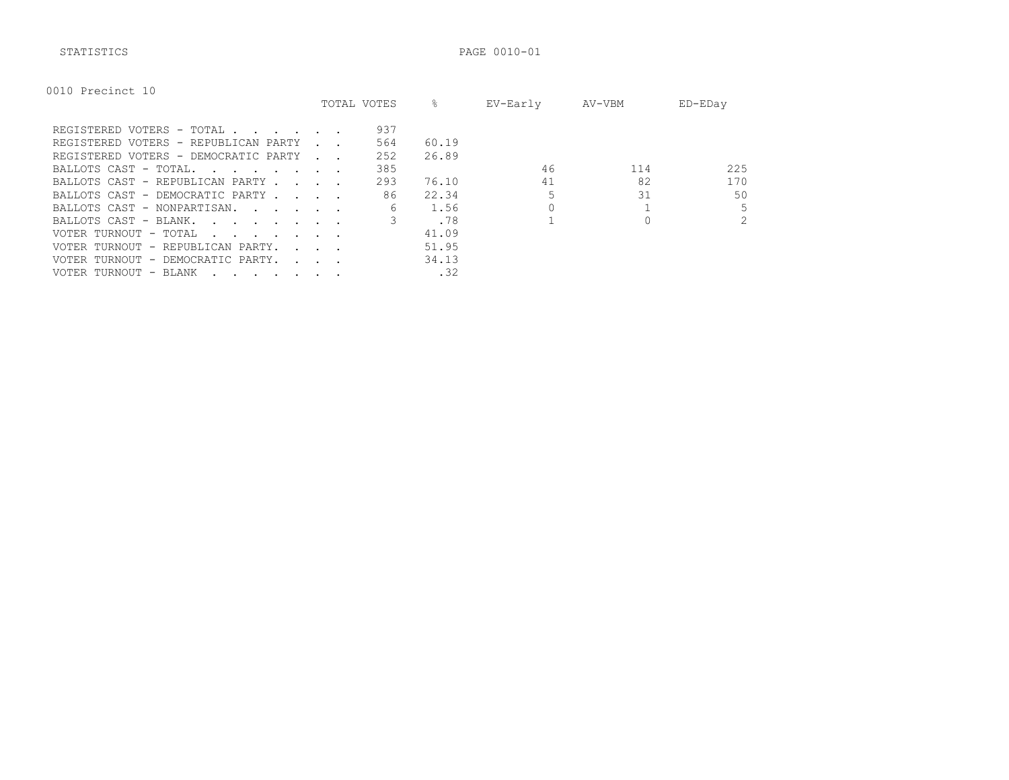STATISTICS PAGE 0010-01

|  | 0010 Precinct 10 |  |
|--|------------------|--|
|--|------------------|--|

|                                                                                                                                          |                             | TOTAL VOTES | ⊱     | EV-Early | AV-VBM | ED-EDay        |
|------------------------------------------------------------------------------------------------------------------------------------------|-----------------------------|-------------|-------|----------|--------|----------------|
| REGISTERED VOTERS - TOTAL                                                                                                                |                             | 937         |       |          |        |                |
| REGISTERED VOTERS - REPUBLICAN PARTY                                                                                                     |                             | 564         | 60.19 |          |        |                |
| REGISTERED VOTERS - DEMOCRATIC PARTY                                                                                                     | and the control             | 252         | 26.89 |          |        |                |
| BALLOTS CAST - TOTAL.<br><u>in the second contract of the second second</u>                                                              |                             | 385         |       | 46       | 114    | 225            |
| BALLOTS CAST - REPUBLICAN PARTY.<br><b>Contract Contract</b>                                                                             |                             | 293         | 76.10 | 41       | 82     | 170            |
| BALLOTS CAST - DEMOCRATIC PARTY                                                                                                          |                             | 86          | 22.34 |          | 31     | 50             |
| BALLOTS CAST - NONPARTISAN.                                                                                                              |                             | 6           | 1.56  |          |        | 5              |
| BALLOTS CAST - BLANK.<br>the contract of the contract of the contract of the contract of the contract of the contract of the contract of |                             |             | .78   |          |        | $\overline{2}$ |
| VOTER TURNOUT - TOTAL<br>the contract of the contract of the contract of the contract of the contract of the contract of the contract of |                             |             | 41.09 |          |        |                |
| VOTER TURNOUT - REPUBLICAN PARTY.                                                                                                        | $\sim$ $\sim$ $\sim$        |             | 51.95 |          |        |                |
| VOTER TURNOUT - DEMOCRATIC PARTY.                                                                                                        | $\sim$ $\sim$ $\sim$ $\sim$ |             | 34.13 |          |        |                |
| VOTER TURNOUT - BLANK                                                                                                                    |                             |             | .32   |          |        |                |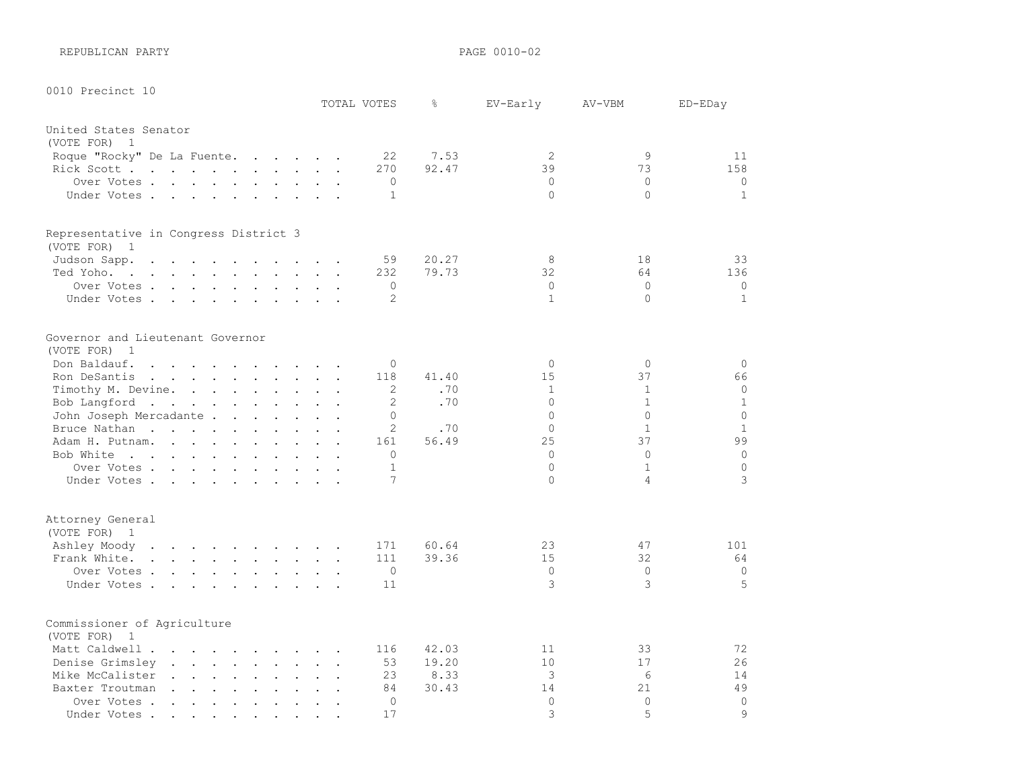REPUBLICAN PARTY **PAGE 0010-02** 

| 0010 Precinct 10                                                                                                             |                                                                                                                                                                                                                                   |                                                                                      |                                                                          |                           |                                              |                      | TOTAL VOTES                | g     | EV-Early                 | AV-VBM                   | ED-EDay                 |
|------------------------------------------------------------------------------------------------------------------------------|-----------------------------------------------------------------------------------------------------------------------------------------------------------------------------------------------------------------------------------|--------------------------------------------------------------------------------------|--------------------------------------------------------------------------|---------------------------|----------------------------------------------|----------------------|----------------------------|-------|--------------------------|--------------------------|-------------------------|
| United States Senator                                                                                                        |                                                                                                                                                                                                                                   |                                                                                      |                                                                          |                           |                                              |                      |                            |       |                          |                          |                         |
| (VOTE FOR)<br>1                                                                                                              |                                                                                                                                                                                                                                   |                                                                                      |                                                                          |                           |                                              |                      |                            |       |                          |                          |                         |
| Roque "Rocky" De La Fuente.                                                                                                  |                                                                                                                                                                                                                                   |                                                                                      | $\mathbf{r}$ , $\mathbf{r}$ , $\mathbf{r}$ , $\mathbf{r}$ , $\mathbf{r}$ |                           |                                              |                      | 22                         | 7.53  | 2                        | 9                        | 11                      |
| Rick Scott                                                                                                                   |                                                                                                                                                                                                                                   |                                                                                      |                                                                          |                           |                                              |                      | 270                        | 92.47 | 39                       | 73                       | 158                     |
| Over Votes                                                                                                                   |                                                                                                                                                                                                                                   |                                                                                      |                                                                          |                           |                                              |                      | $\circ$                    |       | $\circ$                  | $\Omega$                 | $\circ$                 |
| Under Votes                                                                                                                  |                                                                                                                                                                                                                                   |                                                                                      |                                                                          | $\mathbf{L}^{\text{max}}$ | $\sim$                                       |                      | $\mathbf{1}$               |       | $\circ$                  | $\Omega$                 | $\mathbf{1}$            |
| Representative in Congress District 3                                                                                        |                                                                                                                                                                                                                                   |                                                                                      |                                                                          |                           |                                              |                      |                            |       |                          |                          |                         |
| (VOTE FOR) 1                                                                                                                 |                                                                                                                                                                                                                                   |                                                                                      |                                                                          |                           |                                              |                      |                            |       |                          |                          |                         |
| Judson Sapp.<br>$\mathbf{L}^{\text{max}}$ and $\mathbf{L}^{\text{max}}$<br>$\ddot{\phantom{a}}$                              | $\Delta$<br>$\overline{a}$                                                                                                                                                                                                        | $\overline{a}$                                                                       |                                                                          | $\mathbf{L} = \mathbf{L}$ | $\sim$                                       |                      | 59                         | 20.27 | 8                        | 18                       | 33                      |
| Ted Yoho.<br>the contract of the contract of the contract of the contract of the contract of the contract of the contract of |                                                                                                                                                                                                                                   |                                                                                      |                                                                          |                           | $\ddot{\phantom{a}}$                         |                      | 232                        | 79.73 | 32                       | 64                       | 136                     |
| Over Votes                                                                                                                   |                                                                                                                                                                                                                                   |                                                                                      |                                                                          |                           |                                              |                      | $\circ$                    |       | $\circ$                  | $\mathbf{0}$             | $\circ$                 |
| Under Votes                                                                                                                  |                                                                                                                                                                                                                                   |                                                                                      |                                                                          |                           |                                              |                      | 2                          |       | $\mathbf{1}$             | $\Omega$                 | $\mathbf{1}$            |
|                                                                                                                              |                                                                                                                                                                                                                                   |                                                                                      |                                                                          |                           |                                              |                      |                            |       |                          |                          |                         |
| Governor and Lieutenant Governor                                                                                             |                                                                                                                                                                                                                                   |                                                                                      |                                                                          |                           |                                              |                      |                            |       |                          |                          |                         |
| (VOTE FOR)<br>$\mathbf{1}$                                                                                                   |                                                                                                                                                                                                                                   |                                                                                      |                                                                          |                           |                                              |                      |                            |       |                          |                          |                         |
| Don Baldauf.<br>$\sim$ $\sim$                                                                                                | $\mathbf{r}$ . The contract of the contract of the contract of the contract of the contract of the contract of the contract of the contract of the contract of the contract of the contract of the contract of the contract of th |                                                                                      |                                                                          |                           |                                              |                      | $\Omega$                   |       | $\circ$                  | $\Omega$                 | $\circ$                 |
| Ron DeSantis<br>$\mathbf{r}$ , $\mathbf{r}$ , $\mathbf{r}$ , $\mathbf{r}$ , $\mathbf{r}$ , $\mathbf{r}$                      |                                                                                                                                                                                                                                   |                                                                                      |                                                                          | $\mathbf{L}$              | $\ddot{\phantom{a}}$                         | $\ddot{\phantom{a}}$ | 118                        | 41.40 | 15                       | 37                       | 66                      |
| Timothy M. Devine.                                                                                                           | and the contract of the contract of the                                                                                                                                                                                           |                                                                                      |                                                                          |                           |                                              |                      | 2                          | .70   | $\mathbf{1}$<br>$\Omega$ | $\mathbf{1}$             | 0                       |
| Bob Langford                                                                                                                 |                                                                                                                                                                                                                                   |                                                                                      |                                                                          |                           |                                              |                      | 2                          | .70   | $\Omega$                 | $\mathbf{1}$<br>$\Omega$ | $\mathbf 1$             |
| John Joseph Mercadante                                                                                                       |                                                                                                                                                                                                                                   |                                                                                      |                                                                          |                           |                                              |                      | $\Omega$<br>$\overline{c}$ | .70   | $\Omega$                 | $\mathbf{1}$             | $\circ$<br>$\mathbf{1}$ |
| Bruce Nathan<br>$\sim$                                                                                                       | $\sim$<br>$\ddot{\phantom{a}}$                                                                                                                                                                                                    | $\sim$                                                                               | $\sim$ $\sim$                                                            |                           |                                              |                      | 161                        | 56.49 | 25                       | 37                       | 99                      |
| Adam H. Putnam.<br>Bob White                                                                                                 |                                                                                                                                                                                                                                   |                                                                                      |                                                                          |                           | $\ddot{\phantom{a}}$<br>$\ddot{\phantom{a}}$ | $\sim$ $\sim$        | $\Omega$                   |       | $\Omega$                 | $\Omega$                 | $\Omega$                |
| Over Votes                                                                                                                   |                                                                                                                                                                                                                                   |                                                                                      |                                                                          |                           |                                              |                      | 1                          |       | $\Omega$                 | $\mathbf{1}$             | $\mathbf 0$             |
| Under Votes.                                                                                                                 |                                                                                                                                                                                                                                   |                                                                                      |                                                                          |                           |                                              |                      | 7                          |       | $\Omega$                 | 4                        | 3                       |
|                                                                                                                              |                                                                                                                                                                                                                                   |                                                                                      |                                                                          |                           |                                              | $\sim$               |                            |       |                          |                          |                         |
| Attorney General<br>(VOTE FOR) 1                                                                                             |                                                                                                                                                                                                                                   |                                                                                      |                                                                          |                           |                                              |                      |                            |       |                          |                          |                         |
| Ashley Moody<br>the contract of the contract of the contract of                                                              |                                                                                                                                                                                                                                   |                                                                                      |                                                                          |                           |                                              |                      | 171                        | 60.64 | 23                       | 47                       | 101                     |
| Frank White.<br>$\mathbf{r}$ , $\mathbf{r}$ , $\mathbf{r}$ , $\mathbf{r}$                                                    |                                                                                                                                                                                                                                   | $\mathbf{r} = \mathbf{r} + \mathbf{r} + \mathbf{r}$                                  |                                                                          |                           | $\ddot{\phantom{a}}$                         | $\ddot{\phantom{a}}$ | 111                        | 39.36 | 15                       | 32                       | 64                      |
| Over Votes                                                                                                                   |                                                                                                                                                                                                                                   |                                                                                      |                                                                          |                           |                                              | $\ddot{\phantom{a}}$ | $\circ$                    |       | $\mathbf 0$              | $\Omega$                 | $\circ$                 |
| Under Votes                                                                                                                  | <b>Contract Contract</b>                                                                                                                                                                                                          |                                                                                      | <b>Contract Contract Street</b>                                          |                           |                                              |                      | 11                         |       | 3                        | 3                        | 5                       |
|                                                                                                                              |                                                                                                                                                                                                                                   |                                                                                      |                                                                          |                           |                                              |                      |                            |       |                          |                          |                         |
| Commissioner of Agriculture<br>(VOTE FOR)<br>- 1                                                                             |                                                                                                                                                                                                                                   |                                                                                      |                                                                          |                           |                                              |                      |                            |       |                          |                          |                         |
| Matt Caldwell                                                                                                                | $\mathbf{r}$ , $\mathbf{r}$ , $\mathbf{r}$ , $\mathbf{r}$ , $\mathbf{r}$                                                                                                                                                          |                                                                                      |                                                                          |                           |                                              |                      | 116                        | 42.03 | 11                       | 33                       | 72                      |
| Denise Grimsley                                                                                                              |                                                                                                                                                                                                                                   |                                                                                      |                                                                          | $\ddot{\phantom{a}}$      | $\ddot{\phantom{a}}$                         | $\sim$               | 53                         | 19.20 | 10                       | 17                       | 26                      |
| Mike McCalister<br>$\ddot{\phantom{a}}$<br>$\ddot{\phantom{a}}$                                                              | $\mathbf{r}$ , $\mathbf{r}$ , $\mathbf{r}$ , $\mathbf{r}$ , $\mathbf{r}$                                                                                                                                                          |                                                                                      |                                                                          | $\ddot{\phantom{a}}$      | $\ddot{\phantom{a}}$                         |                      | 23                         | 8.33  | 3                        | 6                        | 14                      |
| Baxter Troutman<br>$\sim$                                                                                                    | the contract of the contract of the                                                                                                                                                                                               |                                                                                      |                                                                          |                           | $\ddot{\phantom{a}}$                         | $\sim$ $\sim$        | 84                         | 30.43 | 14                       | 21                       | 49                      |
| Over Votes.<br>$\ddot{\phantom{a}}$<br>$\ddot{\phantom{a}}$                                                                  | $\sim$ 100 $\sim$<br>$\ddot{\phantom{a}}$                                                                                                                                                                                         | $\ddot{\phantom{a}}$                                                                 | $\sim$                                                                   | $\ddot{\phantom{a}}$      | $\ddot{\phantom{a}}$                         | $\overline{a}$       | $\circ$                    |       | $\circ$                  | $\Omega$                 | $\overline{0}$          |
| Under Votes.<br>$\sim$ $\sim$ $\sim$ $\sim$ $\sim$ $\sim$ $\sim$                                                             |                                                                                                                                                                                                                                   | $\bullet$ . $\bullet$<br>$\bullet$ .<br><br><br><br><br><br><br><br><br><br><br><br> | $\bullet$ .                                                              |                           |                                              |                      | 17                         |       | 3                        | 5                        | $\circ$                 |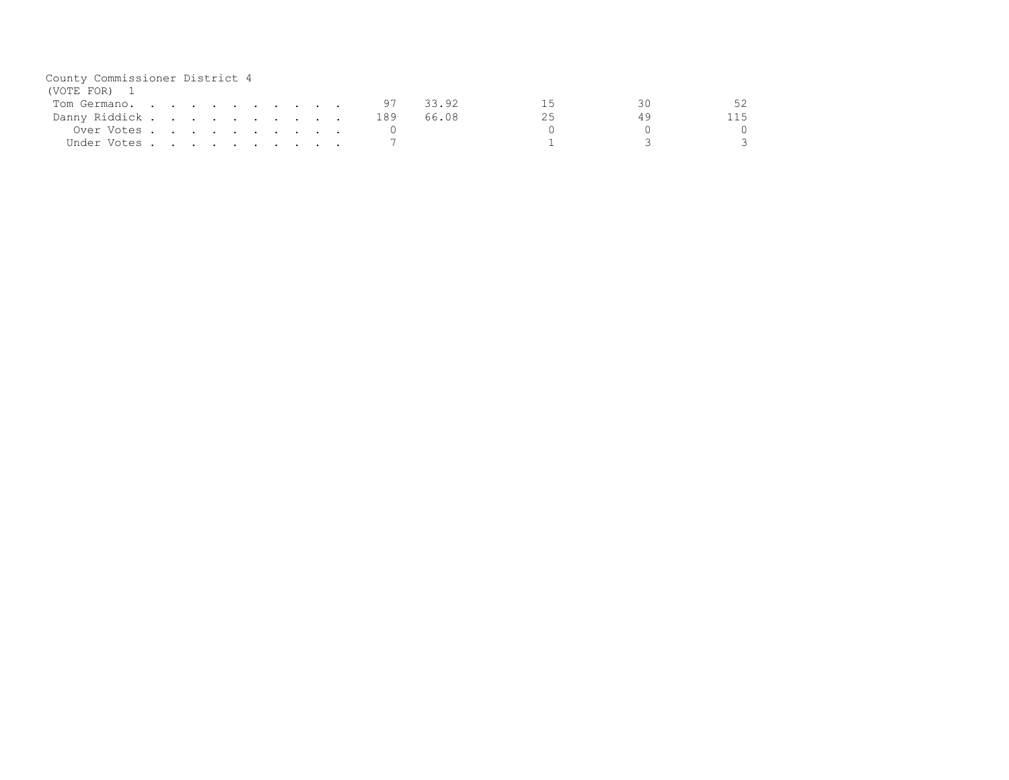| County Commissioner District 4 |  |  |  |  |  |     |       |  |    |
|--------------------------------|--|--|--|--|--|-----|-------|--|----|
| (VOTE FOR) 1                   |  |  |  |  |  |     |       |  |    |
| Tom Germano.                   |  |  |  |  |  | 97  | 33.92 |  | 5つ |
| Danny Riddick                  |  |  |  |  |  | 189 | 66.08 |  |    |
| Over Votes                     |  |  |  |  |  |     |       |  |    |
| Under Votes                    |  |  |  |  |  |     |       |  |    |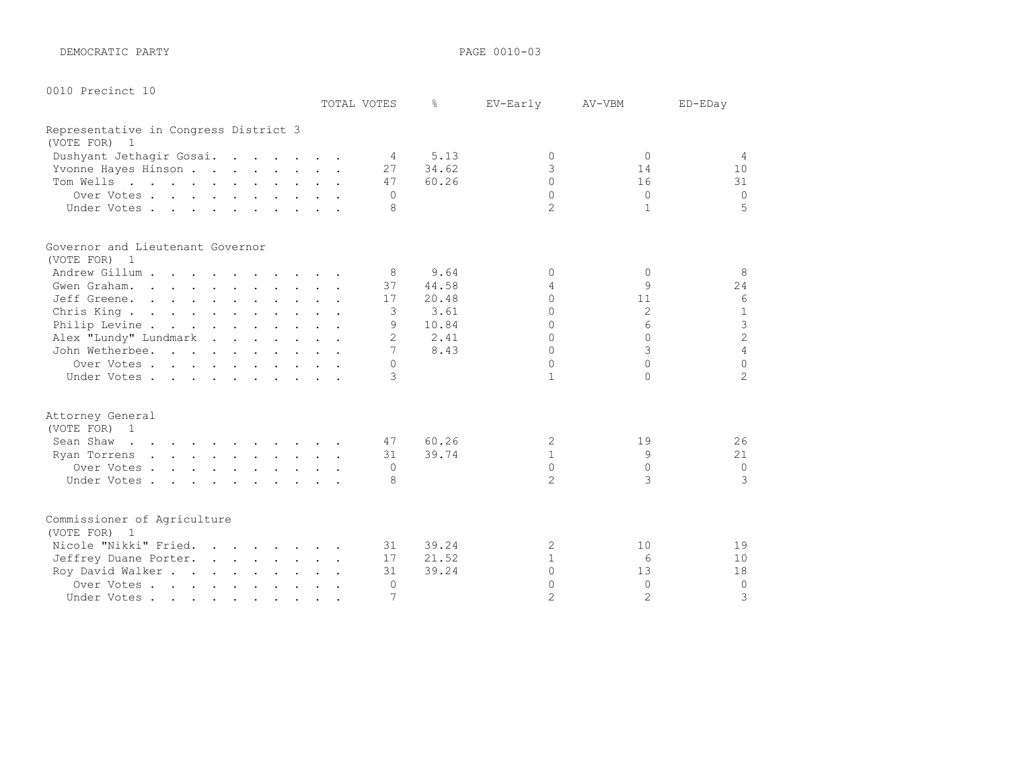DEMOCRATIC PARTY **PAGE 0010-03** 

|  | 0010 Precinct 10 |  |
|--|------------------|--|
|--|------------------|--|

|                                                              |  | TOTAL VOTES    | ⊱     | EV-Early       | AV-VBM          | ED-EDay        |
|--------------------------------------------------------------|--|----------------|-------|----------------|-----------------|----------------|
| Representative in Congress District 3                        |  |                |       |                |                 |                |
| (VOTE FOR)<br>1                                              |  |                |       |                |                 |                |
| Dushyant Jethagir Gosai.                                     |  | $\overline{4}$ | 5.13  | $\Omega$       | $\Omega$        | $\overline{4}$ |
| Yvonne Hayes Hinson                                          |  | 27             | 34.62 | 3              | 14              | 10             |
| Tom Wells                                                    |  | 47             | 60.26 | $\cap$         | 16              | 31             |
| Over Votes                                                   |  | $\Omega$       |       | $\Omega$       | $\Omega$        | $\Omega$       |
| Under Votes                                                  |  | 8              |       | $\overline{2}$ | 1               | 5              |
| Governor and Lieutenant Governor                             |  |                |       |                |                 |                |
| (VOTE FOR) 1                                                 |  |                |       |                |                 |                |
| Andrew Gillum                                                |  | 8              | 9.64  | $\Omega$       | $\Omega$        | 8              |
| Gwen Graham.                                                 |  | 37             | 44.58 | 4              | 9               | 24             |
| Jeff Greene.                                                 |  | 17             | 20.48 | $\cap$         | 11              | 6              |
| Chris King                                                   |  | 3              | 3.61  | $\Omega$       | 2               | 1              |
| Philip Levine                                                |  | 9              | 10.84 | $\Omega$       | 6               | $\mathcal{S}$  |
| Alex "Lundy" Lundmark                                        |  | $\overline{2}$ | 2.41  | $\cap$         | $\cap$          | $\overline{c}$ |
| John Wetherbee.                                              |  | 7              | 8.43  | $\Omega$       | 3               | $\overline{4}$ |
| Over Votes                                                   |  | $\Omega$       |       | $\Omega$       | $\cap$          | $\Omega$       |
| Under Votes                                                  |  | $\mathcal{L}$  |       | $\mathbf{1}$   | $\cap$          | $\overline{2}$ |
| Attorney General                                             |  |                |       |                |                 |                |
| (VOTE FOR) 1                                                 |  |                |       |                |                 |                |
| Sean Shaw<br>the contract of the contract of the contract of |  | 47             | 60.26 | 2              | 19              | 26             |
| Ryan Torrens                                                 |  | 31             | 39.74 | $\mathbf{1}$   | 9               | 21             |
| Over Votes                                                   |  | $\Omega$       |       | $\Omega$       | $\bigcap$       | $\overline{0}$ |
| Under Votes                                                  |  | 8              |       | $\overline{2}$ | 3               | 3              |
| Commissioner of Agriculture                                  |  |                |       |                |                 |                |
| (VOTE FOR)<br>1                                              |  |                |       |                |                 |                |
| Nicole "Nikki" Fried.                                        |  | 31             | 39.24 | 2              | 10              | 19             |
| Jeffrey Duane Porter.                                        |  | 17             | 21.52 | $\mathbf{1}$   | $6\overline{6}$ | 10             |
| Roy David Walker                                             |  | 31             | 39.24 | $\Omega$       | 13              | 18             |
| Over Votes                                                   |  | 0              |       | $\Omega$       | $\Omega$        | $\circ$        |
| Under Votes                                                  |  | 7              |       | $\mathfrak{D}$ | $\overline{2}$  | 3              |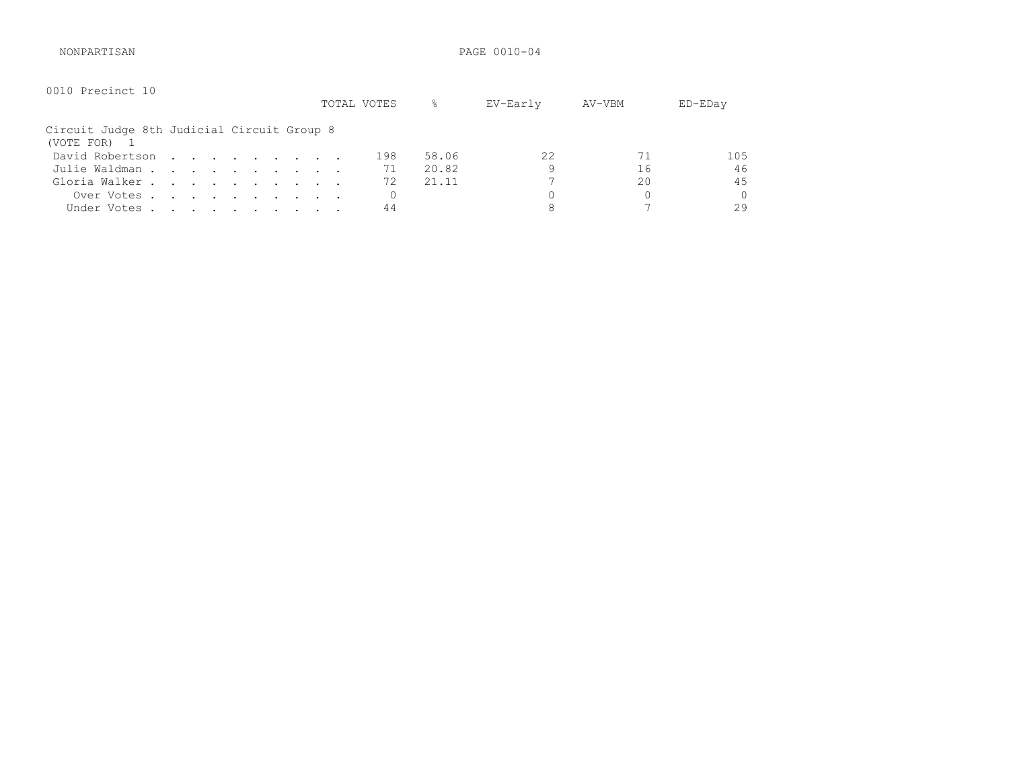NONPARTISAN PAGE 0010-04

| 0010 Precinct 10                                         |  |  |  |  |  | TOTAL VOTES | ိင    | EV-Early | AV-VBM | ED-EDay |
|----------------------------------------------------------|--|--|--|--|--|-------------|-------|----------|--------|---------|
| Circuit Judge 8th Judicial Circuit Group 8<br>(VOTE FOR) |  |  |  |  |  |             |       |          |        |         |
| David Robertson                                          |  |  |  |  |  | 198         | 58.06 | 22       | 71     | 105     |
| Julie Waldman                                            |  |  |  |  |  | 71          | 20.82 | 9        | 16     | 46      |
| Gloria Walker                                            |  |  |  |  |  | 72          | 21.11 |          | 20     | 45      |
| Over Votes                                               |  |  |  |  |  |             |       |          | 0      | 0       |
| Under Votes                                              |  |  |  |  |  | 44          |       |          |        | 29      |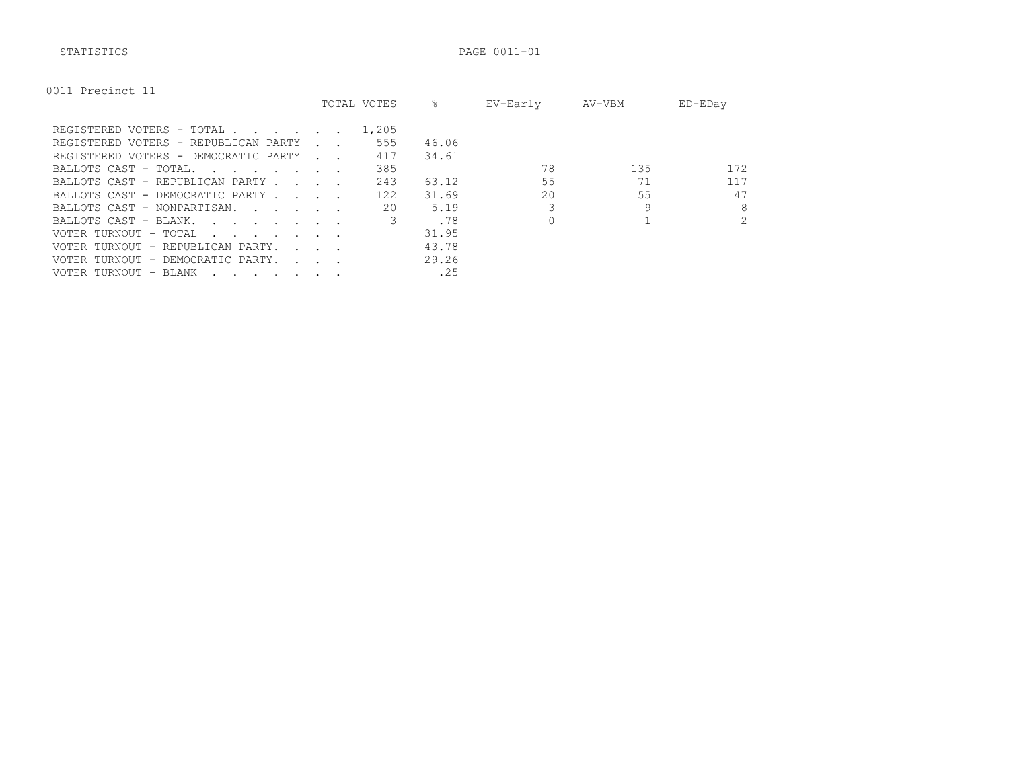|  |  | 0011 Precinct 11 |  |
|--|--|------------------|--|
|--|--|------------------|--|

|                                                                                                                                          |                                            | TOTAL VOTES | ⊱     | EV-Early | AV-VBM | ED-EDay        |
|------------------------------------------------------------------------------------------------------------------------------------------|--------------------------------------------|-------------|-------|----------|--------|----------------|
| REGISTERED VOTERS - TOTAL                                                                                                                |                                            | 1,205       |       |          |        |                |
| REGISTERED VOTERS - REPUBLICAN PARTY                                                                                                     |                                            | 555         | 46.06 |          |        |                |
| REGISTERED VOTERS - DEMOCRATIC PARTY                                                                                                     | <b>Contract Contract Street</b>            | 417         | 34.61 |          |        |                |
| BALLOTS CAST - TOTAL.                                                                                                                    |                                            | 385         |       | 78       | 135    | 172            |
| BALLOTS CAST - REPUBLICAN PARTY.                                                                                                         | $\sim$ $\sim$ $\sim$ $\sim$                | 243         | 63.12 | 55       | 71     | 117            |
| BALLOTS CAST - DEMOCRATIC PARTY                                                                                                          |                                            | 122         | 31.69 | 20       | 55     | 47             |
| BALLOTS CAST - NONPARTISAN.                                                                                                              |                                            | 20          | 5.19  |          | 9      | 8              |
| BALLOTS CAST - BLANK.<br><u>in the second contract of the second second</u>                                                              |                                            |             | .78   |          |        | $\overline{2}$ |
| VOTER TURNOUT - TOTAL<br>the contract of the contract of the contract of the contract of the contract of the contract of the contract of |                                            |             | 31.95 |          |        |                |
| VOTER TURNOUT - REPUBLICAN PARTY.                                                                                                        | $\mathbf{r}$ , $\mathbf{r}$ , $\mathbf{r}$ |             | 43.78 |          |        |                |
| VOTER TURNOUT - DEMOCRATIC PARTY.                                                                                                        | $\sim$ $\sim$ $\sim$ $\sim$                |             | 29.26 |          |        |                |
| VOTER TURNOUT - BLANK<br>$\cdot$                                                                                                         |                                            |             | .25   |          |        |                |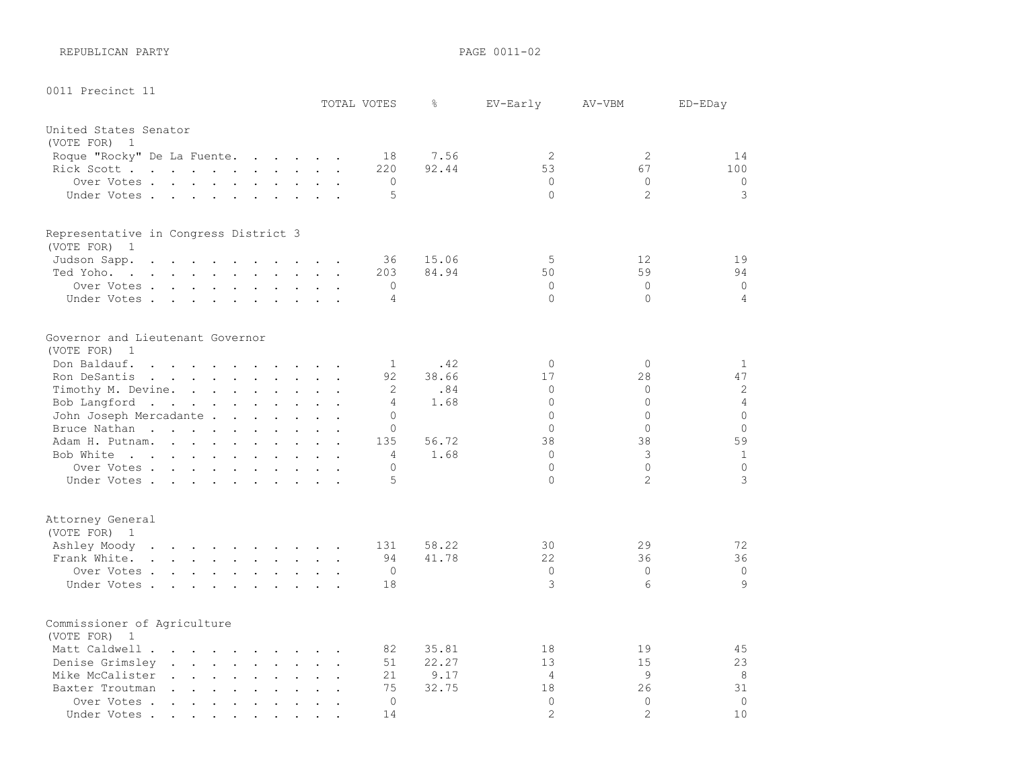REPUBLICAN PARTY **PAGE 0011-02** 

| 0011 Precinct 11                      |                                                                                                                                                                                                                                |                                                           |                                                           |                            |              |                                                   |                                        |               |                      | TOTAL VOTES      | g.    | EV-Early             | AV-VBM         | ED-EDay        |
|---------------------------------------|--------------------------------------------------------------------------------------------------------------------------------------------------------------------------------------------------------------------------------|-----------------------------------------------------------|-----------------------------------------------------------|----------------------------|--------------|---------------------------------------------------|----------------------------------------|---------------|----------------------|------------------|-------|----------------------|----------------|----------------|
|                                       |                                                                                                                                                                                                                                |                                                           |                                                           |                            |              |                                                   |                                        |               |                      |                  |       |                      |                |                |
| United States Senator                 |                                                                                                                                                                                                                                |                                                           |                                                           |                            |              |                                                   |                                        |               |                      |                  |       |                      |                |                |
| (VOTE FOR)<br>$\overline{1}$          |                                                                                                                                                                                                                                |                                                           |                                                           |                            |              |                                                   |                                        |               |                      |                  |       |                      |                |                |
| Roque "Rocky" De La Fuente.           |                                                                                                                                                                                                                                |                                                           |                                                           |                            |              |                                                   |                                        |               |                      | 18               | 7.56  | 2                    | 2              | 14             |
| Rick Scott                            |                                                                                                                                                                                                                                |                                                           |                                                           |                            |              |                                                   |                                        |               |                      | 220              | 92.44 | 53                   | 67             | 100            |
| Over Votes                            |                                                                                                                                                                                                                                |                                                           |                                                           |                            |              |                                                   |                                        |               |                      | $\mathbf 0$<br>5 |       | $\Omega$<br>$\Omega$ | $\Omega$<br>2  | $\circ$<br>3   |
| Under Votes                           |                                                                                                                                                                                                                                |                                                           |                                                           |                            |              | $\ddot{\phantom{a}}$                              |                                        | $\sim$ $\sim$ |                      |                  |       |                      |                |                |
| Representative in Congress District 3 |                                                                                                                                                                                                                                |                                                           |                                                           |                            |              |                                                   |                                        |               |                      |                  |       |                      |                |                |
| (VOTE FOR)<br>$\overline{1}$          |                                                                                                                                                                                                                                |                                                           |                                                           |                            |              |                                                   |                                        |               |                      |                  |       |                      |                |                |
| Judson Sapp.                          | $\mathbf{r}$ , $\mathbf{r}$ , $\mathbf{r}$ , $\mathbf{r}$                                                                                                                                                                      |                                                           | $\sim$                                                    | <b>Contract Contract</b>   | $\mathbf{r}$ |                                                   | $\cdot$ $\cdot$ $\cdot$                |               |                      | 36               | 15.06 | 5                    | 12             | 19             |
| Ted Yoho.                             |                                                                                                                                                                                                                                |                                                           |                                                           |                            |              |                                                   |                                        |               | $\Box$               | 203              | 84.94 | 50                   | 59             | 94             |
| Over Votes                            |                                                                                                                                                                                                                                |                                                           |                                                           |                            |              |                                                   |                                        |               |                      | 0                |       | $\Omega$             | $\Omega$       | $\circ$        |
| Under Votes                           |                                                                                                                                                                                                                                |                                                           |                                                           |                            |              |                                                   |                                        |               | $\ddot{\phantom{a}}$ | 4                |       | $\Omega$             | $\Omega$       | 4              |
| Governor and Lieutenant Governor      |                                                                                                                                                                                                                                |                                                           |                                                           |                            |              |                                                   |                                        |               |                      |                  |       |                      |                |                |
| (VOTE FOR)<br>$\mathbf{1}$            |                                                                                                                                                                                                                                |                                                           |                                                           |                            |              |                                                   |                                        |               |                      |                  |       |                      |                |                |
| Don Baldauf.                          | $\mathbf{r}$ , and $\mathbf{r}$ , and $\mathbf{r}$ , and $\mathbf{r}$ , and $\mathbf{r}$                                                                                                                                       |                                                           |                                                           |                            |              |                                                   |                                        |               |                      | 1                | .42   | $\circ$              | $\circ$        | $\mathbf{1}$   |
| Ron DeSantis                          | and the contract of the contract of the contract of the contract of the contract of the contract of the contract of the contract of the contract of the contract of the contract of the contract of the contract of the contra |                                                           |                                                           |                            |              |                                                   |                                        |               | $\ddot{\phantom{a}}$ | 92               | 38.66 | 17                   | 28             | 47             |
| Timothy M. Devine.                    |                                                                                                                                                                                                                                |                                                           |                                                           |                            |              |                                                   |                                        |               |                      | 2                | .84   | $\Omega$             | 0              | 2              |
| Bob Langford                          |                                                                                                                                                                                                                                |                                                           |                                                           |                            |              |                                                   |                                        |               |                      | 4                | 1.68  | $\Omega$             | $\Omega$       | $\overline{4}$ |
| John Joseph Mercadante .              |                                                                                                                                                                                                                                |                                                           |                                                           |                            |              | $\mathbf{r}$ . The set of the set of $\mathbf{r}$ |                                        |               |                      | 0                |       | $\Omega$             | $\Omega$       | $\Omega$       |
| Bruce Nathan                          |                                                                                                                                                                                                                                |                                                           | $\sim$                                                    | $\mathbf{L}^{\text{max}}$  |              | $\ddot{\phantom{a}}$                              |                                        |               |                      | 0                |       | $\Omega$             | $\Omega$       | $\Omega$       |
| Adam H. Putnam.                       |                                                                                                                                                                                                                                |                                                           |                                                           |                            |              | $\mathbf{r}$ , $\mathbf{r}$ , $\mathbf{r}$        |                                        |               |                      | 135              | 56.72 | 38                   | 38             | 59             |
| Bob White                             |                                                                                                                                                                                                                                |                                                           |                                                           |                            |              | $\cdots$ $\cdots$                                 |                                        |               |                      | 4                | 1.68  | $\Omega$             | 3              | $\mathbf 1$    |
| Over Votes                            |                                                                                                                                                                                                                                |                                                           |                                                           |                            |              |                                                   |                                        |               | $\ddot{\phantom{a}}$ | 0                |       | $\circ$              | $\Omega$       | $\circ$        |
| Under Votes                           |                                                                                                                                                                                                                                |                                                           |                                                           |                            |              |                                                   |                                        |               |                      | 5                |       | $\Omega$             | $\overline{2}$ | 3              |
| Attorney General<br>(VOTE FOR) 1      |                                                                                                                                                                                                                                |                                                           |                                                           |                            |              |                                                   |                                        |               |                      |                  |       |                      |                |                |
| Ashley Moody                          | the contract of the contract of the contract of                                                                                                                                                                                |                                                           |                                                           |                            |              |                                                   |                                        |               |                      | 131              | 58.22 | 30                   | 29             | 72             |
| Frank White.                          | $\mathbf{r}$ , $\mathbf{r}$ , $\mathbf{r}$ , $\mathbf{r}$ , $\mathbf{r}$ , $\mathbf{r}$ , $\mathbf{r}$                                                                                                                         |                                                           |                                                           |                            |              |                                                   |                                        |               |                      | 94               | 41.78 | 22                   | 36             | 36             |
| Over Votes                            |                                                                                                                                                                                                                                |                                                           |                                                           |                            |              |                                                   |                                        |               | $\ddot{\phantom{a}}$ | $\mathbf 0$      |       | $\circ$              | $\Omega$       | $\circ$        |
| Under Votes                           |                                                                                                                                                                                                                                |                                                           |                                                           |                            |              |                                                   |                                        |               |                      | 18               |       | 3                    | 6              | 9              |
| Commissioner of Agriculture           |                                                                                                                                                                                                                                |                                                           |                                                           |                            |              |                                                   |                                        |               |                      |                  |       |                      |                |                |
| (VOTE FOR)<br>$\overline{1}$          |                                                                                                                                                                                                                                |                                                           |                                                           |                            |              |                                                   |                                        |               |                      |                  |       |                      |                |                |
| Matt Caldwell .                       | <u>in the second contract of the second second</u>                                                                                                                                                                             |                                                           |                                                           |                            |              |                                                   |                                        |               |                      | 82               | 35.81 | 18                   | 19             | 45             |
| Denise Grimsley                       | $\sim$                                                                                                                                                                                                                         |                                                           | $\mathbf{r}$ and $\mathbf{r}$ and $\mathbf{r}$            |                            |              | $\ddot{\phantom{a}}$                              |                                        |               |                      | 51               | 22.27 | 13                   | 15             | 23             |
| Mike McCalister                       |                                                                                                                                                                                                                                |                                                           | $\ddot{\phantom{a}}$                                      | $\mathcal{L}^{\text{max}}$ |              |                                                   |                                        |               |                      | 21               | 9.17  | 4                    | 9              | 8              |
| Baxter Troutman                       |                                                                                                                                                                                                                                |                                                           | $\mathbf{r}$ , $\mathbf{r}$ , $\mathbf{r}$ , $\mathbf{r}$ |                            |              | $\ddot{\phantom{a}}$                              | $\mathbf{r}$ . The set of $\mathbf{r}$ |               |                      | 75               | 32.75 | 18                   | 26             | 31             |
| Over Votes.                           | $\sim$ 100 $\sim$                                                                                                                                                                                                              | $\sim$                                                    | $\sim$                                                    | $\sim$                     |              | $\overline{a}$                                    |                                        |               |                      | $\circ$          |       | $\circ$              | $\overline{0}$ | $\circ$        |
| Under Votes.                          |                                                                                                                                                                                                                                | $\mathcal{L}(\mathbf{z})$ , and $\mathcal{L}(\mathbf{z})$ | $\sim$                                                    | $\bullet$                  |              |                                                   |                                        |               |                      | 14               |       | $\overline{2}$       | $\overline{2}$ | 10             |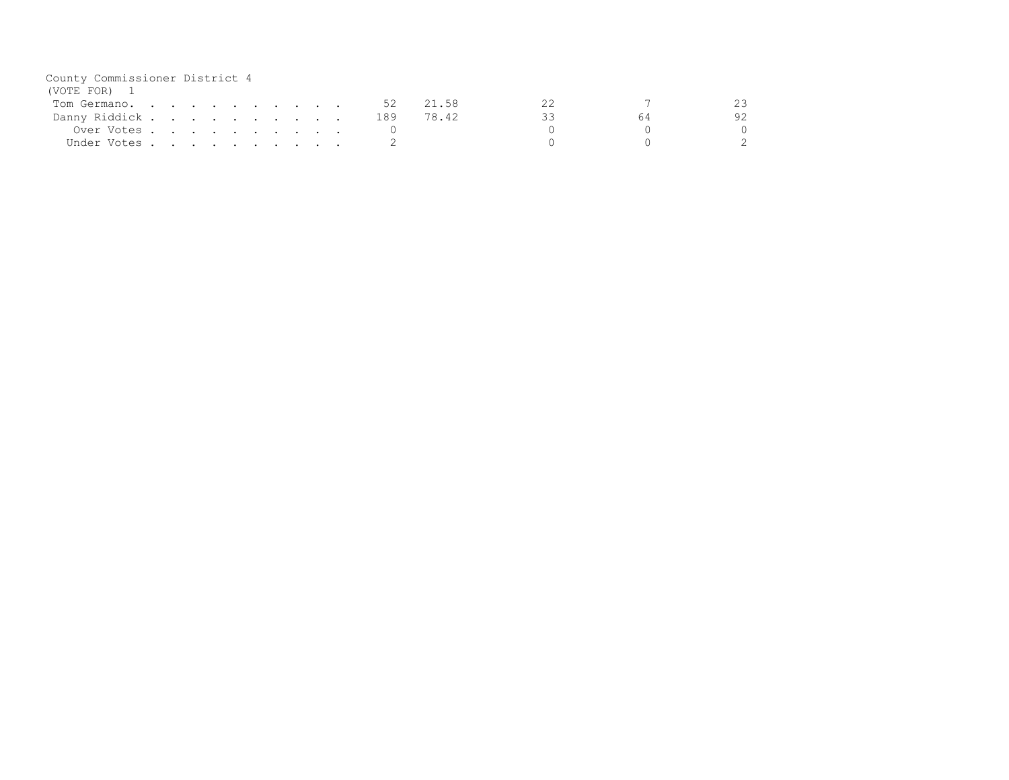| County Commissioner District 4 |  |                                                                                                                 |  |  |  |     |       |    |    |    |
|--------------------------------|--|-----------------------------------------------------------------------------------------------------------------|--|--|--|-----|-------|----|----|----|
| (VOTE FOR) 1                   |  |                                                                                                                 |  |  |  |     |       |    |    |    |
| Tom Germano.                   |  |                                                                                                                 |  |  |  | -52 | 21.58 |    |    |    |
| Danny Riddick                  |  |                                                                                                                 |  |  |  | 189 | 78.42 | ろろ | 64 | 92 |
| Over Votes                     |  |                                                                                                                 |  |  |  |     |       |    |    |    |
| Under Votes .                  |  | the contract of the contract of the contract of the contract of the contract of the contract of the contract of |  |  |  |     |       |    |    |    |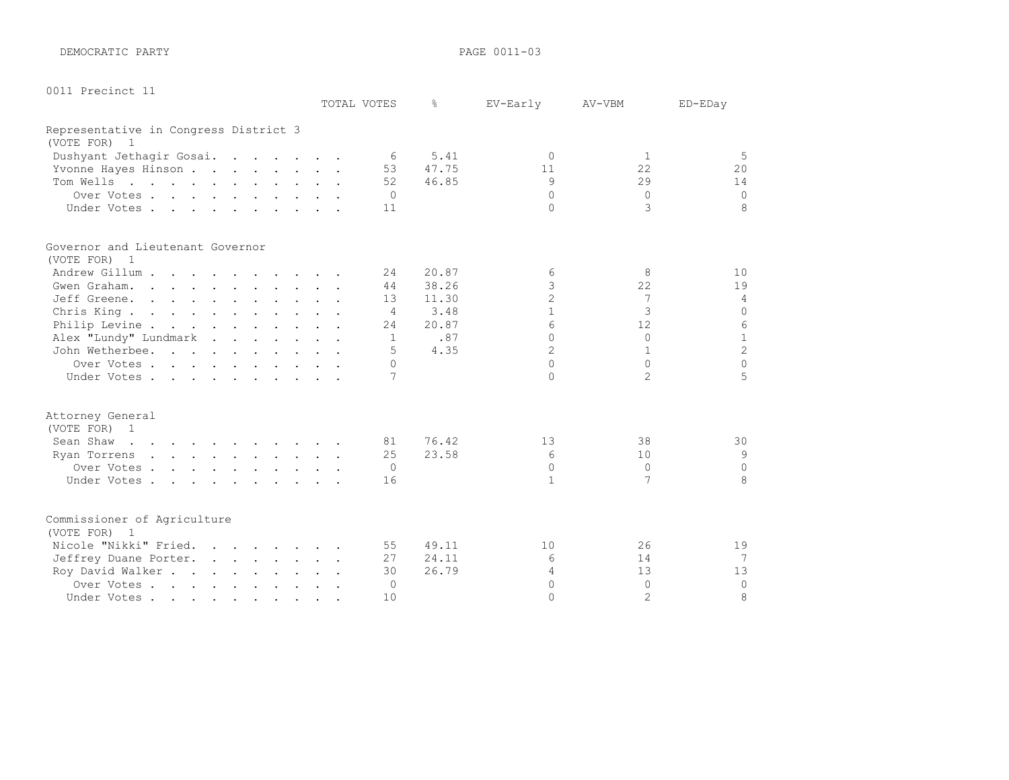DEMOCRATIC PARTY **PARTY PAGE 0011-03** 

| 0011 Precinct 11 |  |
|------------------|--|
|------------------|--|

|                                       |  | TOTAL VOTES    | ⊱     | EV-Early       | AV-VBM         | ED-EDay        |
|---------------------------------------|--|----------------|-------|----------------|----------------|----------------|
| Representative in Congress District 3 |  |                |       |                |                |                |
| (VOTE FOR) 1                          |  |                |       |                |                |                |
| Dushyant Jethagir Gosai.              |  | - 6            | 5.41  | $\bigcap$      | 1              | 5              |
| Yvonne Hayes Hinson                   |  | 53             | 47.75 | 11             | 22             | 20             |
| Tom Wells                             |  | 52             | 46.85 | 9              | 29             | 14             |
| Over Votes                            |  | $\bigcirc$     |       | $\Omega$       | $\Omega$       | $\Omega$       |
| Under Votes                           |  | 11             |       | $\cap$         | 3              | 8              |
| Governor and Lieutenant Governor      |  |                |       |                |                |                |
| (VOTE FOR) 1                          |  |                |       |                |                |                |
| Andrew Gillum                         |  | 24             | 20.87 | 6              | 8              | 10             |
| Gwen Graham.                          |  | 44             | 38.26 | 3              | 22             | 19             |
| Jeff Greene.                          |  | 13             | 11.30 | $\overline{c}$ | 7              | $\overline{4}$ |
| Chris King.                           |  | $\overline{4}$ | 3.48  | $\mathbf{1}$   | 3              | $\circ$        |
| Philip Levine                         |  | 24             | 20.87 | 6              | 12.            | 6              |
| Alex "Lundy" Lundmark                 |  | $\mathbf{1}$   | .87   | $\cap$         | $\Omega$       | $\mathbf{1}$   |
| John Wetherbee.                       |  | 5              | 4.35  | $\overline{2}$ | $\mathbf{1}$   | $\overline{c}$ |
| Over Votes                            |  | $\Omega$       |       | $\cap$         | $\Omega$       | $\Omega$       |
| Under Votes                           |  | 7              |       | $\cap$         | $\overline{2}$ | 5              |
| Attorney General                      |  |                |       |                |                |                |
| (VOTE FOR) 1                          |  |                |       |                |                |                |
| Sean Shaw                             |  | 81             | 76.42 | 13             | 38             | 30             |
| Ryan Torrens                          |  | 25             | 23.58 | 6              | 10             | 9              |
| Over Votes                            |  | $\bigcirc$     |       | $\Omega$       | $\Omega$       | $\Omega$       |
| Under Votes.                          |  | 16             |       | $\mathbf{1}$   | 7              | 8              |
| Commissioner of Agriculture           |  |                |       |                |                |                |
| (VOTE FOR) 1                          |  |                |       |                |                |                |
| Nicole "Nikki" Fried.                 |  | 55             | 49.11 | 10             | 26             | 19             |
| Jeffrey Duane Porter.                 |  | 27             | 24.11 | 6              | 14             | 7              |
| Roy David Walker                      |  | 30             | 26.79 | 4              | 13             | 13             |
| Over Votes                            |  | 0              |       | $\Omega$       | $\Omega$       | $\Omega$       |
| Under Votes                           |  | 10             |       | $\cap$         | $\overline{2}$ | 8              |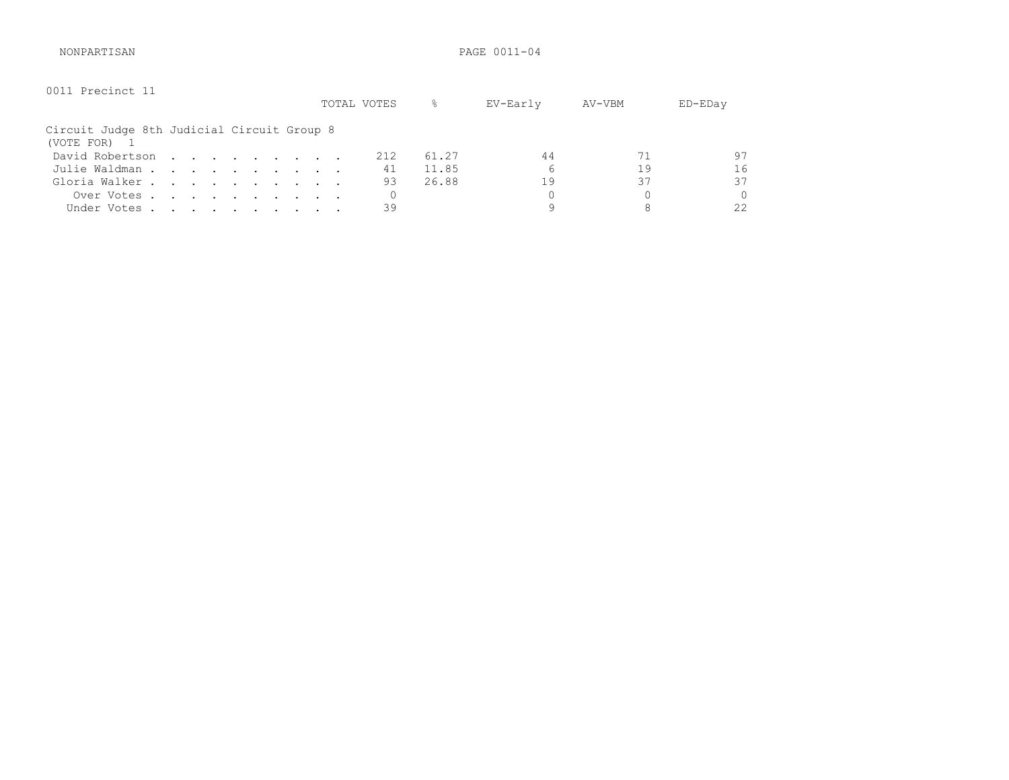NONPARTISAN PAGE 0011-04

| 0011 Precinct 11                                         |  |  |  |  | TOTAL VOTES | 옹     | EV-Early | AV-VBM | ED-EDay |
|----------------------------------------------------------|--|--|--|--|-------------|-------|----------|--------|---------|
| Circuit Judge 8th Judicial Circuit Group 8<br>(VOTE FOR) |  |  |  |  |             |       |          |        |         |
| David Robertson                                          |  |  |  |  | 212         | 61.27 | 44       |        | 97      |
| Julie Waldman                                            |  |  |  |  | 41          | 11.85 | 6        | 19     | 16      |
| Gloria Walker                                            |  |  |  |  | 93          | 26.88 | 19       | 37     | 37      |
| Over Votes                                               |  |  |  |  |             |       |          |        | 0       |
| Under Votes                                              |  |  |  |  | 39          |       |          | 8      | 22      |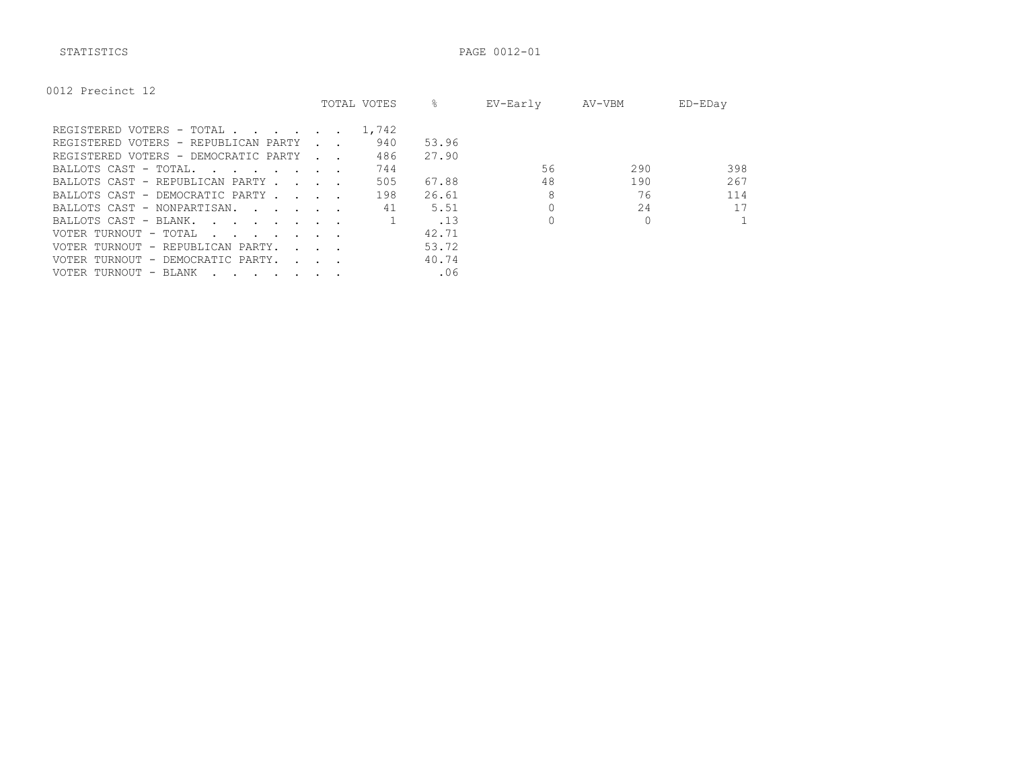STATISTICS PAGE 0012-01

| 0012 Precinct 12 |  |  |
|------------------|--|--|
|------------------|--|--|

|                                                                                                                                                                                                                                                          |                          | TOTAL VOTES | 옹     | EV-Early | AV-VBM | ED-EDay |
|----------------------------------------------------------------------------------------------------------------------------------------------------------------------------------------------------------------------------------------------------------|--------------------------|-------------|-------|----------|--------|---------|
| REGISTERED VOTERS - TOTAL                                                                                                                                                                                                                                |                          | 1,742       |       |          |        |         |
| REGISTERED VOTERS - REPUBLICAN PARTY                                                                                                                                                                                                                     |                          | 940         | 53.96 |          |        |         |
| REGISTERED VOTERS - DEMOCRATIC PARTY                                                                                                                                                                                                                     | <b>Contract Contract</b> | 486         | 27.90 |          |        |         |
| BALLOTS CAST - TOTAL.<br>$\sim$ . The set of the set of the set of the set of the set of the set of the set of the set of the set of the set of the set of the set of the set of the set of the set of the set of the set of the set of the set of the s |                          | 744         |       | 56       | 290    | 398     |
| BALLOTS CAST - REPUBLICAN PARTY                                                                                                                                                                                                                          |                          | 505         | 67.88 | 48       | 190    | 267     |
| BALLOTS CAST - DEMOCRATIC PARTY                                                                                                                                                                                                                          |                          | 198         | 26.61 | 8        | 76     | 114     |
| BALLOTS CAST - NONPARTISAN.                                                                                                                                                                                                                              |                          | 41          | 5.51  |          | 24     | 17      |
| BALLOTS CAST - BLANK.                                                                                                                                                                                                                                    |                          |             | .13   |          |        |         |
| VOTER TURNOUT - TOTAL<br>$\mathbf{r}$ , and $\mathbf{r}$ , and $\mathbf{r}$ , and $\mathbf{r}$                                                                                                                                                           |                          |             | 42.71 |          |        |         |
| VOTER TURNOUT - REPUBLICAN PARTY.                                                                                                                                                                                                                        | $\sim$ $\sim$ $\sim$     |             | 53.72 |          |        |         |
| VOTER TURNOUT - DEMOCRATIC PARTY.                                                                                                                                                                                                                        |                          |             | 40.74 |          |        |         |
| VOTER TURNOUT - BLANK<br>$\cdot$ $\cdot$ $\cdot$ $\cdot$ $\cdot$ $\cdot$ $\cdot$ $\cdot$                                                                                                                                                                 |                          |             | .06   |          |        |         |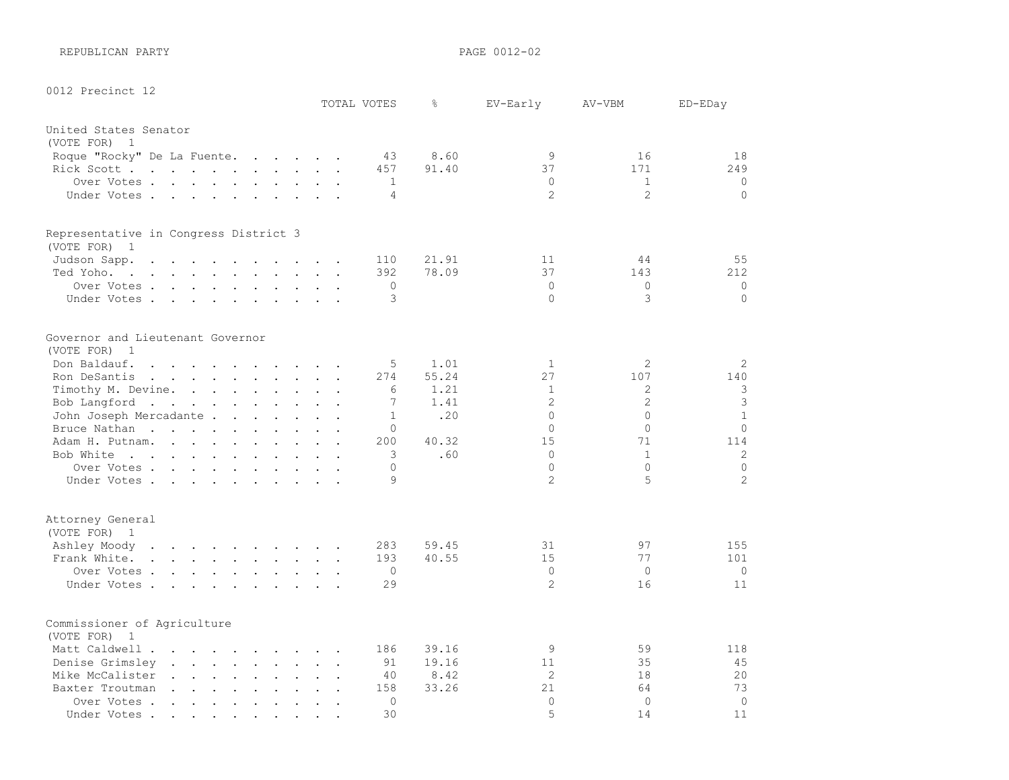REPUBLICAN PARTY **PAGE 0012-02** 

| 0012 Precinct 12                                                                                                             |                                                                                                                 |                                                             |                      |                                 |                                                                  |                                                                                         |                                                                                                                 |                                                       |                                        |                |                |       |                |                |                |
|------------------------------------------------------------------------------------------------------------------------------|-----------------------------------------------------------------------------------------------------------------|-------------------------------------------------------------|----------------------|---------------------------------|------------------------------------------------------------------|-----------------------------------------------------------------------------------------|-----------------------------------------------------------------------------------------------------------------|-------------------------------------------------------|----------------------------------------|----------------|----------------|-------|----------------|----------------|----------------|
|                                                                                                                              |                                                                                                                 |                                                             |                      |                                 |                                                                  |                                                                                         |                                                                                                                 |                                                       |                                        |                | TOTAL VOTES    | g.    | EV-Early       | AV-VBM         | ED-EDay        |
| United States Senator                                                                                                        |                                                                                                                 |                                                             |                      |                                 |                                                                  |                                                                                         |                                                                                                                 |                                                       |                                        |                |                |       |                |                |                |
| (VOTE FOR) 1                                                                                                                 |                                                                                                                 |                                                             |                      |                                 |                                                                  |                                                                                         |                                                                                                                 |                                                       |                                        |                |                |       |                |                |                |
| Roque "Rocky" De La Fuente.                                                                                                  |                                                                                                                 |                                                             |                      |                                 |                                                                  |                                                                                         | and the state of the state of the                                                                               |                                                       |                                        |                | 43             | 8.60  | 9              | 16             | 18             |
| Rick Scott                                                                                                                   |                                                                                                                 |                                                             |                      |                                 |                                                                  | $\sim$ 100 $\pm$                                                                        |                                                                                                                 | $\mathbf{L} = \mathbf{L}$                             |                                        |                | 457            | 91.40 | 37             | 171            | 249            |
| Over Votes .                                                                                                                 |                                                                                                                 |                                                             |                      |                                 |                                                                  |                                                                                         |                                                                                                                 | $\ddot{\phantom{a}}$                                  |                                        |                | 1              |       | $\Omega$       | $\mathbf{1}$   | $\circ$        |
| Under Votes                                                                                                                  |                                                                                                                 |                                                             |                      | <b>Contract Contract Street</b> |                                                                  |                                                                                         |                                                                                                                 | $\bullet$                                             |                                        |                | 4              |       | $\overline{c}$ | $\overline{2}$ | $\Omega$       |
| Representative in Congress District 3                                                                                        |                                                                                                                 |                                                             |                      |                                 |                                                                  |                                                                                         |                                                                                                                 |                                                       |                                        |                |                |       |                |                |                |
| (VOTE FOR)<br>$\overline{1}$                                                                                                 |                                                                                                                 |                                                             |                      |                                 |                                                                  |                                                                                         |                                                                                                                 |                                                       |                                        |                |                |       |                |                |                |
| Judson Sapp.                                                                                                                 | $\ddot{\phantom{a}}$                                                                                            | $\sim$<br>$\ddot{\phantom{a}}$                              |                      | $\ddot{\phantom{a}}$            |                                                                  |                                                                                         | $\ddot{\phantom{a}}$                                                                                            |                                                       | $\mathbf{r}$ . The set of $\mathbf{r}$ |                | 110            | 21.91 | 11             | 44             | 55             |
| Ted Yoho.<br>the contract of the contract of the contract of the contract of the contract of the contract of the contract of |                                                                                                                 |                                                             |                      |                                 |                                                                  |                                                                                         |                                                                                                                 |                                                       |                                        | $\bullet$      | 392            | 78.09 | 37             | 143            | 212            |
| Over Votes .                                                                                                                 |                                                                                                                 |                                                             |                      |                                 |                                                                  | $\mathbf{r}$ , $\mathbf{r}$ , $\mathbf{r}$ , $\mathbf{r}$ , $\mathbf{r}$ , $\mathbf{r}$ |                                                                                                                 | $\mathbf{L} = \mathbf{L}$                             |                                        |                | 0              |       | $\Omega$       | $\Omega$       | 0              |
| Under Votes.                                                                                                                 |                                                                                                                 |                                                             |                      |                                 |                                                                  | $\mathbf{r} = \mathbf{r} + \mathbf{r} + \mathbf{r} + \mathbf{r} + \mathbf{r}$           |                                                                                                                 | $\mathbf{z} = \mathbf{z} + \mathbf{z}$                | $\ddot{\phantom{a}}$                   |                | 3              |       | $\Omega$       | 3              | $\Omega$       |
| Governor and Lieutenant Governor<br>(VOTE FOR)<br>$\overline{1}$                                                             |                                                                                                                 |                                                             |                      |                                 |                                                                  |                                                                                         |                                                                                                                 |                                                       |                                        |                |                |       |                |                |                |
| Don Baldauf.                                                                                                                 | $\cdot$ $\cdot$ $\cdot$ $\cdot$                                                                                 |                                                             |                      | $\sim$ $\sim$                   |                                                                  | $\sim$                                                                                  | $\sim$ $\sim$                                                                                                   |                                                       | $\sim$                                 |                | 5              | 1.01  | $\mathbf{1}$   | 2              | 2              |
| Ron DeSantis                                                                                                                 | the contract of the contract of the contract of                                                                 |                                                             |                      |                                 |                                                                  |                                                                                         |                                                                                                                 | $\mathbf{L}^{\text{max}}$ , $\mathbf{L}^{\text{max}}$ | $\ddot{\phantom{0}}$                   |                | 274            | 55.24 | 27             | 107            | 140            |
| Timothy M. Devine.                                                                                                           |                                                                                                                 |                                                             |                      |                                 | $\mathbf{u} = \mathbf{u} + \mathbf{u} + \mathbf{u} + \mathbf{u}$ |                                                                                         |                                                                                                                 | $\mathbf{z} = \mathbf{z} + \mathbf{z}$                |                                        |                | 6              | 1.21  | $\mathbf{1}$   | 2              | 3              |
| Bob Langford                                                                                                                 |                                                                                                                 |                                                             |                      | $\bullet$                       | $\sim$ $\sim$                                                    | $\sim$                                                                                  | $\Box$                                                                                                          | $\bullet$                                             |                                        |                | 7              | 1.41  | $\overline{2}$ | $\overline{2}$ | 3              |
| John Joseph Mercadante .                                                                                                     |                                                                                                                 |                                                             |                      |                                 | $\ddot{\phantom{a}}$                                             |                                                                                         |                                                                                                                 | $\mathbf{L} = \mathbf{L}$                             |                                        |                | 1              | .20   | $\Omega$       | $\Omega$       | $\mathbf{1}$   |
| Bruce Nathan                                                                                                                 |                                                                                                                 | $\ddot{\phantom{a}}$                                        |                      | $\ddot{\phantom{a}}$            |                                                                  |                                                                                         |                                                                                                                 |                                                       |                                        |                | 0              |       | $\Omega$       | $\overline{0}$ | $\Omega$       |
| Adam H. Putnam.                                                                                                              |                                                                                                                 | $\mathbf{r}$ , $\mathbf{r}$ , $\mathbf{r}$                  |                      |                                 |                                                                  | $\ddot{\phantom{a}}$                                                                    | $\ddot{\phantom{a}}$                                                                                            | $\sim$                                                |                                        |                | 200            | 40.32 | 15             | 71             | 114            |
| Bob White                                                                                                                    |                                                                                                                 | $\mathbf{r}$ . The contract of the contract of $\mathbf{r}$ |                      |                                 |                                                                  |                                                                                         | $\ddot{\phantom{a}}$                                                                                            | $\ddot{\phantom{a}}$                                  |                                        |                | 3              | .60   | $\Omega$       | $\mathbf{1}$   | 2              |
| Over Votes.                                                                                                                  |                                                                                                                 |                                                             |                      |                                 |                                                                  |                                                                                         | the contract of the contract of the contract of the contract of the contract of the contract of the contract of |                                                       |                                        |                | 0              |       | $\Omega$       | $\Omega$       | $\mathbf 0$    |
| Under Votes.                                                                                                                 |                                                                                                                 |                                                             |                      |                                 |                                                                  | $\mathbf{r}$ , $\mathbf{r}$ , $\mathbf{r}$ , $\mathbf{r}$ , $\mathbf{r}$                | $\sim$                                                                                                          |                                                       | $\cdots$ $\cdots$                      |                | 9              |       | $\overline{2}$ | 5              | $\overline{2}$ |
| Attorney General<br>(VOTE FOR) 1                                                                                             |                                                                                                                 |                                                             |                      |                                 |                                                                  |                                                                                         |                                                                                                                 |                                                       |                                        |                |                |       |                |                |                |
| Ashley Moody                                                                                                                 | the contract of the contract of the contract of the contract of the contract of the contract of the contract of |                                                             |                      |                                 |                                                                  |                                                                                         |                                                                                                                 |                                                       |                                        |                | 283            | 59.45 | 31             | 97             | 155            |
| Frank White.                                                                                                                 | $\ddot{\phantom{a}}$                                                                                            | $\mathbf{r}$ , $\mathbf{r}$ , $\mathbf{r}$ , $\mathbf{r}$   |                      |                                 |                                                                  | $\sim$                                                                                  | $\mathbf{L}$                                                                                                    | $\ddot{\phantom{0}}$                                  |                                        |                | 193            | 40.55 | 15             | 77             | 101            |
| Over Votes .                                                                                                                 |                                                                                                                 |                                                             |                      |                                 |                                                                  |                                                                                         | the contract of the contract of the contract of the contract of the contract of the contract of the contract of |                                                       |                                        | $\overline{a}$ | $\overline{0}$ |       | $\Omega$       | $\overline{0}$ | $\circ$        |
| Under Votes                                                                                                                  |                                                                                                                 |                                                             |                      |                                 |                                                                  |                                                                                         |                                                                                                                 |                                                       |                                        |                | 29             |       | $\overline{c}$ | 16             | 11             |
| Commissioner of Agriculture<br>(VOTE FOR)<br>$\overline{1}$                                                                  |                                                                                                                 |                                                             |                      |                                 |                                                                  |                                                                                         |                                                                                                                 |                                                       |                                        |                |                |       |                |                |                |
| Matt Caldwell .                                                                                                              | $\mathbf{r}$                                                                                                    | $\mathcal{A}$                                               |                      | $\sim$ $\sim$                   |                                                                  |                                                                                         |                                                                                                                 |                                                       |                                        |                | 186            | 39.16 | 9              | 59             | 118            |
| Denise Grimsley                                                                                                              |                                                                                                                 |                                                             | $\ddot{\phantom{a}}$ | $\ddot{\phantom{a}}$            | $\ddot{\phantom{a}}$                                             |                                                                                         |                                                                                                                 |                                                       |                                        |                | 91             | 19.16 | 11             | 35             | 45             |
| Mike McCalister                                                                                                              |                                                                                                                 |                                                             |                      |                                 | $\ddot{\phantom{a}}$                                             |                                                                                         |                                                                                                                 | $\overline{a}$                                        |                                        |                | 40             | 8.42  | 2              | 18             | 20             |
| Baxter Troutman                                                                                                              |                                                                                                                 |                                                             |                      | $\ddot{\phantom{a}}$            | $\ddot{\phantom{a}}$                                             | $\ddot{\phantom{a}}$                                                                    | $\ddot{\phantom{a}}$                                                                                            | $\ddot{\phantom{a}}$                                  |                                        |                | 158            | 33.26 | 21             | 64             | 73             |
| Over Votes.                                                                                                                  |                                                                                                                 | $\ddot{\phantom{a}}$                                        |                      | $\ddot{\phantom{a}}$            |                                                                  |                                                                                         |                                                                                                                 |                                                       |                                        |                | $\mathbf 0$    |       | $\Omega$       | $\overline{0}$ | $\circ$        |
| Under Votes.                                                                                                                 | $\bullet$                                                                                                       | $\blacksquare$ .                                            |                      | $\bullet$                       | $\bullet$                                                        | $\bullet$                                                                               |                                                                                                                 |                                                       |                                        |                | 30             |       | 5              | 14             | 11             |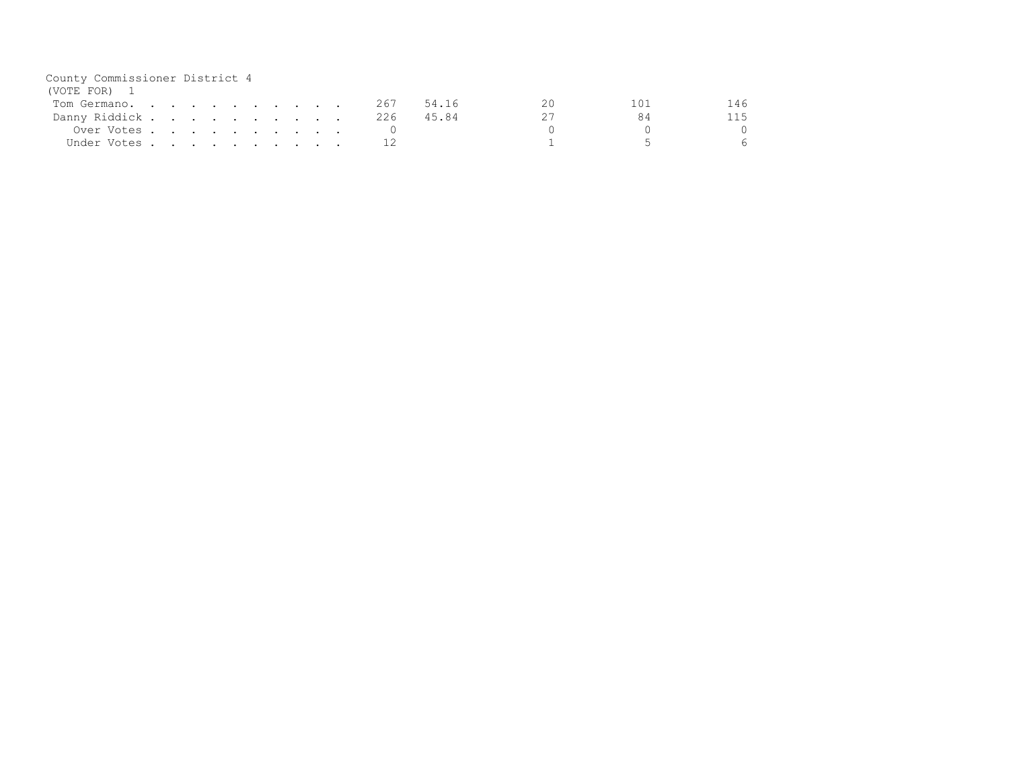| County Commissioner District 4 |  |  |  |  |  |     |       |  |      |
|--------------------------------|--|--|--|--|--|-----|-------|--|------|
| (VOTE FOR) 1                   |  |  |  |  |  |     |       |  |      |
| Tom Germano.                   |  |  |  |  |  | 267 | 54.16 |  | 146  |
| Danny Riddick                  |  |  |  |  |  | 226 | 45.84 |  | 115. |
| Over Votes                     |  |  |  |  |  |     |       |  |      |
| Under Votes                    |  |  |  |  |  |     |       |  |      |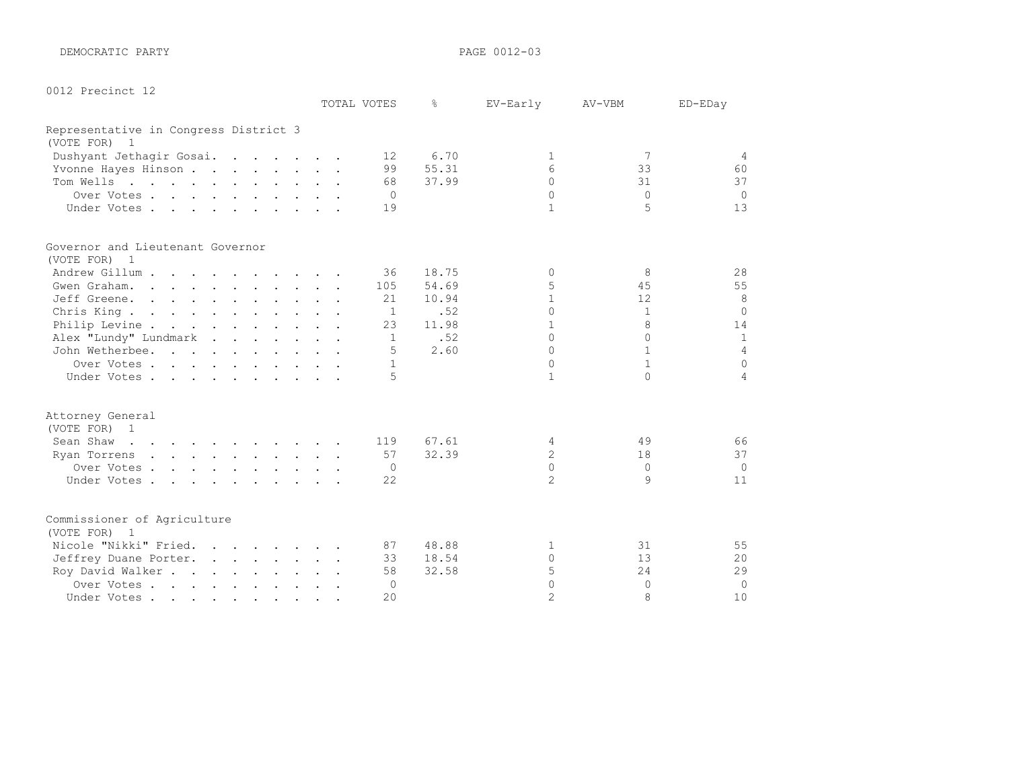DEMOCRATIC PARTY **PAGE 0012-03** 

|  |  | 0012 Precinct 12 |  |
|--|--|------------------|--|
|--|--|------------------|--|

|                                                                                                                                                                                                                                                      |  | TOTAL VOTES     | ⊱     | EV-Early       | AV-VBM       | ED-EDay        |
|------------------------------------------------------------------------------------------------------------------------------------------------------------------------------------------------------------------------------------------------------|--|-----------------|-------|----------------|--------------|----------------|
| Representative in Congress District 3                                                                                                                                                                                                                |  |                 |       |                |              |                |
| (VOTE FOR) 1                                                                                                                                                                                                                                         |  |                 |       |                |              |                |
| Dushyant Jethagir Gosai.                                                                                                                                                                                                                             |  | 12 <sup>°</sup> | 6.70  | -1             | 7            | $\overline{4}$ |
| Yvonne Hayes Hinson                                                                                                                                                                                                                                  |  | 99              | 55.31 | 6              | 33           | 60             |
| Tom Wells                                                                                                                                                                                                                                            |  | 68              | 37.99 | $\Omega$       | 31           | 37             |
| Over Votes                                                                                                                                                                                                                                           |  | $\Omega$        |       | $\Omega$       | $\Omega$     | $\Omega$       |
| Under Votes                                                                                                                                                                                                                                          |  | 19              |       | $\mathbf{1}$   | 5            | 13             |
| Governor and Lieutenant Governor                                                                                                                                                                                                                     |  |                 |       |                |              |                |
| (VOTE FOR) 1                                                                                                                                                                                                                                         |  |                 |       |                |              |                |
| Andrew Gillum                                                                                                                                                                                                                                        |  | 36              | 18.75 | $\Omega$       | 8            | 28             |
| Gwen Graham.                                                                                                                                                                                                                                         |  | 105             | 54.69 | 5              | 45           | 55             |
| Jeff Greene.                                                                                                                                                                                                                                         |  | 21              | 10.94 | $\mathbf{1}$   | 12           | 8              |
| Chris King                                                                                                                                                                                                                                           |  | $\mathbf{1}$    | .52   | $\Omega$       | $\mathbf{1}$ | $\Omega$       |
| Philip Levine                                                                                                                                                                                                                                        |  | 23              | 11.98 | 1              | 8            | 14             |
| Alex "Lundy" Lundmark                                                                                                                                                                                                                                |  | 1               | .52   | $\cap$         | $\cap$       | $\mathbf{1}$   |
| John Wetherbee.                                                                                                                                                                                                                                      |  | .5              | 2.60  | $\Omega$       | $\mathbf{1}$ | $\overline{4}$ |
| Over Votes                                                                                                                                                                                                                                           |  | $\mathbf{1}$    |       | $\Omega$       | $\mathbf{1}$ | $\Omega$       |
| Under Votes                                                                                                                                                                                                                                          |  | 5               |       | $\mathbf{1}$   | $\cap$       | 4              |
| Attorney General                                                                                                                                                                                                                                     |  |                 |       |                |              |                |
| (VOTE FOR) 1                                                                                                                                                                                                                                         |  |                 |       |                |              |                |
| Sean Shaw<br>$\mathbf{r}$ . The set of the set of the set of the set of the set of the set of the set of the set of the set of the set of the set of the set of the set of the set of the set of the set of the set of the set of the set of t       |  | 119             | 67.61 | 4              | 49           | 66             |
| <u>no provincialmente de la provincia de la provincia de la provincia de la provincia de la provincia de la provincia de la provincia de la provincia de la provincia de la provincia de la provincia de la provincia de la prov</u><br>Ryan Torrens |  | 57              | 32.39 | $\overline{c}$ | 18           | 37             |
| Over Votes                                                                                                                                                                                                                                           |  | 0               |       | $\Omega$       | $\Omega$     | $\Omega$       |
| Under Votes                                                                                                                                                                                                                                          |  | 22              |       | $\overline{2}$ | 9            | 11             |
| Commissioner of Agriculture                                                                                                                                                                                                                          |  |                 |       |                |              |                |
| (VOTE FOR) 1                                                                                                                                                                                                                                         |  |                 |       |                |              |                |
| Nicole "Nikki" Fried.                                                                                                                                                                                                                                |  | 87              | 48.88 | 1              | 31           | 55             |
| Jeffrey Duane Porter.                                                                                                                                                                                                                                |  | 33              | 18.54 | $\Omega$       | 13           | 20             |
| Roy David Walker                                                                                                                                                                                                                                     |  | 58              | 32.58 | 5              | 24           | 29             |
| Over Votes                                                                                                                                                                                                                                           |  | 0               |       | $\Omega$       | $\Omega$     | $\Omega$       |
| Under Votes                                                                                                                                                                                                                                          |  | 20              |       | $\mathfrak{D}$ | 8            | 10             |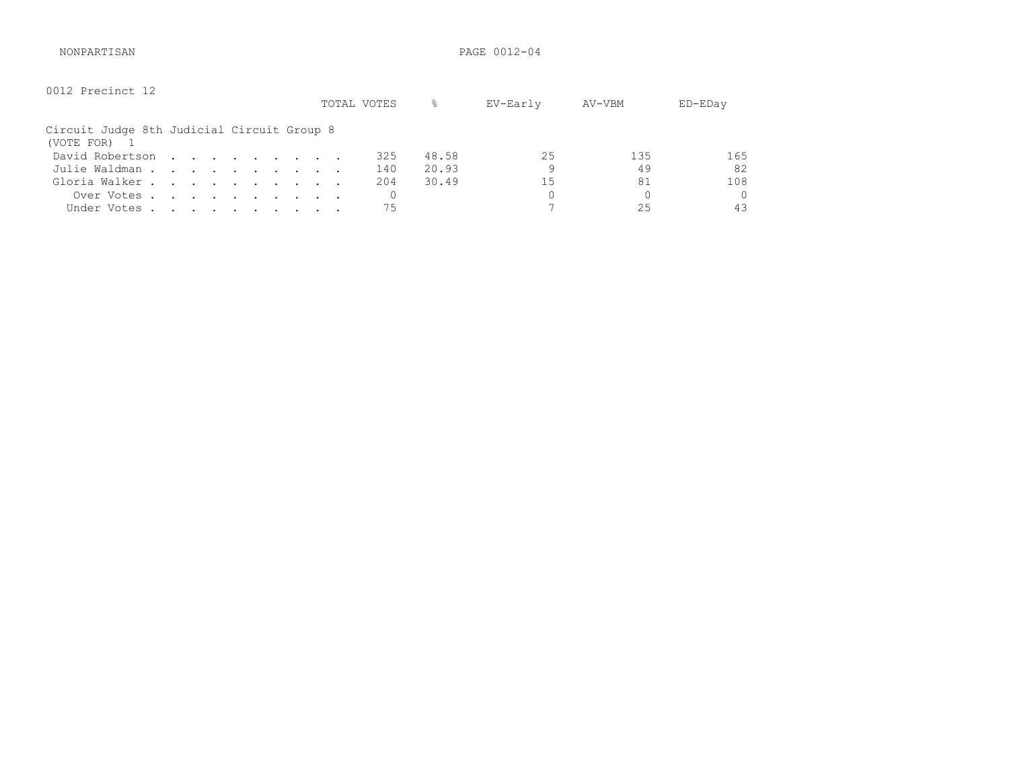NONPARTISAN PAGE 0012-04

| 0012 Precinct 12                                         |  |  |  |  | TOTAL VOTES | g.    | EV-Early | AV-VBM   | ED-EDay |
|----------------------------------------------------------|--|--|--|--|-------------|-------|----------|----------|---------|
| Circuit Judge 8th Judicial Circuit Group 8<br>(VOTE FOR) |  |  |  |  |             |       |          |          |         |
| David Robertson                                          |  |  |  |  | 325         | 48.58 | 25       | 135      | 165     |
| Julie Waldman                                            |  |  |  |  | 140         | 20.93 | 9        | 49       | 82      |
| Gloria Walker                                            |  |  |  |  | 204         | 30.49 | 15       | 81       | 108     |
| Over Votes                                               |  |  |  |  |             |       | 0        | $\Omega$ | 0       |
| Under Votes                                              |  |  |  |  | 75          |       |          | 25       | 43      |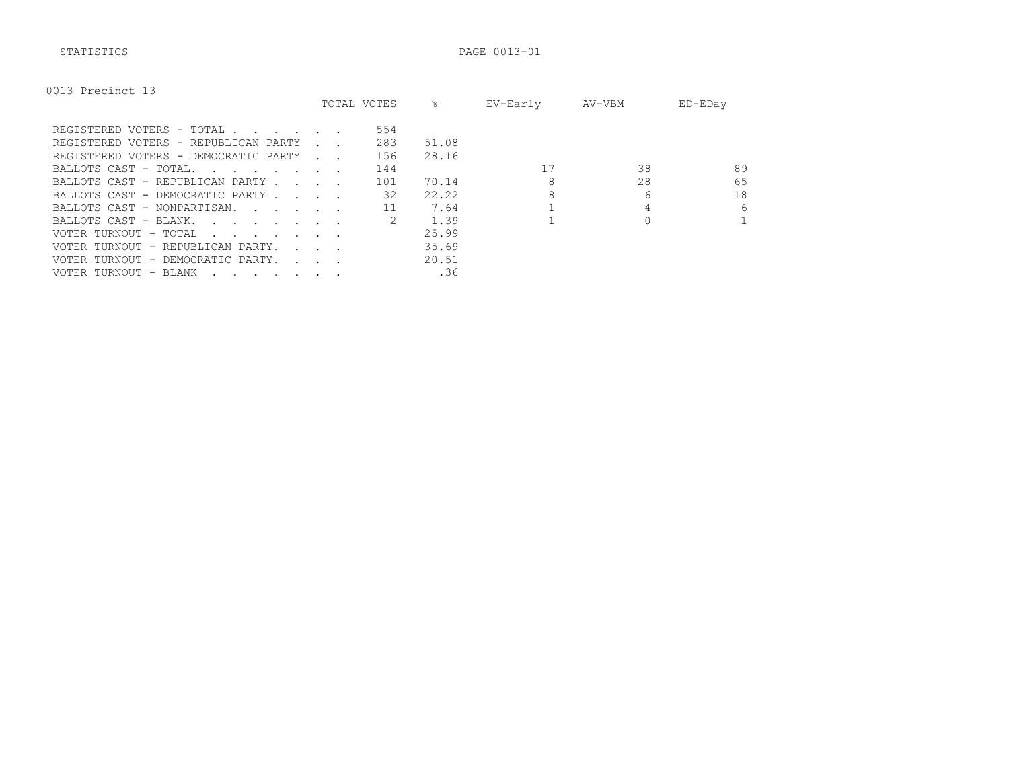STATISTICS PAGE 0013-01

|  | 0013 Precinct 13 |  |
|--|------------------|--|
|--|------------------|--|

|                                                                                                                                          |                                   | TOTAL VOTES | ⊱     | EV-Early | AV-VBM | ED-EDay |
|------------------------------------------------------------------------------------------------------------------------------------------|-----------------------------------|-------------|-------|----------|--------|---------|
| REGISTERED VOTERS - TOTAL                                                                                                                |                                   | 554         |       |          |        |         |
| REGISTERED VOTERS - REPUBLICAN PARTY                                                                                                     |                                   | 283         | 51.08 |          |        |         |
| REGISTERED VOTERS - DEMOCRATIC PARTY                                                                                                     | and the control                   | 156         | 28.16 |          |        |         |
| BALLOTS CAST - TOTAL.                                                                                                                    |                                   | 144         |       |          | 38     | 89      |
| BALLOTS CAST - REPUBLICAN PARTY.<br><b>Contract Contract</b>                                                                             |                                   | 101         | 70.14 |          | 28     | 65      |
| BALLOTS CAST - DEMOCRATIC PARTY                                                                                                          |                                   | 32          | 22.22 | 8        | 6      | 18      |
| BALLOTS CAST - NONPARTISAN.                                                                                                              |                                   |             | 7.64  |          |        | 6       |
| BALLOTS CAST - BLANK.<br>the contract of the contract of the contract of the contract of the contract of the contract of the contract of |                                   |             | 1.39  |          |        |         |
| VOTER TURNOUT - TOTAL<br>the contract of the contract of the contract of the contract of the contract of the contract of the contract of |                                   |             | 25.99 |          |        |         |
| VOTER TURNOUT - REPUBLICAN PARTY.                                                                                                        | <b>Contract Contract Contract</b> |             | 35.69 |          |        |         |
| VOTER TURNOUT - DEMOCRATIC PARTY.                                                                                                        | $\sim$ $\sim$ $\sim$ $\sim$       |             | 20.51 |          |        |         |
| VOTER TURNOUT - BLANK                                                                                                                    |                                   |             | .36   |          |        |         |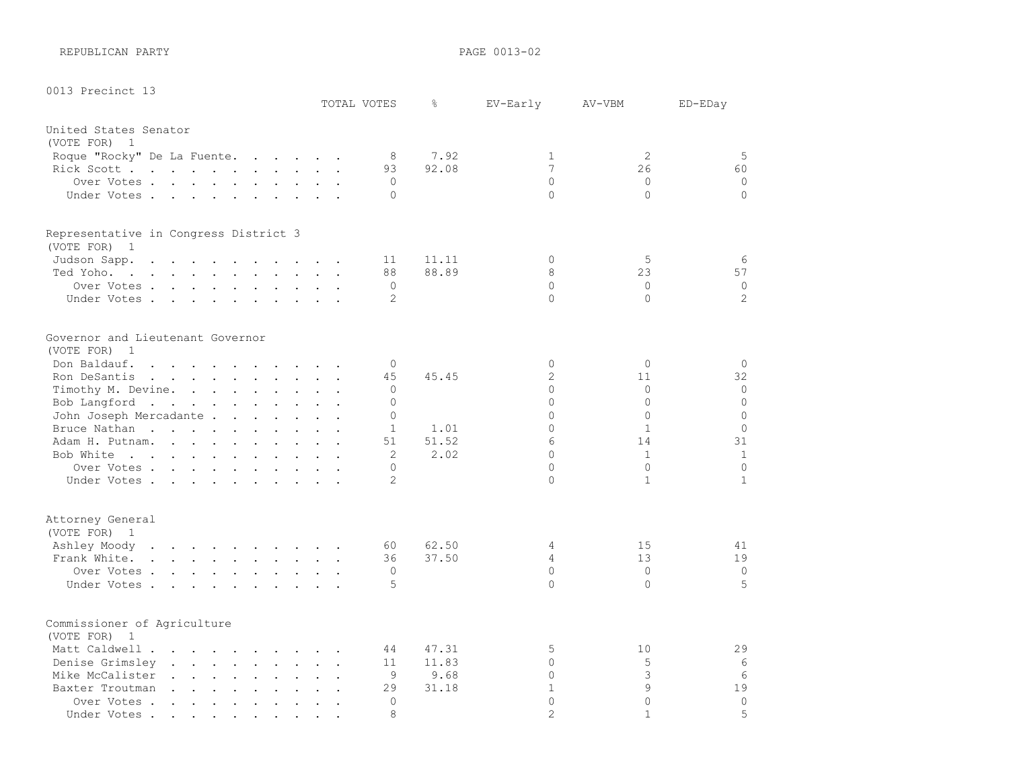REPUBLICAN PARTY **PAGE 0013-02** 

0013 Precinct 13

|                                                       |                                              | TOTAL VOTES       | $\frac{6}{6}$ | EV-Early       | AV-VBM       | ED-EDay        |
|-------------------------------------------------------|----------------------------------------------|-------------------|---------------|----------------|--------------|----------------|
| United States Senator                                 |                                              |                   |               |                |              |                |
| (VOTE FOR) 1                                          |                                              |                   |               |                |              |                |
| Roque "Rocky" De La Fuente.                           |                                              | 8                 | 7.92          | $\mathbf{1}$   | 2            | 5              |
| Rick Scott                                            |                                              | 93                | 92.08         | $\overline{7}$ | 26           | 60             |
| Over Votes                                            |                                              | $\mathbf{0}$      |               | $\Omega$       | $\circ$      | $\circ$        |
| Under Votes                                           |                                              | $\Omega$          |               | $\Omega$       | $\Omega$     | $\Omega$       |
| Representative in Congress District 3<br>(VOTE FOR) 1 |                                              |                   |               |                |              |                |
| Judson Sapp.                                          |                                              | 11                | 11.11         | $\Omega$       | 5            | 6              |
| Ted Yoho.                                             |                                              | 88                | 88.89         | 8              | 23           | 57             |
| Over Votes                                            |                                              | $\mathbf{0}$      |               | $\Omega$       | $\Omega$     | $\circ$        |
| Under Votes                                           |                                              | 2                 |               | $\Omega$       | $\bigcap$    | $\overline{2}$ |
|                                                       |                                              |                   |               |                |              |                |
| Governor and Lieutenant Governor<br>(VOTE FOR) 1      |                                              |                   |               |                |              |                |
| Don Baldauf.                                          |                                              | $\Omega$          |               | $\circ$        | $\Omega$     | $\circ$        |
| Ron DeSantis                                          |                                              | 45                |               | $\overline{c}$ | 11           | 32             |
|                                                       |                                              |                   | 45.45         | $\circ$        | $\Omega$     | $\circ$        |
| Timothy M. Devine.                                    |                                              | 0<br>$\Omega$     |               | $\Omega$       | $\Omega$     | $\overline{0}$ |
| Bob Langford                                          |                                              |                   |               | $\Omega$       | $\Omega$     | $\Omega$       |
| John Joseph Mercadante                                |                                              | $\Omega$          |               |                |              | $\Omega$       |
| Bruce Nathan                                          |                                              | $\mathbf{1}$      | 1.01          | $\Omega$       | $\mathbf{1}$ |                |
| Adam H. Putnam.                                       |                                              | 51                | 51.52         | 6              | 14           | 31             |
| Bob White                                             |                                              | 2                 | 2.02          | $\Omega$       | $\mathbf{1}$ | $\mathbf{1}$   |
| Over Votes                                            |                                              | $\Omega$          |               | $\Omega$       | $\Omega$     | $\mathbf 0$    |
| Under Votes                                           |                                              | $\overline{2}$    |               | $\Omega$       | $\mathbf{1}$ | $\mathbf{1}$   |
| Attorney General                                      |                                              |                   |               |                |              |                |
| (VOTE FOR) 1<br>Ashley Moody                          |                                              | 60                | 62.50         | 4              | 15           | 41             |
| Frank White.                                          |                                              | 36                | 37.50         | 4              | 13           | 19             |
|                                                       |                                              |                   |               | $\circ$        | $\Omega$     | $\mathbf 0$    |
| Over Votes<br>Under Votes.                            |                                              | $\mathbf{0}$<br>5 |               | $\Omega$       | $\Omega$     | 5              |
|                                                       |                                              |                   |               |                |              |                |
| Commissioner of Agriculture                           |                                              |                   |               |                |              |                |
| (VOTE FOR) 1                                          |                                              |                   |               |                |              |                |
| Matt Caldwell                                         |                                              | 44                | 47.31         | 5              | 10           | 29             |
| Denise Grimsley                                       |                                              | 11                | 11.83         | 0              | 5            | 6              |
| Mike McCalister                                       |                                              | 9                 | 9.68          | $\Omega$       | 3            | 6              |
| Baxter Troutman                                       |                                              | 29                | 31.18         | $\mathbf{1}$   | 9            | 19             |
| Over Votes<br>$\ddot{\phantom{a}}$                    | $\ddot{\phantom{a}}$<br>$\ddot{\phantom{0}}$ | $\Omega$          |               | $\Omega$       | $\Omega$     | $\circ$        |
| Under Votes                                           | $\bullet$ . $\bullet$<br>$\bullet$ .         | 8                 |               | $\overline{2}$ | $\mathbf{1}$ | 5              |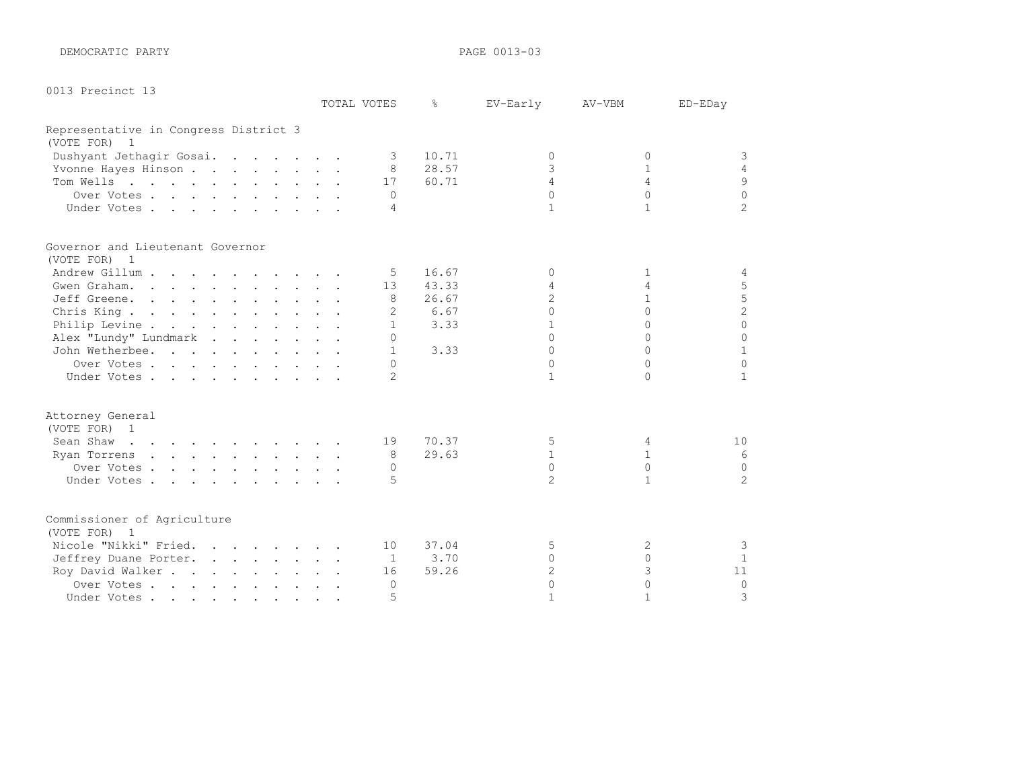DEMOCRATIC PARTY **PAGE 0013-03** 

| 0013 Precinct 13 |  |
|------------------|--|
|------------------|--|

|                                       |  | TOTAL VOTES              | ⊱     | EV-Early          | AV-VBM            | ED-EDay        |
|---------------------------------------|--|--------------------------|-------|-------------------|-------------------|----------------|
| Representative in Congress District 3 |  |                          |       |                   |                   |                |
| (VOTE FOR) 1                          |  |                          |       |                   |                   |                |
| Dushyant Jethagir Gosai.              |  | $\overline{\phantom{a}}$ | 10.71 | $\Omega$          | $\Omega$          | 3              |
| Yvonne Hayes Hinson                   |  | 8                        | 28.57 | 3                 | $\mathbf{1}$      | $\overline{4}$ |
| Tom Wells                             |  | 17                       | 60.71 | $\Delta$          | $\overline{4}$    | $\mathsf 9$    |
| Over Votes                            |  | $\Omega$                 |       | $\cap$            | $\Omega$          | $\Omega$       |
| Under Votes.                          |  | 4                        |       | $\mathbf{1}$      | $\mathbf{1}$      | $\overline{2}$ |
| Governor and Lieutenant Governor      |  |                          |       |                   |                   |                |
| (VOTE FOR) 1                          |  |                          |       |                   |                   |                |
| Andrew Gillum                         |  | 5                        | 16.67 | $\Omega$          | $\mathbf{1}$      | 4              |
| Gwen Graham.                          |  | 13                       | 43.33 | 4                 | 4                 | 5              |
| Jeff Greene.                          |  | 8                        | 26.67 | $\mathfrak{D}$    | $\mathbf{1}$      | $\frac{5}{2}$  |
| Chris King                            |  | 2                        | 6.67  | $\Omega$          | $\Omega$          |                |
| Philip Levine                         |  | $\mathbf{1}$             | 3.33  |                   | $\Omega$          | $\overline{0}$ |
| Alex "Lundy" Lundmark                 |  | $\Omega$                 |       | $\cap$            | $\cap$            | $\Omega$       |
| John Wetherbee.                       |  | $\mathbf{1}$             | 3.33  | $\Omega$          | $\cap$            | $\mathbf{1}$   |
| Over Votes.                           |  | $\Omega$                 |       | $\Omega$          | $\cap$            | $\Omega$       |
| Under Votes                           |  | $\mathcal{L}$            |       | $\mathbf{1}$      | $\cap$            | $\mathbf{1}$   |
| Attorney General                      |  |                          |       |                   |                   |                |
| (VOTE FOR) 1                          |  |                          |       |                   |                   |                |
| Sean Shaw                             |  | 19                       | 70.37 | 5<br>$\mathbf{1}$ | 4<br>$\mathbf{1}$ | 10<br>-6       |
| Ryan Torrens<br>Over Votes            |  | 8                        | 29.63 | $\Omega$          | $\Omega$          | $\mathbf 0$    |
|                                       |  | $\Omega$<br>5            |       | $\mathfrak{D}$    | $\mathbf{1}$      | $\overline{2}$ |
| Under Votes.                          |  |                          |       |                   |                   |                |
| Commissioner of Agriculture           |  |                          |       |                   |                   |                |
| (VOTE FOR) 1                          |  |                          |       |                   |                   |                |
| Nicole "Nikki" Fried.                 |  | 10                       | 37.04 | 5                 | 2                 | 3              |
| Jeffrey Duane Porter.                 |  | -1                       | 3.70  | $\Omega$          | $\Omega$          | $\mathbf{1}$   |
| Roy David Walker                      |  | 16                       | 59.26 | $\overline{2}$    | 3                 | 11             |
| Over Votes                            |  | $\Omega$                 |       | $\Omega$          | $\Omega$          | $\Omega$       |
| Under Votes                           |  | 5                        |       | $\mathbf{1}$      | $\mathbf{1}$      | 3              |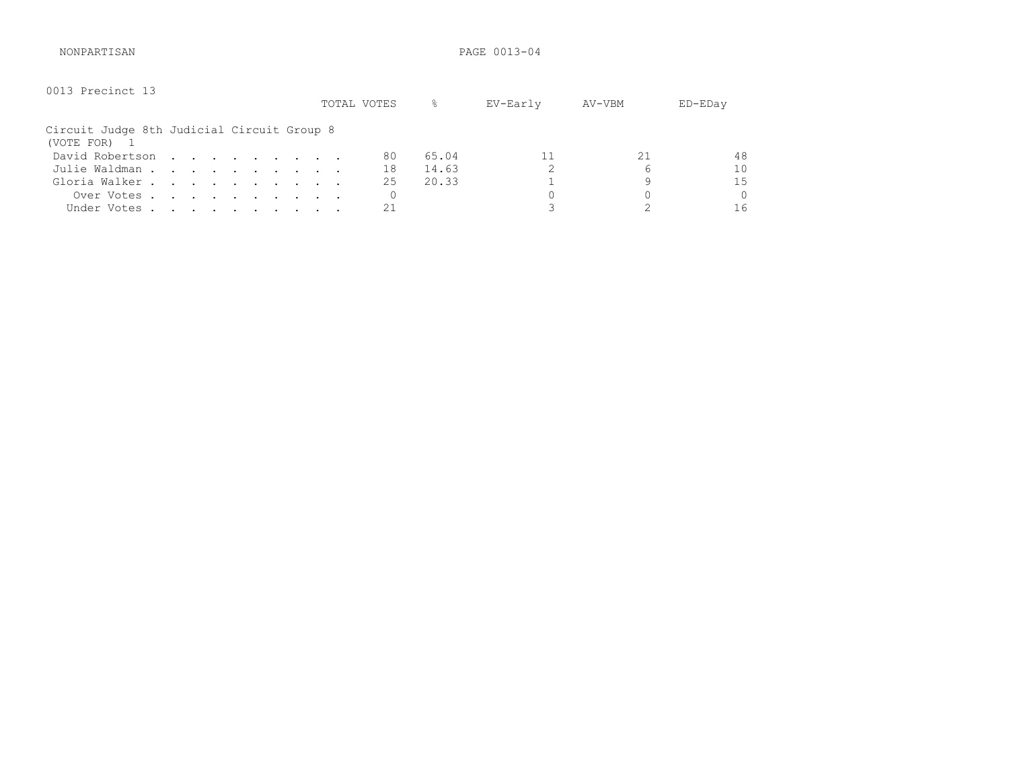NONPARTISAN PAGE 0013-04

| 0013 Precinct 13                                         |  |  |  |  | TOTAL VOTES | g.    | EV-Early | AV-VBM | $ED$ – $ED$ ay |
|----------------------------------------------------------|--|--|--|--|-------------|-------|----------|--------|----------------|
| Circuit Judge 8th Judicial Circuit Group 8<br>(VOTE FOR) |  |  |  |  |             |       |          |        |                |
| David Robertson                                          |  |  |  |  | 80          | 65.04 |          |        | 48             |
| Julie Waldman                                            |  |  |  |  | 18          | 14.63 |          | 6      | 1 <sub>0</sub> |
| Gloria Walker                                            |  |  |  |  | 25          | 20.33 |          | 9      | 1.5            |
| Over Votes                                               |  |  |  |  | 0           |       |          |        | Ω              |
| Under Votes                                              |  |  |  |  |             |       |          |        | 16             |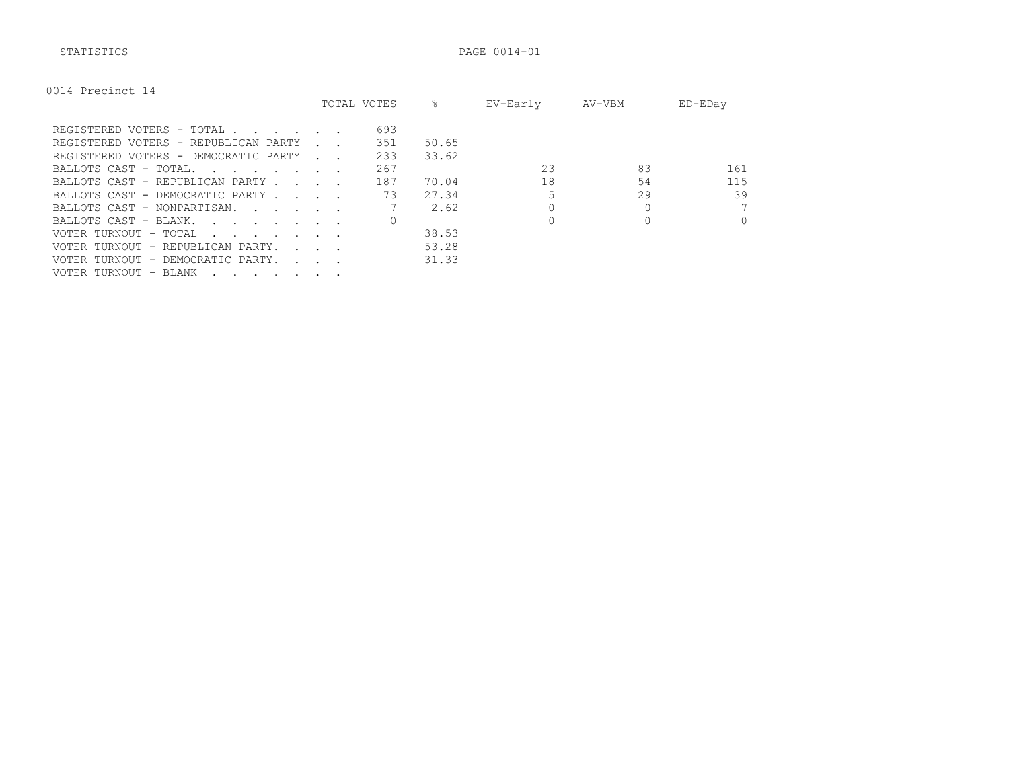STATISTICS PAGE 0014-01

| 0014 Precinct 14 |  |
|------------------|--|
|------------------|--|

|                                                                     |                                   | TOTAL VOTES | ⊱     | EV-Early | AV-VBM | ED-EDay  |
|---------------------------------------------------------------------|-----------------------------------|-------------|-------|----------|--------|----------|
| REGISTERED VOTERS - TOTAL                                           |                                   | 693         |       |          |        |          |
| REGISTERED VOTERS - REPUBLICAN PARTY                                |                                   | 351         | 50.65 |          |        |          |
| REGISTERED VOTERS - DEMOCRATIC PARTY                                |                                   | 233         | 33.62 |          |        |          |
| BALLOTS CAST - TOTAL.                                               |                                   | 267         |       | 23       | 83     | 161      |
| BALLOTS CAST - REPUBLICAN PARTY.                                    | <b>Contract Contract Contract</b> | 187         | 70.04 | 18       | 54     | 115      |
| BALLOTS CAST - DEMOCRATIC PARTY                                     |                                   | 73          | 27.34 |          | 29     | 39       |
| BALLOTS CAST - NONPARTISAN.                                         |                                   |             | 2.62  |          |        |          |
| BALLOTS CAST - BLANK.<br>and the state of the state of the state of |                                   |             |       |          |        | $\Omega$ |
| VOTER TURNOUT - TOTAL                                               |                                   |             | 38.53 |          |        |          |
| VOTER TURNOUT - REPUBLICAN PARTY.                                   | <b>Service State</b>              |             | 53.28 |          |        |          |
| VOTER TURNOUT - DEMOCRATIC PARTY.                                   | $\mathbf{r}$ , $\mathbf{r}$       |             | 31.33 |          |        |          |
| VOTER TURNOUT - BLANK                                               |                                   |             |       |          |        |          |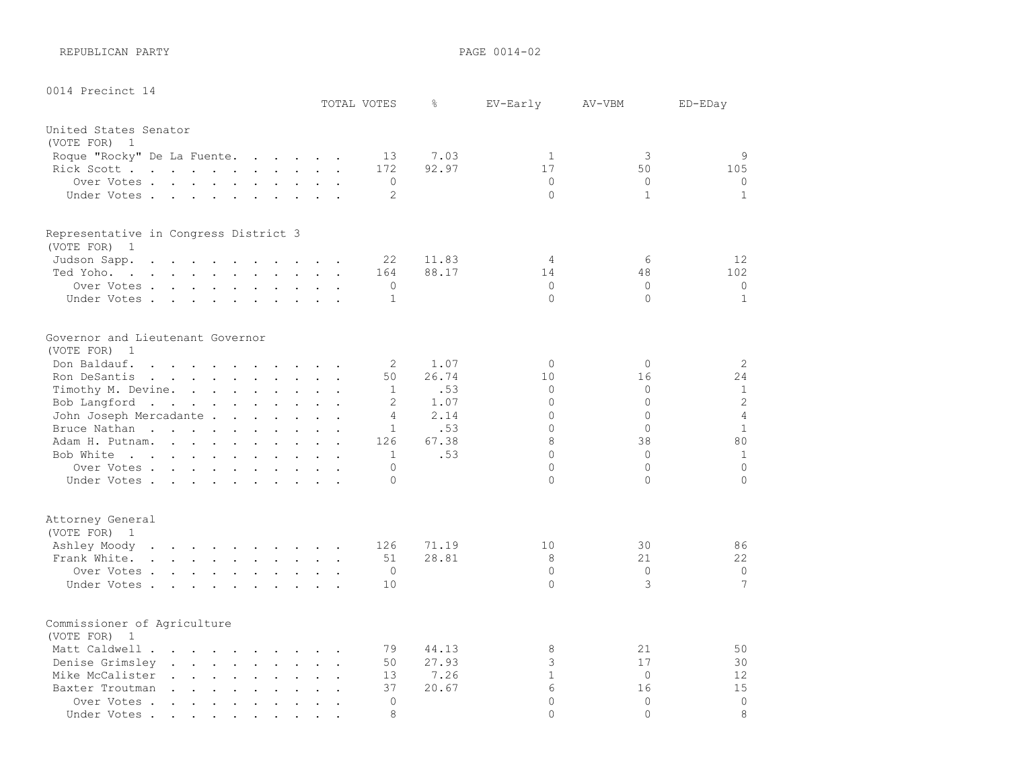REPUBLICAN PARTY **PAGE 0014-02** 

| 0014 Precinct 14                                                                                                                                                                                                                                                 |                                                             |                      |                      | TOTAL VOTES    | g.           | EV-Early      | AV-VBM               | ED-EDay              |
|------------------------------------------------------------------------------------------------------------------------------------------------------------------------------------------------------------------------------------------------------------------|-------------------------------------------------------------|----------------------|----------------------|----------------|--------------|---------------|----------------------|----------------------|
| United States Senator                                                                                                                                                                                                                                            |                                                             |                      |                      |                |              |               |                      |                      |
| (VOTE FOR)<br>$\overline{1}$                                                                                                                                                                                                                                     |                                                             |                      |                      |                |              |               |                      |                      |
| Roque "Rocky" De La Fuente.<br>$\mathbf{r}$ . The set of the set of the set of the set of the set of the set of the set of the set of the set of the set of the set of the set of the set of the set of the set of the set of the set of the set of the set of t |                                                             |                      |                      | 13             | 7.03         | $\mathbf{1}$  | 3                    | 9                    |
| Rick Scott                                                                                                                                                                                                                                                       |                                                             |                      |                      | 172            | 92.97        | 17            | 50                   | 105                  |
| Over Votes .<br>$\mathbf{r}$ , $\mathbf{r}$ , $\mathbf{r}$ , $\mathbf{r}$ , $\mathbf{r}$ , $\mathbf{r}$                                                                                                                                                          |                                                             | $\ddot{\phantom{a}}$ |                      | $\circ$        |              | $\circ$       | $\Omega$             | $\circ$              |
| Under Votes                                                                                                                                                                                                                                                      | $\sim$<br>$\sim$                                            |                      |                      | 2              |              | $\circ$       | $\mathbf{1}$         | $\mathbf{1}$         |
| Representative in Congress District 3                                                                                                                                                                                                                            |                                                             |                      |                      |                |              |               |                      |                      |
| (VOTE FOR)<br>$\overline{1}$                                                                                                                                                                                                                                     |                                                             |                      |                      |                |              |               |                      |                      |
| Judson Sapp.<br>$\cdots$ . $\cdots$<br>$\sim$<br>$\sim$ $\sim$<br>$\ddot{\phantom{a}}$<br>$\sim$<br>$\mathbf{r}$<br>$\overline{a}$                                                                                                                               |                                                             |                      |                      | 22             | 11.83        | 4             | 6                    | 12                   |
| Ted Yoho.<br>the contract of the contract of the contract of the contract of the contract of the contract of the contract of                                                                                                                                     |                                                             |                      |                      | 164            | 88.17        | 14            | 48                   | 102                  |
| Over Votes                                                                                                                                                                                                                                                       |                                                             |                      |                      | $\circ$        |              | $\circ$       | $\mathbf{0}$         | $\circ$              |
| Under Votes                                                                                                                                                                                                                                                      |                                                             |                      |                      | $\mathbf{1}$   |              | $\Omega$      | $\Omega$             | $\mathbf{1}$         |
| Governor and Lieutenant Governor                                                                                                                                                                                                                                 |                                                             |                      |                      |                |              |               |                      |                      |
| (VOTE FOR)<br>$\overline{1}$                                                                                                                                                                                                                                     |                                                             |                      |                      |                |              |               |                      |                      |
| Don Baldauf.<br>$\mathbf{r}$ , and $\mathbf{r}$ , and $\mathbf{r}$ , and $\mathbf{r}$ , and $\mathbf{r}$                                                                                                                                                         |                                                             |                      |                      | 2              | 1.07         | $\Omega$      | $\Omega$             | 2                    |
| Ron DeSantis<br>$\mathbf{r}$ , $\mathbf{r}$ , $\mathbf{r}$ , $\mathbf{r}$ , $\mathbf{r}$ , $\mathbf{r}$ , $\mathbf{r}$                                                                                                                                           |                                                             |                      | $\ddot{\phantom{a}}$ | 50             | 26.74        | 10            | 16                   | 24                   |
| Timothy M. Devine.<br>and the contract of the contract of the contract of the contract of the contract of the contract of the contract of the contract of the contract of the contract of the contract of the contract of the contract of the contra             |                                                             |                      |                      | $\mathbf{1}$   | .53          | $\circ$       | $\mathbf{0}$         | $\mathbf{1}$         |
| Bob Langford<br>$\mathbf{r} = \mathbf{r} + \mathbf{r} + \mathbf{r}$ .                                                                                                                                                                                            |                                                             |                      |                      | 2              | 1.07         | $\Omega$      | $\Omega$             | $\overline{c}$       |
| John Joseph Mercadante                                                                                                                                                                                                                                           |                                                             |                      |                      | $\overline{4}$ | 2.14         | 0             | $\Omega$             | $\overline{4}$       |
| Bruce Nathan<br>$\sim$<br>$\sim$<br>$\ddot{\phantom{a}}$<br>$\ddot{\phantom{a}}$<br><b>Contract</b>                                                                                                                                                              | $\ddot{\phantom{a}}$                                        |                      |                      | $\mathbf{1}$   | .53          | $\Omega$      | $\Omega$             | $\mathbf{1}$         |
| Adam H. Putnam.                                                                                                                                                                                                                                                  |                                                             |                      |                      | 126            | 67.38<br>.53 | 8<br>0        | 38<br>$\Omega$       | 80<br>$\mathbf{1}$   |
| Bob White                                                                                                                                                                                                                                                        |                                                             |                      |                      | 1<br>$\Omega$  |              | $\Omega$      | $\Omega$             | $\Omega$             |
| Over Votes<br>Under Votes.                                                                                                                                                                                                                                       |                                                             |                      |                      | $\Omega$       |              | $\Omega$      | $\Omega$             | $\Omega$             |
|                                                                                                                                                                                                                                                                  |                                                             |                      |                      |                |              |               |                      |                      |
| Attorney General<br>(VOTE FOR) 1                                                                                                                                                                                                                                 |                                                             |                      |                      |                |              |               |                      |                      |
| Ashley Moody<br>the contract of the contract of the contract of the contract of the contract of the contract of the contract of                                                                                                                                  |                                                             |                      |                      | 126            | 71.19        | 10            | 30                   | 86                   |
| Frank White<br>$\mathbf{r}$ , and $\mathbf{r}$ , and $\mathbf{r}$ , and $\mathbf{r}$                                                                                                                                                                             |                                                             |                      |                      | 51             | 28.81        | 8             | 21                   | 22                   |
| Over Votes .<br>$\mathbf{r}$ . The set of the set of the set of the set of the set of the set of the set of the set of the set of the set of the set of the set of the set of the set of the set of the set of the set of the set of the set of t                |                                                             |                      |                      | $\Omega$       |              | $\Omega$      | $\Omega$             | $\circ$              |
| Under Votes<br>$\mathbf{r}$ , and $\mathbf{r}$ , and $\mathbf{r}$                                                                                                                                                                                                |                                                             |                      |                      | 10             |              | $\Omega$      | 3                    | 7                    |
| Commissioner of Agriculture                                                                                                                                                                                                                                      |                                                             |                      |                      |                |              |               |                      |                      |
| (VOTE FOR)<br>1                                                                                                                                                                                                                                                  |                                                             |                      |                      |                |              |               |                      |                      |
| Matt Caldwell .<br>$\sim$<br>$\mathbf{r}$ . The contract of the contract of the contract of the contract of the contract of the contract of the contract of the contract of the contract of the contract of the contract of the contract of the contract of th   |                                                             |                      |                      | 79             | 44.13        | 8             | 21                   | 50                   |
| Denise Grimsley                                                                                                                                                                                                                                                  | $\ddot{\phantom{a}}$                                        | $\ddot{\phantom{a}}$ | $\ddot{\phantom{a}}$ | 50             | 27.93        | 3             | 17                   | 30                   |
| Mike McCalister<br>$\mathbf{r}$ , $\mathbf{r}$ , $\mathbf{r}$ , $\mathbf{r}$ , $\mathbf{r}$<br>$\ddot{\phantom{a}}$<br>$\ddot{\phantom{a}}$                                                                                                                      | $\ddot{\phantom{a}}$                                        | $\ddot{\phantom{a}}$ |                      | 13             | 7.26         | $\mathbf{1}$  | $\mathbf{0}$         | 12                   |
| Baxter Troutman<br>the contract of the contract of the                                                                                                                                                                                                           | $\sim$ $-$                                                  | $\ddotsc$            |                      | 37             | 20.67        | 6<br>$\Omega$ | 16                   | 15<br>$\overline{0}$ |
| Over Votes .<br>$\mathbf{L} = \mathbf{L}$<br>$\sim$<br>$\ddot{\phantom{a}}$<br>$\ddot{\phantom{a}}$<br>$\mathbf{r}$<br>Under Votes.                                                                                                                              | $\ddot{\phantom{a}}$                                        | $\ddot{\phantom{a}}$ |                      | $\Omega$<br>8  |              | $\Omega$      | $\Omega$<br>$\Omega$ | $\mathcal{B}$        |
| the contract of the contract of the<br>$\bullet$ .<br>$\bullet$                                                                                                                                                                                                  | $\bullet$ .<br><br><br><br><br><br><br><br><br><br><br><br> |                      |                      |                |              |               |                      |                      |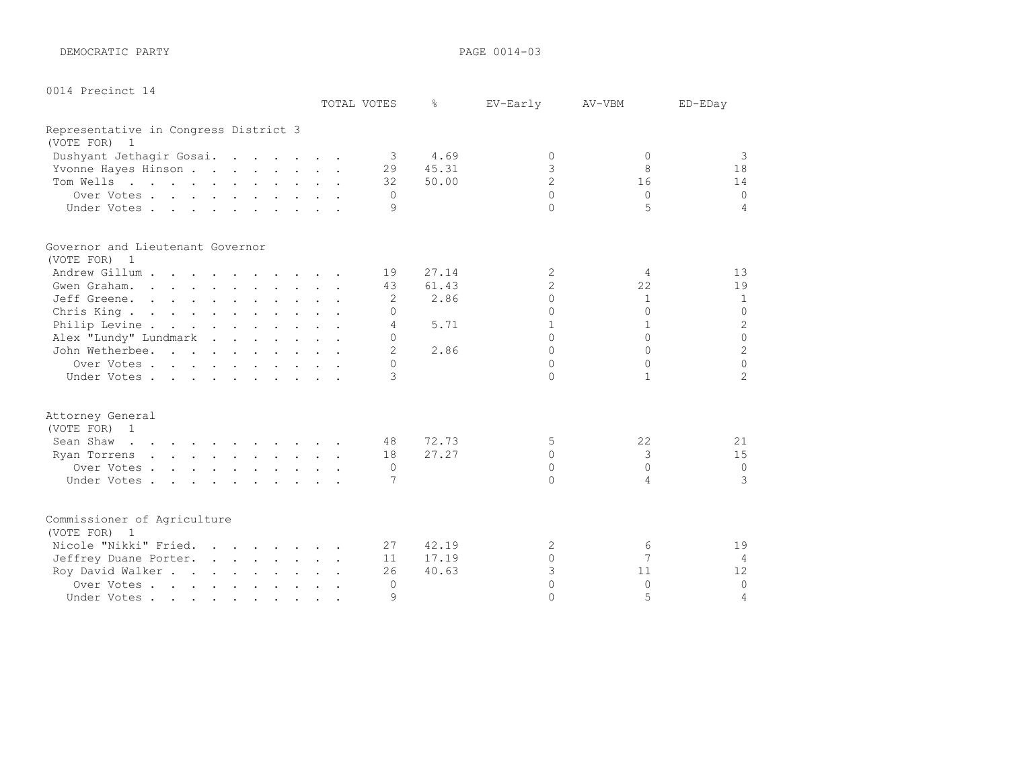DEMOCRATIC PARTY PAGE 0014-03

|  |  | 0014 Precinct 14 |  |
|--|--|------------------|--|
|--|--|------------------|--|

|                                       |  | TOTAL VOTES    | ⊱     | EV-Early       | AV-VBM       | ED-EDay        |
|---------------------------------------|--|----------------|-------|----------------|--------------|----------------|
| Representative in Congress District 3 |  |                |       |                |              |                |
| (VOTE FOR) 1                          |  |                |       |                |              |                |
| Dushyant Jethagir Gosai.              |  | 3              | 4.69  | $\Omega$       | $\Omega$     | 3              |
| Yvonne Hayes Hinson                   |  | 29             | 45.31 | 3              | 8            | 18             |
| Tom Wells                             |  | 32             | 50.00 | $\overline{2}$ | 16           | 14             |
| Over Votes                            |  | $\Omega$       |       | $\cap$         | $\Omega$     | $\Omega$       |
| Under Votes                           |  | 9              |       | $\cap$         | 5            | 4              |
| Governor and Lieutenant Governor      |  |                |       |                |              |                |
| (VOTE FOR) 1                          |  |                |       |                |              |                |
| Andrew Gillum                         |  | 19             | 27.14 | 2              | 4            | 13             |
| Gwen Graham.                          |  | 43             | 61.43 | $\overline{c}$ | 22           | 19             |
| Jeff Greene.                          |  | 2              | 2.86  | $\Omega$       | $\mathbf{1}$ | 1              |
| Chris King.                           |  | $\Omega$       |       | $\Omega$       | $\Omega$     | $\circ$        |
| Philip Levine                         |  | 4              | 5.71  | 1              |              | $\mathbf{2}$   |
| Alex "Lundy" Lundmark                 |  | $\Omega$       |       | $\cap$         | $\cap$       | $\Omega$       |
| John Wetherbee.                       |  | $\overline{2}$ | 2.86  | $\Omega$       | $\Omega$     | $\overline{c}$ |
| Over Votes.                           |  | $\cap$         |       | $\cap$         | $\Omega$     | $\Omega$       |
| Under Votes                           |  | $\mathcal{L}$  |       | $\cap$         | $\mathbf{1}$ | $\overline{2}$ |
| Attorney General                      |  |                |       |                |              |                |
| (VOTE FOR) 1                          |  |                |       |                |              |                |
| Sean Shaw                             |  | 48             | 72.73 | 5              | 22           | 21             |
| Ryan Torrens                          |  | 18             | 27.27 | $\Omega$       | 3            | 15             |
| Over Votes                            |  | $\Omega$       |       | $\Omega$       | $\Omega$     | $\mathbf 0$    |
| Under Votes                           |  | 7              |       | $\cap$         | 4            | 3              |
| Commissioner of Agriculture           |  |                |       |                |              |                |
| (VOTE FOR) 1                          |  |                |       |                |              |                |
| Nicole "Nikki" Fried.                 |  | 27             | 42.19 | 2              | 6            | 19             |
| Jeffrey Duane Porter.                 |  | 11             | 17.19 | $\Omega$       | 7            | 4              |
| Roy David Walker                      |  | 26             | 40.63 | 3              | 11           | 12             |
| Over Votes                            |  | $\Omega$       |       | $\Omega$       | $\Omega$     | $\Omega$       |
| Under Votes                           |  | $\mathcal{Q}$  |       | $\cap$         | 5            | $\overline{4}$ |